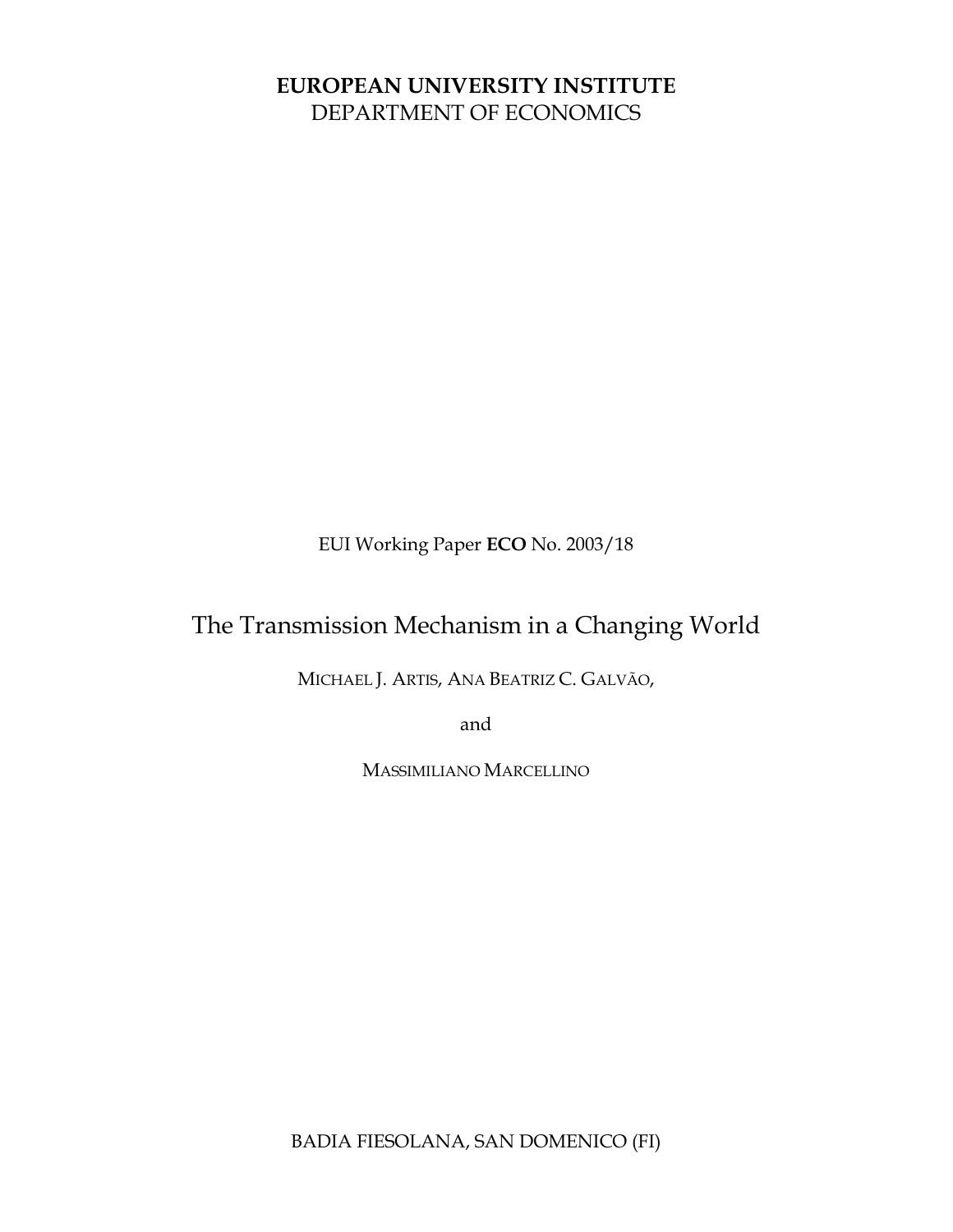# **EUROPEAN UNIVERSITY INSTITUTE** DEPARTMENT OF ECONOMICS

EUI Working Paper **ECO** No. 2003/18

# The Transmission Mechanism in a Changing World

MICHAEL J. ARTIS, ANA BEATRIZ C. GALVÃO,

and

MASSIMILIANO MARCELLINO

BADIA FIESOLANA, SAN DOMENICO (FI)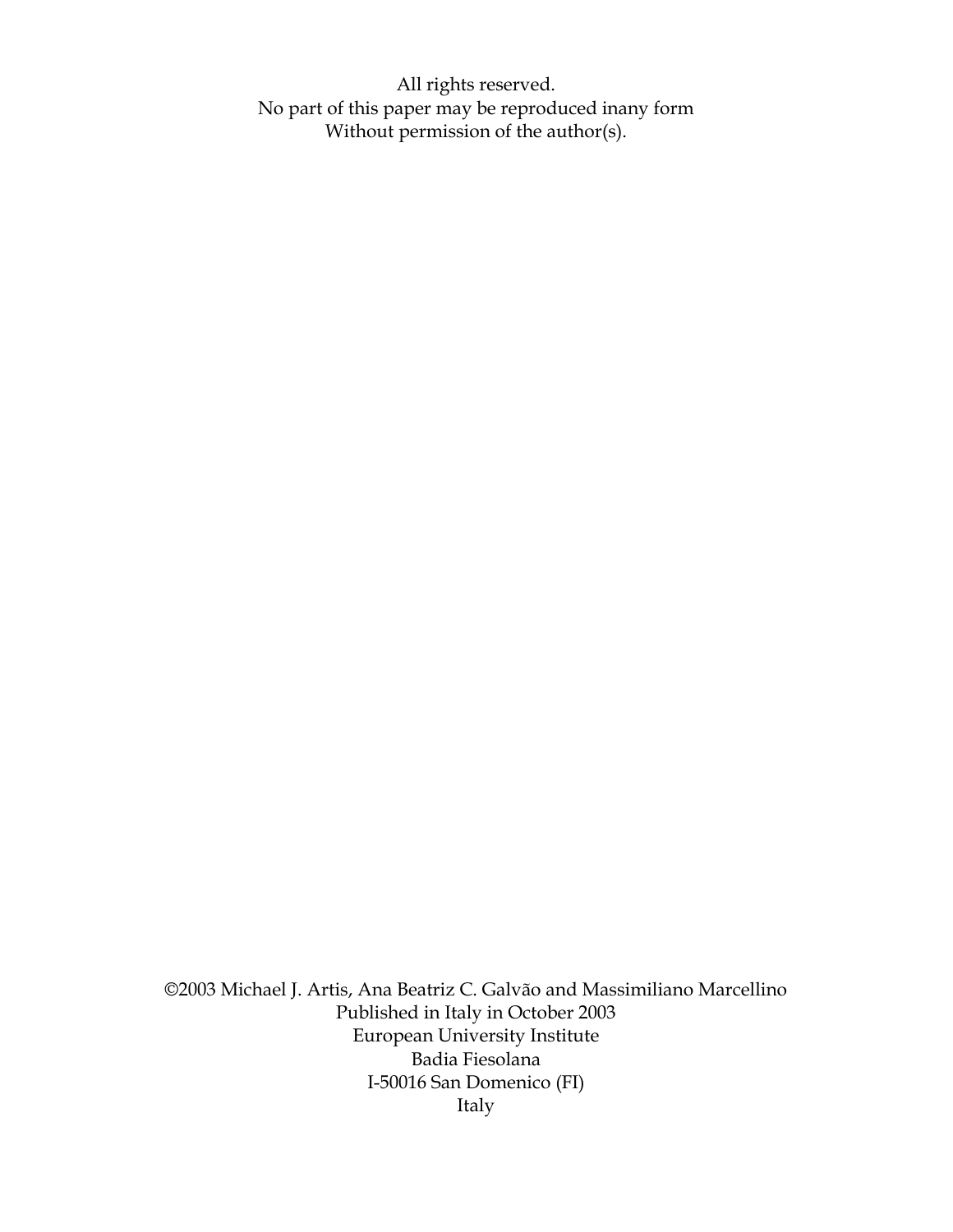All rights reserved. No part of this paper may be reproduced inany form Without permission of the author(s).

©2003 Michael J. Artis, Ana Beatriz C. Galvão and Massimiliano Marcellino Published in Italy in October 2003 European University Institute Badia Fiesolana I-50016 San Domenico (FI) Italy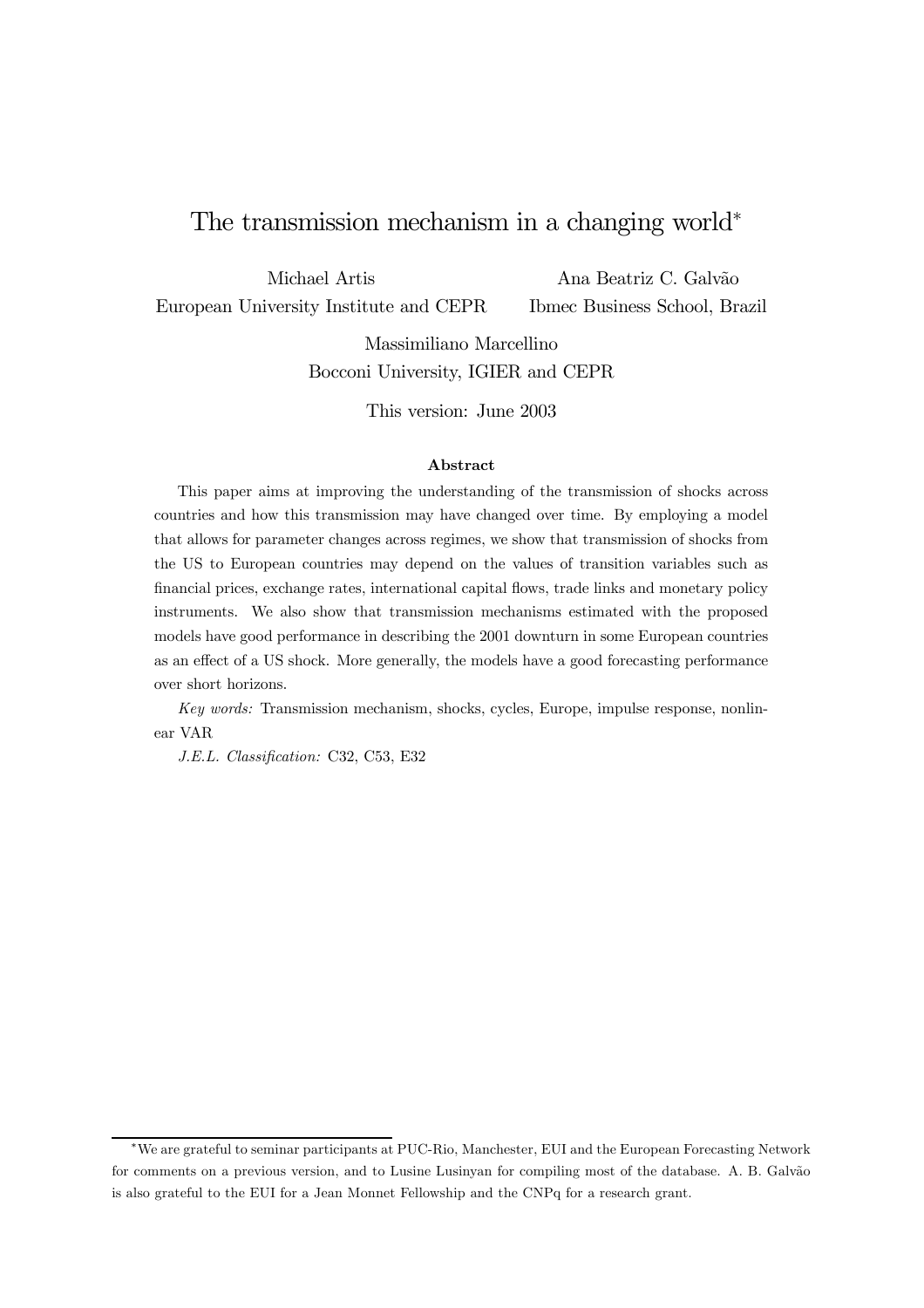# The transmission mechanism in a changing world<sup>∗</sup>

Michael Artis

Ana Beatriz C. Galvão

European University Institute and CEPR

Ibmec Business School, Brazil

Massimiliano Marcellino Bocconi University, IGIER and CEPR

This version: June 2003

#### Abstract

This paper aims at improving the understanding of the transmission of shocks across countries and how this transmission may have changed over time. By employing a model that allows for parameter changes across regimes, we show that transmission of shocks from the US to European countries may depend on the values of transition variables such as financial prices, exchange rates, international capital flows, trade links and monetary policy instruments. We also show that transmission mechanisms estimated with the proposed models have good performance in describing the 2001 downturn in some European countries as an effect of a US shock. More generally, the models have a good forecasting performance over short horizons.

Key words: Transmission mechanism, shocks, cycles, Europe, impulse response, nonlinear VAR

J.E.L. Classification: C32, C53, E32

<sup>∗</sup>We are grateful to seminar participants at PUC-Rio, Manchester, EUI and the European Forecasting Network for comments on a previous version, and to Lusine Lusinyan for compiling most of the database. A. B. Galvão is also grateful to the EUI for a Jean Monnet Fellowship and the CNPq for a research grant.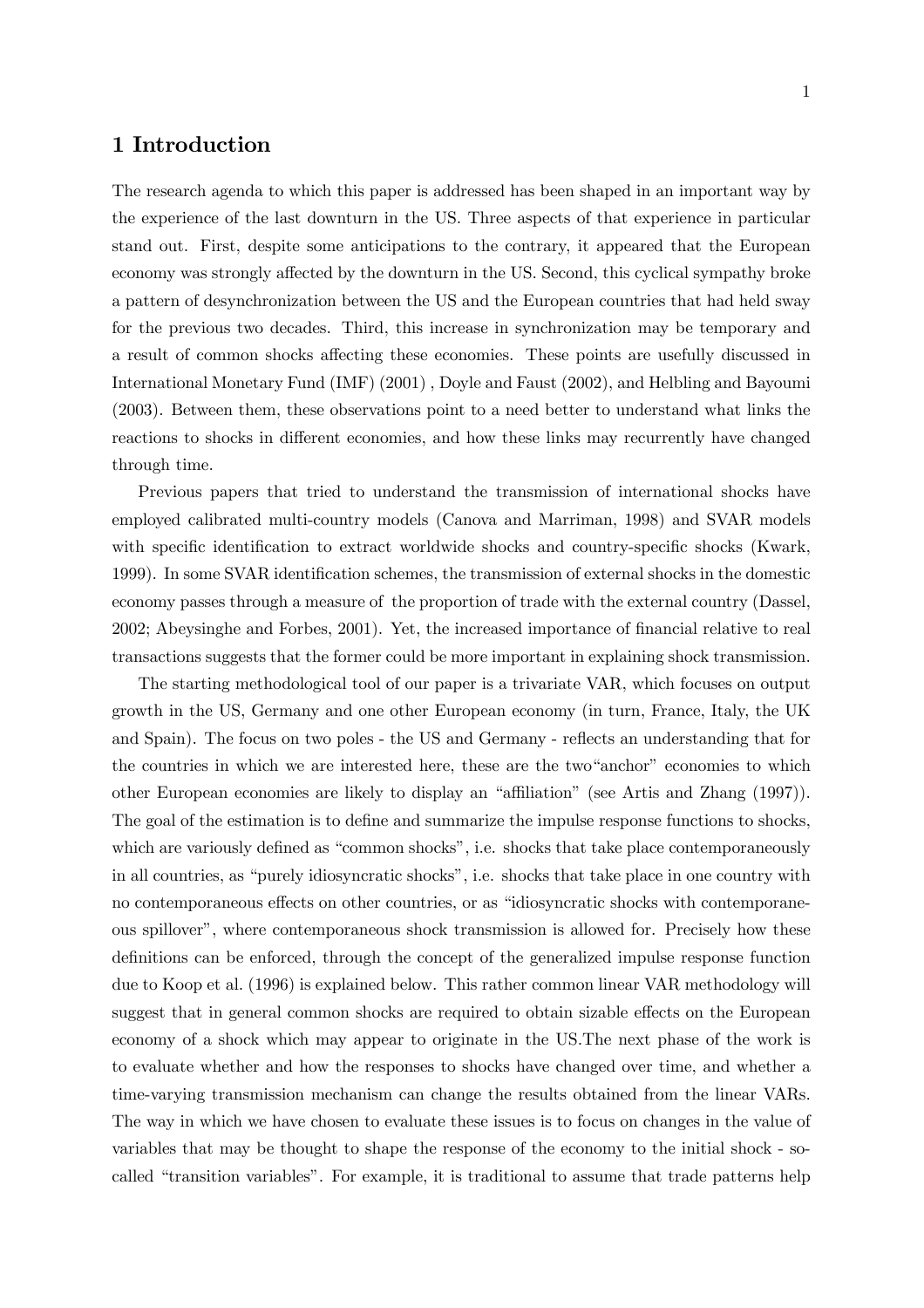### 1 Introduction

The research agenda to which this paper is addressed has been shaped in an important way by the experience of the last downturn in the US. Three aspects of that experience in particular stand out. First, despite some anticipations to the contrary, it appeared that the European economy was strongly affected by the downturn in the US. Second, this cyclical sympathy broke a pattern of desynchronization between the US and the European countries that had held sway for the previous two decades. Third, this increase in synchronization may be temporary and a result of common shocks affecting these economies. These points are usefully discussed in International Monetary Fund (IMF) (2001) , Doyle and Faust (2002), and Helbling and Bayoumi (2003). Between them, these observations point to a need better to understand what links the reactions to shocks in different economies, and how these links may recurrently have changed through time.

Previous papers that tried to understand the transmission of international shocks have employed calibrated multi-country models (Canova and Marriman, 1998) and SVAR models with specific identification to extract worldwide shocks and country-specific shocks (Kwark, 1999). In some SVAR identification schemes, the transmission of external shocks in the domestic economy passes through a measure of the proportion of trade with the external country (Dassel, 2002; Abeysinghe and Forbes, 2001). Yet, the increased importance of financial relative to real transactions suggests that the former could be more important in explaining shock transmission.

The starting methodological tool of our paper is a trivariate VAR, which focuses on output growth in the US, Germany and one other European economy (in turn, France, Italy, the UK and Spain). The focus on two poles - the US and Germany - reflects an understanding that for the countries in which we are interested here, these are the two"anchor" economies to which other European economies are likely to display an "affiliation" (see Artis and Zhang (1997)). The goal of the estimation is to define and summarize the impulse response functions to shocks, which are variously defined as "common shocks", i.e. shocks that take place contemporaneously in all countries, as "purely idiosyncratic shocks", i.e. shocks that take place in one country with no contemporaneous effects on other countries, or as "idiosyncratic shocks with contemporaneous spillover", where contemporaneous shock transmission is allowed for. Precisely how these definitions can be enforced, through the concept of the generalized impulse response function due to Koop et al. (1996) is explained below. This rather common linear VAR methodology will suggest that in general common shocks are required to obtain sizable effects on the European economy of a shock which may appear to originate in the US.The next phase of the work is to evaluate whether and how the responses to shocks have changed over time, and whether a time-varying transmission mechanism can change the results obtained from the linear VARs. The way in which we have chosen to evaluate these issues is to focus on changes in the value of variables that may be thought to shape the response of the economy to the initial shock - socalled "transition variables". For example, it is traditional to assume that trade patterns help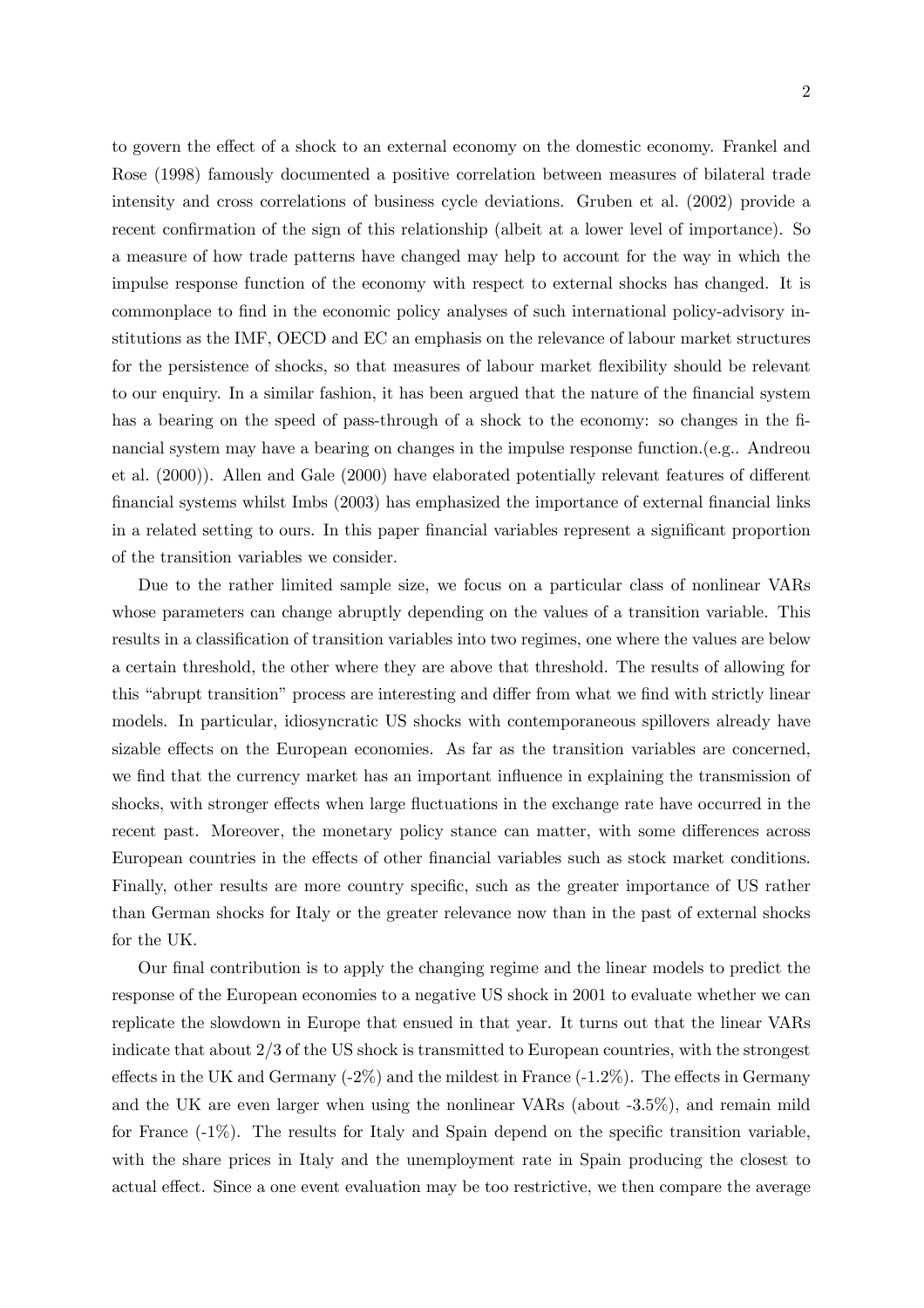to govern the effect of a shock to an external economy on the domestic economy. Frankel and Rose (1998) famously documented a positive correlation between measures of bilateral trade intensity and cross correlations of business cycle deviations. Gruben et al. (2002) provide a recent confirmation of the sign of this relationship (albeit at a lower level of importance). So a measure of how trade patterns have changed may help to account for the way in which the impulse response function of the economy with respect to external shocks has changed. It is commonplace to find in the economic policy analyses of such international policy-advisory institutions as the IMF, OECD and EC an emphasis on the relevance of labour market structures for the persistence of shocks, so that measures of labour market flexibility should be relevant to our enquiry. In a similar fashion, it has been argued that the nature of the financial system has a bearing on the speed of pass-through of a shock to the economy: so changes in the financial system may have a bearing on changes in the impulse response function.(e.g.. Andreou et al. (2000)). Allen and Gale (2000) have elaborated potentially relevant features of different financial systems whilst Imbs (2003) has emphasized the importance of external financial links in a related setting to ours. In this paper financial variables represent a significant proportion of the transition variables we consider.

Due to the rather limited sample size, we focus on a particular class of nonlinear VARs whose parameters can change abruptly depending on the values of a transition variable. This results in a classification of transition variables into two regimes, one where the values are below a certain threshold, the other where they are above that threshold. The results of allowing for this "abrupt transition" process are interesting and differ from what we find with strictly linear models. In particular, idiosyncratic US shocks with contemporaneous spillovers already have sizable effects on the European economies. As far as the transition variables are concerned, we find that the currency market has an important influence in explaining the transmission of shocks, with stronger effects when large fluctuations in the exchange rate have occurred in the recent past. Moreover, the monetary policy stance can matter, with some differences across European countries in the effects of other financial variables such as stock market conditions. Finally, other results are more country specific, such as the greater importance of US rather than German shocks for Italy or the greater relevance now than in the past of external shocks for the UK.

Our final contribution is to apply the changing regime and the linear models to predict the response of the European economies to a negative US shock in 2001 to evaluate whether we can replicate the slowdown in Europe that ensued in that year. It turns out that the linear VARs indicate that about 2/3 of the US shock is transmitted to European countries, with the strongest effects in the UK and Germany  $(-2\%)$  and the mildest in France  $(-1.2\%)$ . The effects in Germany and the UK are even larger when using the nonlinear VARs (about -3.5%), and remain mild for France (-1%). The results for Italy and Spain depend on the specific transition variable, with the share prices in Italy and the unemployment rate in Spain producing the closest to actual effect. Since a one event evaluation may be too restrictive, we then compare the average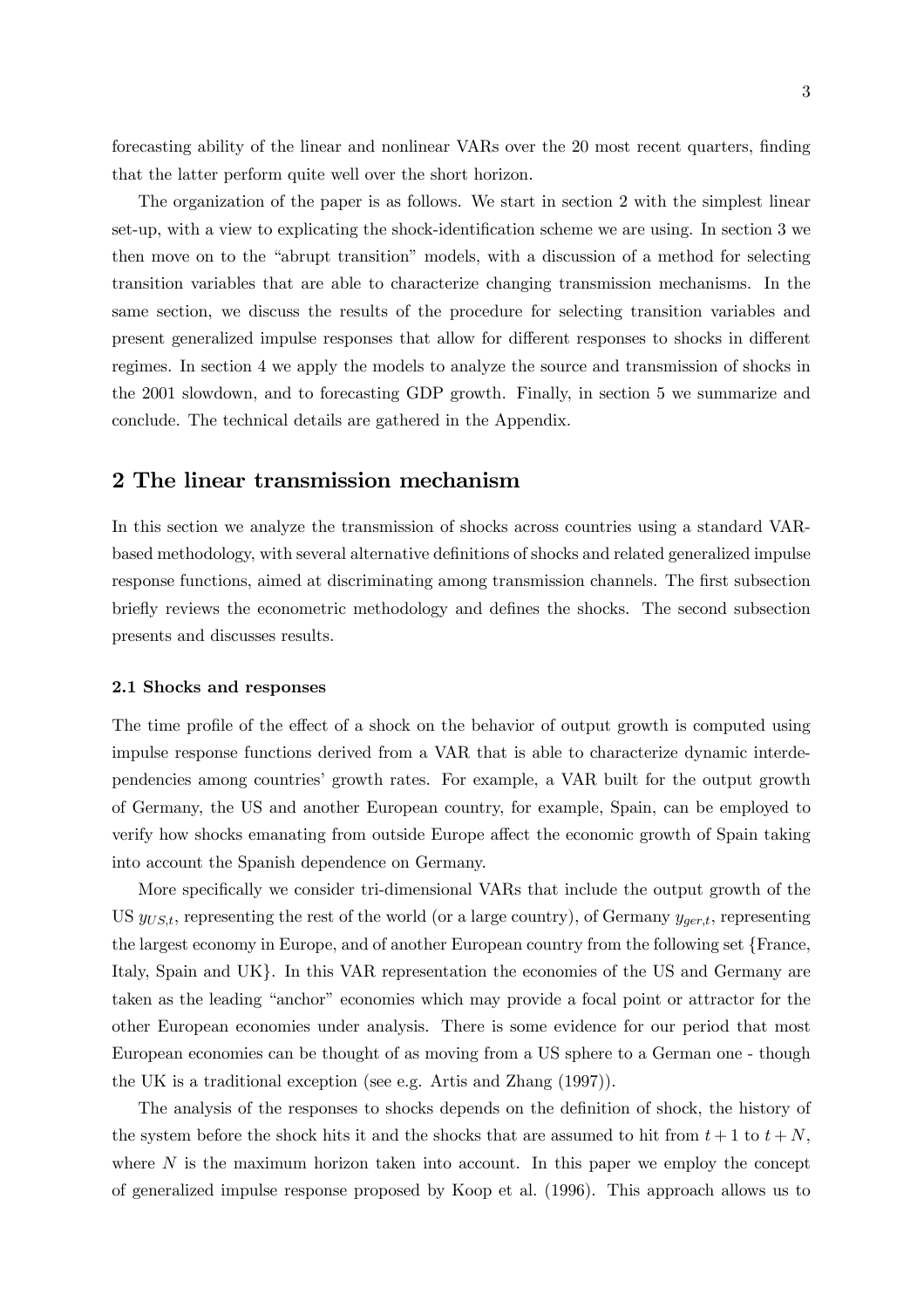forecasting ability of the linear and nonlinear VARs over the 20 most recent quarters, finding that the latter perform quite well over the short horizon.

The organization of the paper is as follows. We start in section 2 with the simplest linear set-up, with a view to explicating the shock-identification scheme we are using. In section 3 we then move on to the "abrupt transition" models, with a discussion of a method for selecting transition variables that are able to characterize changing transmission mechanisms. In the same section, we discuss the results of the procedure for selecting transition variables and present generalized impulse responses that allow for different responses to shocks in different regimes. In section 4 we apply the models to analyze the source and transmission of shocks in the 2001 slowdown, and to forecasting GDP growth. Finally, in section 5 we summarize and conclude. The technical details are gathered in the Appendix.

### 2 The linear transmission mechanism

In this section we analyze the transmission of shocks across countries using a standard VARbased methodology, with several alternative definitions of shocks and related generalized impulse response functions, aimed at discriminating among transmission channels. The first subsection briefly reviews the econometric methodology and defines the shocks. The second subsection presents and discusses results.

#### 2.1 Shocks and responses

The time profile of the effect of a shock on the behavior of output growth is computed using impulse response functions derived from a VAR that is able to characterize dynamic interdependencies among countries' growth rates. For example, a VAR built for the output growth of Germany, the US and another European country, for example, Spain, can be employed to verify how shocks emanating from outside Europe affect the economic growth of Spain taking into account the Spanish dependence on Germany.

More specifically we consider tri-dimensional VARs that include the output growth of the US  $y_{U S, t}$ , representing the rest of the world (or a large country), of Germany  $y_{\textit{ger}, t}$ , representing the largest economy in Europe, and of another European country from the following set {France, Italy, Spain and UK}. In this VAR representation the economies of the US and Germany are taken as the leading "anchor" economies which may provide a focal point or attractor for the other European economies under analysis. There is some evidence for our period that most European economies can be thought of as moving from a US sphere to a German one - though the UK is a traditional exception (see e.g. Artis and Zhang (1997)).

The analysis of the responses to shocks depends on the definition of shock, the history of the system before the shock hits it and the shocks that are assumed to hit from  $t + 1$  to  $t + N$ , where  $N$  is the maximum horizon taken into account. In this paper we employ the concept of generalized impulse response proposed by Koop et al. (1996). This approach allows us to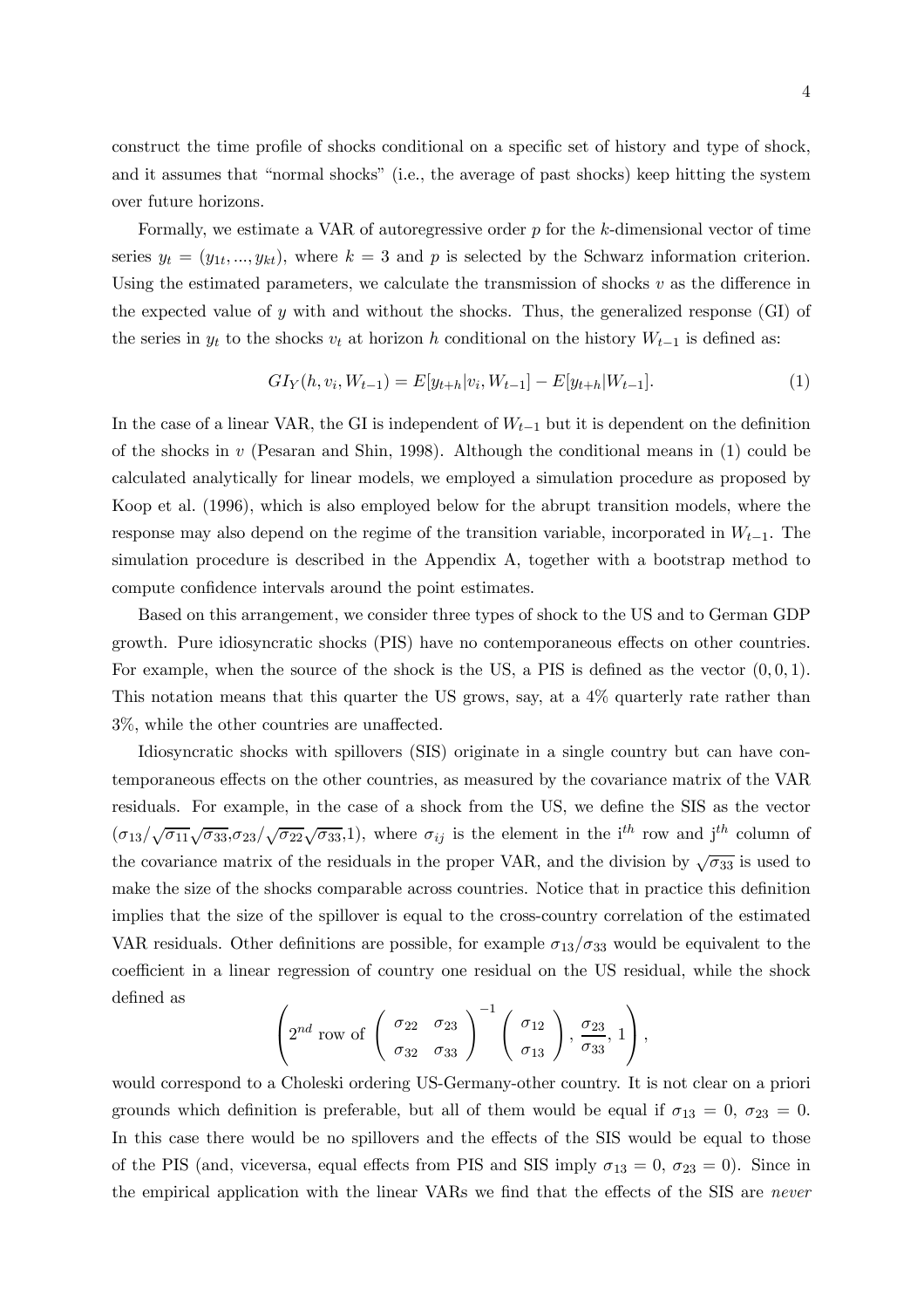construct the time profile of shocks conditional on a specific set of history and type of shock, and it assumes that "normal shocks" (i.e., the average of past shocks) keep hitting the system over future horizons.

Formally, we estimate a VAR of autoregressive order p for the k-dimensional vector of time series  $y_t = (y_{1t},..., y_{kt})$ , where  $k = 3$  and p is selected by the Schwarz information criterion. Using the estimated parameters, we calculate the transmission of shocks  $v$  as the difference in the expected value of y with and without the shocks. Thus, the generalized response (GI) of the series in  $y_t$  to the shocks  $v_t$  at horizon h conditional on the history  $W_{t-1}$  is defined as:

$$
GI_Y(h, v_i, W_{t-1}) = E[y_{t+h}|v_i, W_{t-1}] - E[y_{t+h}|W_{t-1}].
$$
\n(1)

In the case of a linear VAR, the GI is independent of  $W_{t-1}$  but it is dependent on the definition of the shocks in  $v$  (Pesaran and Shin, 1998). Although the conditional means in  $(1)$  could be calculated analytically for linear models, we employed a simulation procedure as proposed by Koop et al. (1996), which is also employed below for the abrupt transition models, where the response may also depend on the regime of the transition variable, incorporated in  $W_{t-1}$ . The simulation procedure is described in the Appendix A, together with a bootstrap method to compute confidence intervals around the point estimates.

Based on this arrangement, we consider three types of shock to the US and to German GDP growth. Pure idiosyncratic shocks (PIS) have no contemporaneous effects on other countries. For example, when the source of the shock is the US, a PIS is defined as the vector  $(0, 0, 1)$ . This notation means that this quarter the US grows, say, at a 4% quarterly rate rather than 3%, while the other countries are unaffected.

Idiosyncratic shocks with spillovers (SIS) originate in a single country but can have contemporaneous effects on the other countries, as measured by the covariance matrix of the VAR residuals. For example, in the case of a shock from the US, we define the SIS as the vector  $(\sigma_{13}/\sqrt{\sigma_{11}}\sqrt{\sigma_{33}},\sigma_{23}/\sqrt{\sigma_{22}}\sqrt{\sigma_{33}}.1)$ , where  $\sigma_{ij}$  is the element in the i<sup>th</sup> row and j<sup>th</sup> column of the covariance matrix of the residuals in the proper VAR, and the division by  $\sqrt{\sigma_{33}}$  is used to make the size of the shocks comparable across countries. Notice that in practice this definition implies that the size of the spillover is equal to the cross-country correlation of the estimated VAR residuals. Other definitions are possible, for example  $\sigma_{13}/\sigma_{33}$  would be equivalent to the coefficient in a linear regression of country one residual on the US residual, while the shock defined as

$$
\left(2^{nd} \text{ row of } \left(\begin{array}{cc}\sigma_{22} & \sigma_{23} \\ \sigma_{32} & \sigma_{33}\end{array}\right)^{-1} \left(\begin{array}{c}\sigma_{12} \\ \sigma_{13}\end{array}\right), \frac{\sigma_{23}}{\sigma_{33}}, 1\right),
$$

would correspond to a Choleski ordering US-Germany-other country. It is not clear on a priori grounds which definition is preferable, but all of them would be equal if  $\sigma_{13} = 0$ ,  $\sigma_{23} = 0$ . In this case there would be no spillovers and the effects of the SIS would be equal to those of the PIS (and, viceversa, equal effects from PIS and SIS imply  $\sigma_{13} = 0$ ,  $\sigma_{23} = 0$ ). Since in the empirical application with the linear VARs we find that the effects of the SIS are never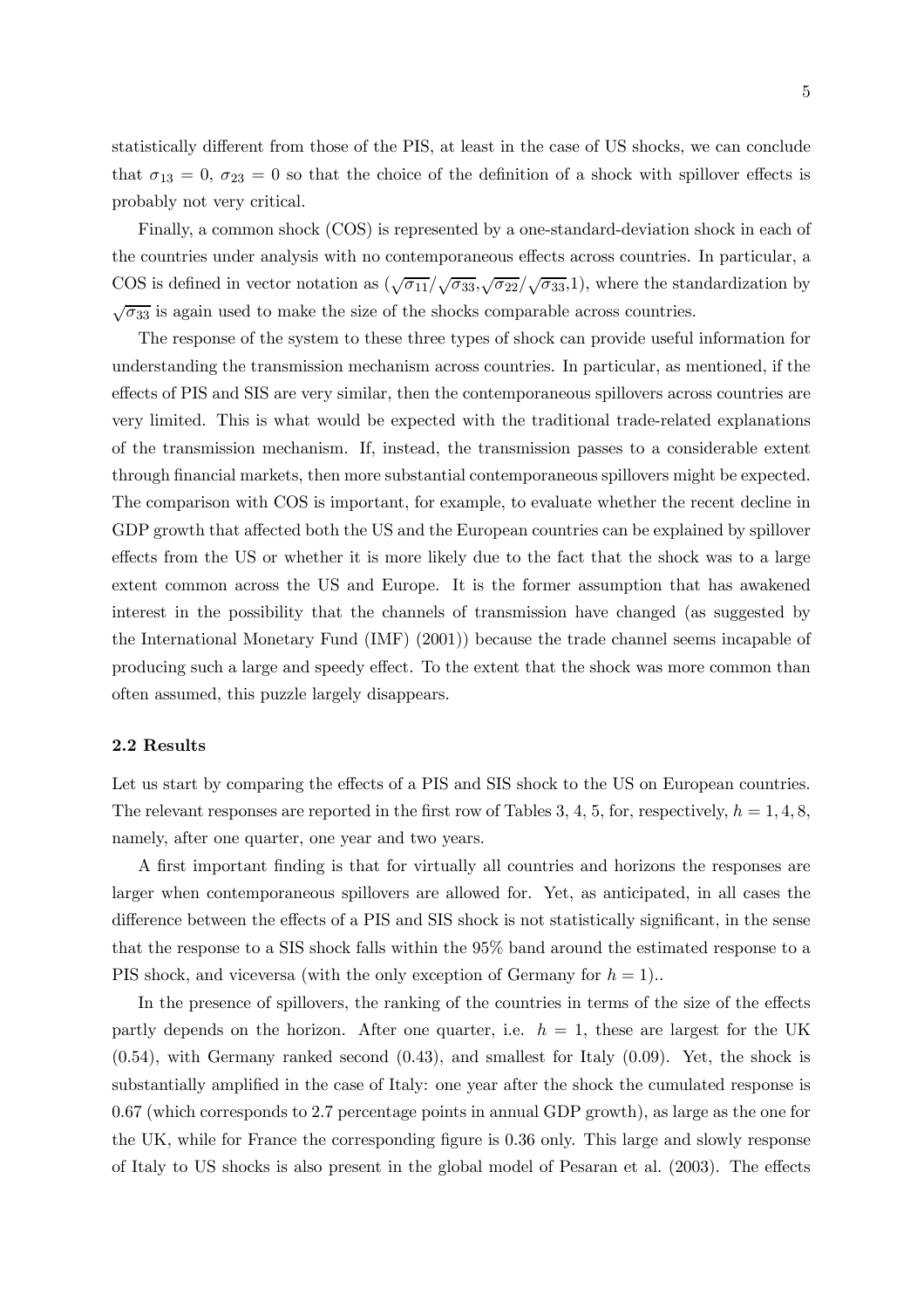statistically different from those of the PIS, at least in the case of US shocks, we can conclude that  $\sigma_{13} = 0$ ,  $\sigma_{23} = 0$  so that the choice of the definition of a shock with spillover effects is probably not very critical.

Finally, a common shock (COS) is represented by a one-standard-deviation shock in each of the countries under analysis with no contemporaneous effects across countries. In particular, a COS is defined in vector notation as  $(\sqrt{\sigma_{11}}/\sqrt{\sigma_{33}}, \sqrt{\sigma_{22}}/\sqrt{\sigma_{33}}, 1)$ , where the standardization by  $\sqrt{\sigma_{33}}$  is again used to make the size of the shocks comparable across countries.

The response of the system to these three types of shock can provide useful information for understanding the transmission mechanism across countries. In particular, as mentioned, if the effects of PIS and SIS are very similar, then the contemporaneous spillovers across countries are very limited. This is what would be expected with the traditional trade-related explanations of the transmission mechanism. If, instead, the transmission passes to a considerable extent through financial markets, then more substantial contemporaneous spillovers might be expected. The comparison with COS is important, for example, to evaluate whether the recent decline in GDP growth that affected both the US and the European countries can be explained by spillover effects from the US or whether it is more likely due to the fact that the shock was to a large extent common across the US and Europe. It is the former assumption that has awakened interest in the possibility that the channels of transmission have changed (as suggested by the International Monetary Fund (IMF) (2001)) because the trade channel seems incapable of producing such a large and speedy effect. To the extent that the shock was more common than often assumed, this puzzle largely disappears.

#### 2.2 Results

Let us start by comparing the effects of a PIS and SIS shock to the US on European countries. The relevant responses are reported in the first row of Tables 3, 4, 5, for, respectively,  $h = 1, 4, 8$ , namely, after one quarter, one year and two years.

A first important finding is that for virtually all countries and horizons the responses are larger when contemporaneous spillovers are allowed for. Yet, as anticipated, in all cases the difference between the effects of a PIS and SIS shock is not statistically significant, in the sense that the response to a SIS shock falls within the 95% band around the estimated response to a PIS shock, and viceversa (with the only exception of Germany for  $h = 1$ )...

In the presence of spillovers, the ranking of the countries in terms of the size of the effects partly depends on the horizon. After one quarter, i.e.  $h = 1$ , these are largest for the UK (0.54), with Germany ranked second (0.43), and smallest for Italy (0.09). Yet, the shock is substantially amplified in the case of Italy: one year after the shock the cumulated response is 0.67 (which corresponds to 2.7 percentage points in annual GDP growth), as large as the one for the UK, while for France the corresponding figure is 0.36 only. This large and slowly response of Italy to US shocks is also present in the global model of Pesaran et al. (2003). The effects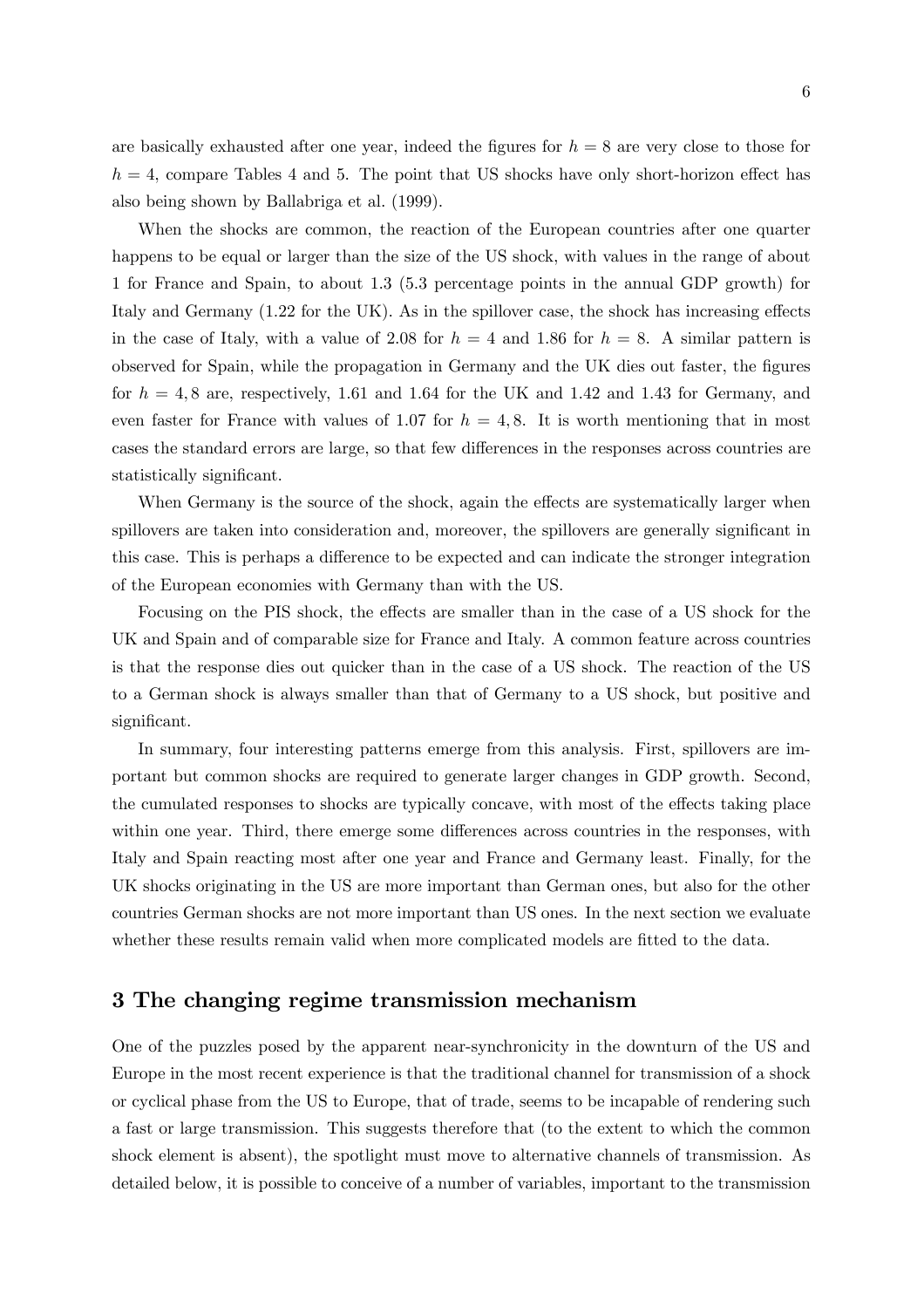are basically exhausted after one year, indeed the figures for  $h = 8$  are very close to those for  $h = 4$ , compare Tables 4 and 5. The point that US shocks have only short-horizon effect has also being shown by Ballabriga et al. (1999).

When the shocks are common, the reaction of the European countries after one quarter happens to be equal or larger than the size of the US shock, with values in the range of about 1 for France and Spain, to about 1.3 (5.3 percentage points in the annual GDP growth) for Italy and Germany (1.22 for the UK). As in the spillover case, the shock has increasing effects in the case of Italy, with a value of 2.08 for  $h = 4$  and 1.86 for  $h = 8$ . A similar pattern is observed for Spain, while the propagation in Germany and the UK dies out faster, the figures for  $h = 4, 8$  are, respectively, 1.61 and 1.64 for the UK and 1.42 and 1.43 for Germany, and even faster for France with values of 1.07 for  $h = 4, 8$ . It is worth mentioning that in most cases the standard errors are large, so that few differences in the responses across countries are statistically significant.

When Germany is the source of the shock, again the effects are systematically larger when spillovers are taken into consideration and, moreover, the spillovers are generally significant in this case. This is perhaps a difference to be expected and can indicate the stronger integration of the European economies with Germany than with the US.

Focusing on the PIS shock, the effects are smaller than in the case of a US shock for the UK and Spain and of comparable size for France and Italy. A common feature across countries is that the response dies out quicker than in the case of a US shock. The reaction of the US to a German shock is always smaller than that of Germany to a US shock, but positive and significant.

In summary, four interesting patterns emerge from this analysis. First, spillovers are important but common shocks are required to generate larger changes in GDP growth. Second, the cumulated responses to shocks are typically concave, with most of the effects taking place within one year. Third, there emerge some differences across countries in the responses, with Italy and Spain reacting most after one year and France and Germany least. Finally, for the UK shocks originating in the US are more important than German ones, but also for the other countries German shocks are not more important than US ones. In the next section we evaluate whether these results remain valid when more complicated models are fitted to the data.

### 3 The changing regime transmission mechanism

One of the puzzles posed by the apparent near-synchronicity in the downturn of the US and Europe in the most recent experience is that the traditional channel for transmission of a shock or cyclical phase from the US to Europe, that of trade, seems to be incapable of rendering such a fast or large transmission. This suggests therefore that (to the extent to which the common shock element is absent), the spotlight must move to alternative channels of transmission. As detailed below, it is possible to conceive of a number of variables, important to the transmission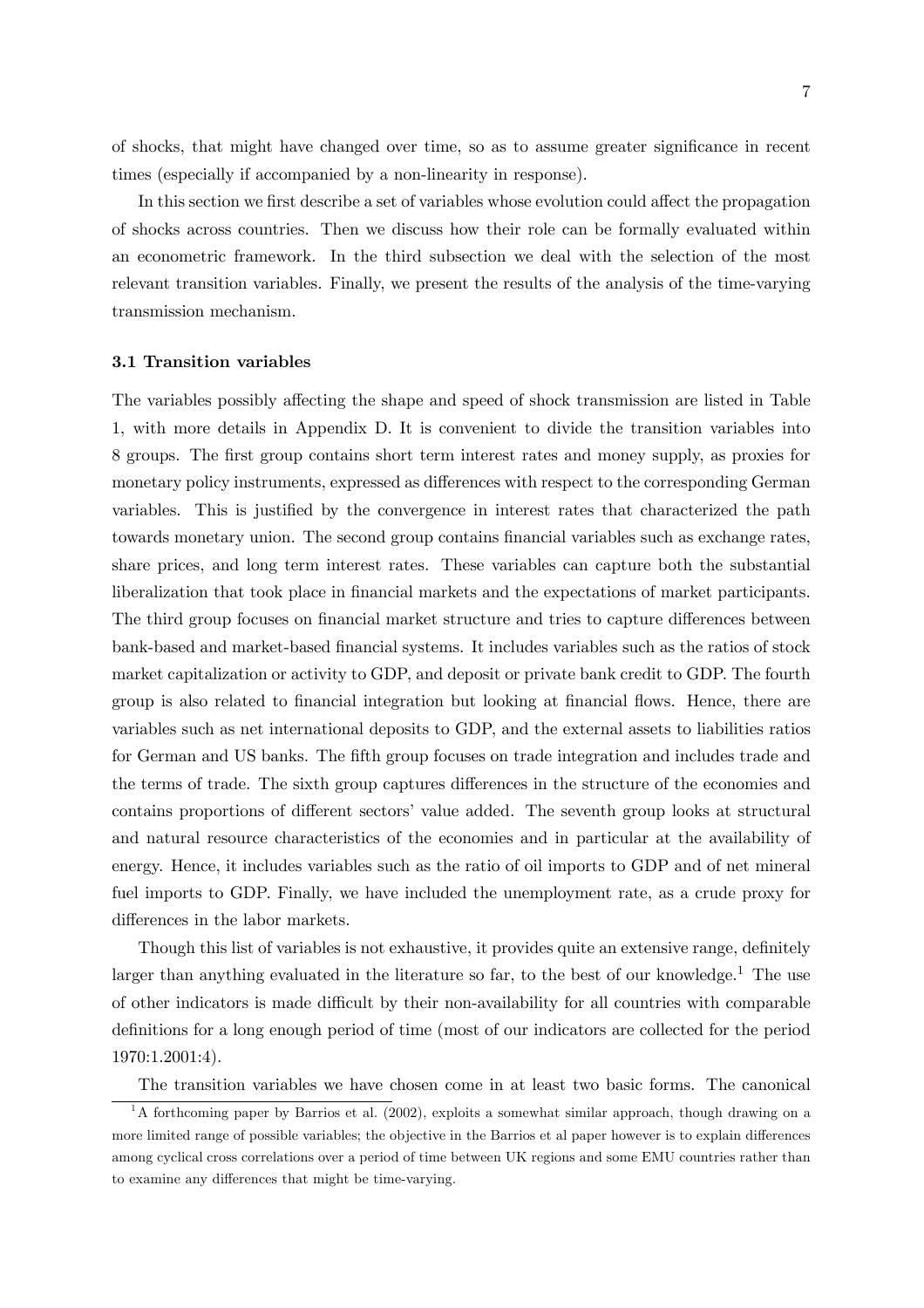of shocks, that might have changed over time, so as to assume greater significance in recent times (especially if accompanied by a non-linearity in response).

In this section we first describe a set of variables whose evolution could affect the propagation of shocks across countries. Then we discuss how their role can be formally evaluated within an econometric framework. In the third subsection we deal with the selection of the most relevant transition variables. Finally, we present the results of the analysis of the time-varying transmission mechanism.

#### 3.1 Transition variables

The variables possibly affecting the shape and speed of shock transmission are listed in Table 1, with more details in Appendix D. It is convenient to divide the transition variables into 8 groups. The first group contains short term interest rates and money supply, as proxies for monetary policy instruments, expressed as differences with respect to the corresponding German variables. This is justified by the convergence in interest rates that characterized the path towards monetary union. The second group contains financial variables such as exchange rates, share prices, and long term interest rates. These variables can capture both the substantial liberalization that took place in financial markets and the expectations of market participants. The third group focuses on financial market structure and tries to capture differences between bank-based and market-based financial systems. It includes variables such as the ratios of stock market capitalization or activity to GDP, and deposit or private bank credit to GDP. The fourth group is also related to financial integration but looking at financial flows. Hence, there are variables such as net international deposits to GDP, and the external assets to liabilities ratios for German and US banks. The fifth group focuses on trade integration and includes trade and the terms of trade. The sixth group captures differences in the structure of the economies and contains proportions of different sectors' value added. The seventh group looks at structural and natural resource characteristics of the economies and in particular at the availability of energy. Hence, it includes variables such as the ratio of oil imports to GDP and of net mineral fuel imports to GDP. Finally, we have included the unemployment rate, as a crude proxy for differences in the labor markets.

Though this list of variables is not exhaustive, it provides quite an extensive range, definitely larger than anything evaluated in the literature so far, to the best of our knowledge.<sup>1</sup> The use of other indicators is made difficult by their non-availability for all countries with comparable definitions for a long enough period of time (most of our indicators are collected for the period 1970:1.2001:4).

The transition variables we have chosen come in at least two basic forms. The canonical

<sup>&</sup>lt;sup>1</sup>A forthcoming paper by Barrios et al. (2002), exploits a somewhat similar approach, though drawing on a more limited range of possible variables; the objective in the Barrios et al paper however is to explain differences among cyclical cross correlations over a period of time between UK regions and some EMU countries rather than to examine any differences that might be time-varying.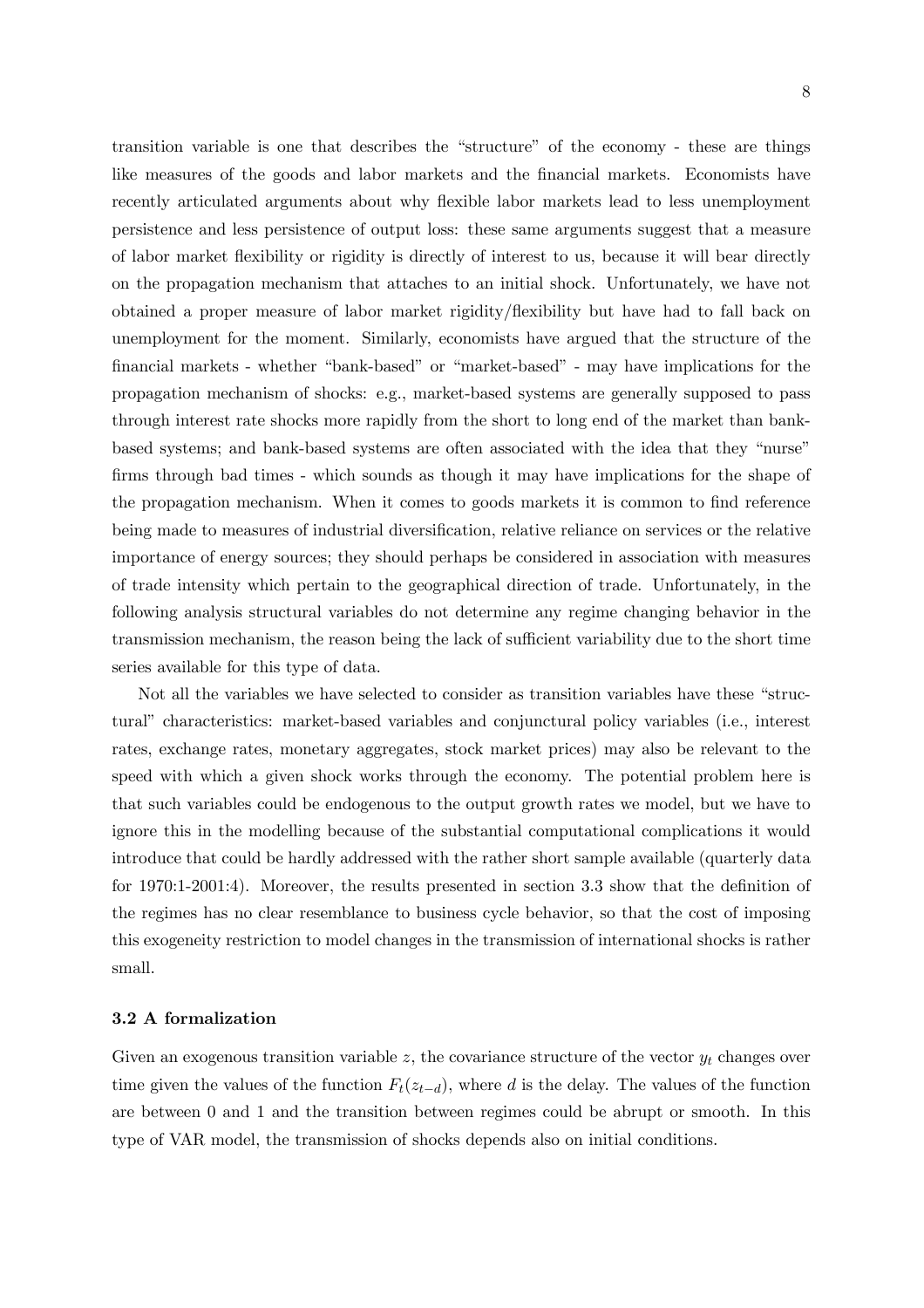transition variable is one that describes the "structure" of the economy - these are things like measures of the goods and labor markets and the financial markets. Economists have recently articulated arguments about why flexible labor markets lead to less unemployment persistence and less persistence of output loss: these same arguments suggest that a measure of labor market flexibility or rigidity is directly of interest to us, because it will bear directly on the propagation mechanism that attaches to an initial shock. Unfortunately, we have not obtained a proper measure of labor market rigidity/flexibility but have had to fall back on unemployment for the moment. Similarly, economists have argued that the structure of the financial markets - whether "bank-based" or "market-based" - may have implications for the propagation mechanism of shocks: e.g., market-based systems are generally supposed to pass through interest rate shocks more rapidly from the short to long end of the market than bankbased systems; and bank-based systems are often associated with the idea that they "nurse" firms through bad times - which sounds as though it may have implications for the shape of the propagation mechanism. When it comes to goods markets it is common to find reference being made to measures of industrial diversification, relative reliance on services or the relative importance of energy sources; they should perhaps be considered in association with measures of trade intensity which pertain to the geographical direction of trade. Unfortunately, in the following analysis structural variables do not determine any regime changing behavior in the transmission mechanism, the reason being the lack of sufficient variability due to the short time series available for this type of data.

Not all the variables we have selected to consider as transition variables have these "structural" characteristics: market-based variables and conjunctural policy variables (i.e., interest rates, exchange rates, monetary aggregates, stock market prices) may also be relevant to the speed with which a given shock works through the economy. The potential problem here is that such variables could be endogenous to the output growth rates we model, but we have to ignore this in the modelling because of the substantial computational complications it would introduce that could be hardly addressed with the rather short sample available (quarterly data for 1970:1-2001:4). Moreover, the results presented in section 3.3 show that the definition of the regimes has no clear resemblance to business cycle behavior, so that the cost of imposing this exogeneity restriction to model changes in the transmission of international shocks is rather small.

#### 3.2 A formalization

Given an exogenous transition variable z, the covariance structure of the vector  $y_t$  changes over time given the values of the function  $F_t(z_{t-d})$ , where d is the delay. The values of the function are between 0 and 1 and the transition between regimes could be abrupt or smooth. In this type of VAR model, the transmission of shocks depends also on initial conditions.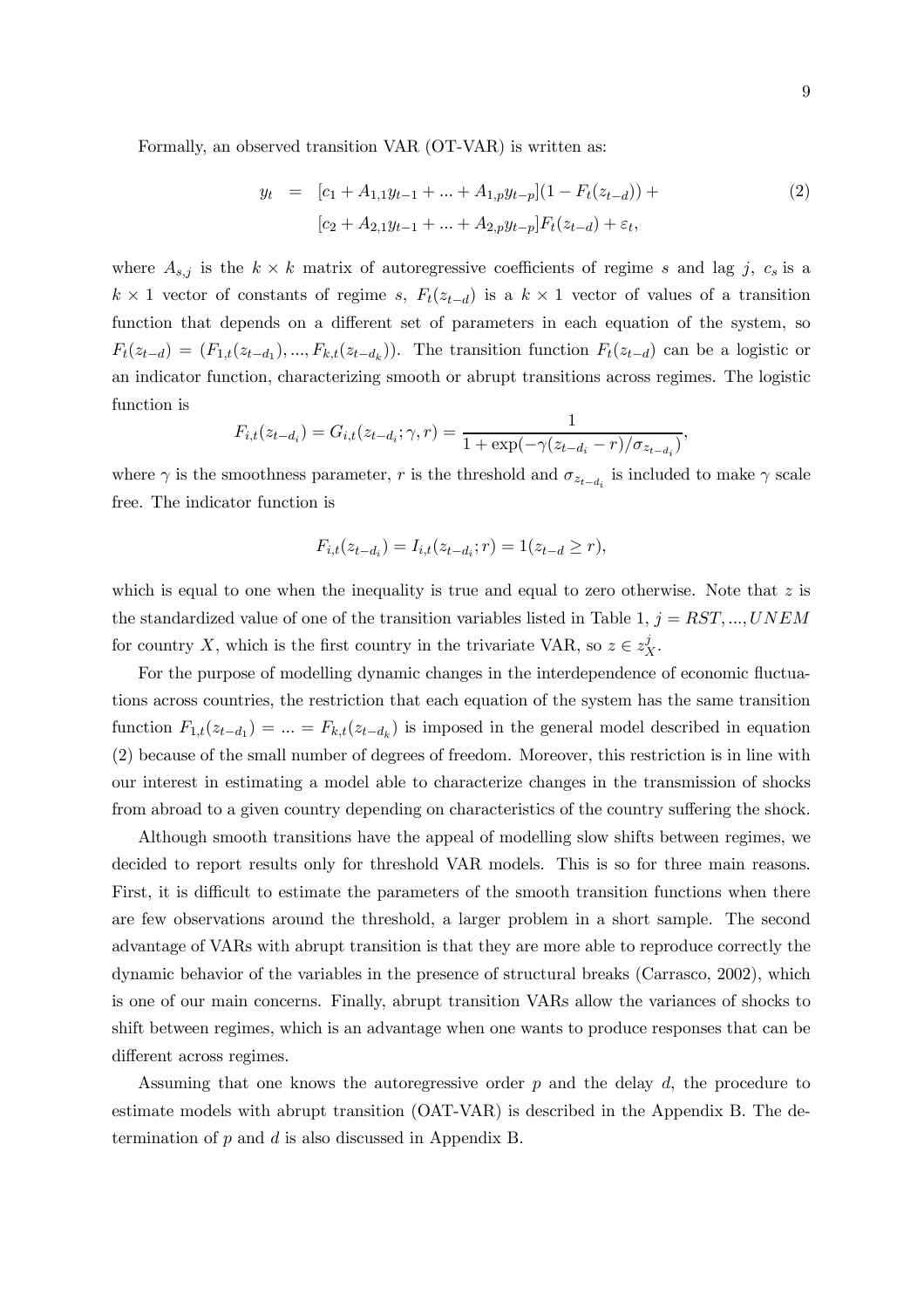Formally, an observed transition VAR (OT-VAR) is written as:

$$
y_t = [c_1 + A_{1,1}y_{t-1} + ... + A_{1,p}y_{t-p}](1 - F_t(z_{t-d})) +
$$
  
\n
$$
[c_2 + A_{2,1}y_{t-1} + ... + A_{2,p}y_{t-p}]F_t(z_{t-d}) + \varepsilon_t,
$$
\n(2)

where  $A_{s,j}$  is the  $k \times k$  matrix of autoregressive coefficients of regime s and lag j,  $c_s$  is a  $k \times 1$  vector of constants of regime s,  $F_t(z_{t-d})$  is a  $k \times 1$  vector of values of a transition function that depends on a different set of parameters in each equation of the system, so  $F_t(z_{t-d})=(F_{1,t}(z_{t-d_1}),..., F_{k,t}(z_{t-d_k}))$ . The transition function  $F_t(z_{t-d})$  can be a logistic or an indicator function, characterizing smooth or abrupt transitions across regimes. The logistic function is

$$
F_{i,t}(z_{t-d_i}) = G_{i,t}(z_{t-d_i}; \gamma, r) = \frac{1}{1 + \exp(-\gamma(z_{t-d_i} - r)/\sigma_{z_{t-d_i}})},
$$

where  $\gamma$  is the smoothness parameter, r is the threshold and  $\sigma_{z_{t-d_i}}$  is included to make  $\gamma$  scale free. The indicator function is

$$
F_{i,t}(z_{t-d_i}) = I_{i,t}(z_{t-d_i};r) = 1(z_{t-d} \geq r),
$$

which is equal to one when the inequality is true and equal to zero otherwise. Note that  $z$  is the standardized value of one of the transition variables listed in Table 1,  $j = RST, ..., UNEM$ for country X, which is the first country in the trivariate VAR, so  $z \in z_X^j$ .

For the purpose of modelling dynamic changes in the interdependence of economic fluctuations across countries, the restriction that each equation of the system has the same transition function  $F_{1,t}(z_{t-d_1}) = ... = F_{k,t}(z_{t-d_k})$  is imposed in the general model described in equation (2) because of the small number of degrees of freedom. Moreover, this restriction is in line with our interest in estimating a model able to characterize changes in the transmission of shocks from abroad to a given country depending on characteristics of the country suffering the shock.

Although smooth transitions have the appeal of modelling slow shifts between regimes, we decided to report results only for threshold VAR models. This is so for three main reasons. First, it is difficult to estimate the parameters of the smooth transition functions when there are few observations around the threshold, a larger problem in a short sample. The second advantage of VARs with abrupt transition is that they are more able to reproduce correctly the dynamic behavior of the variables in the presence of structural breaks (Carrasco, 2002), which is one of our main concerns. Finally, abrupt transition VARs allow the variances of shocks to shift between regimes, which is an advantage when one wants to produce responses that can be different across regimes.

Assuming that one knows the autoregressive order  $p$  and the delay  $d$ , the procedure to estimate models with abrupt transition (OAT-VAR) is described in the Appendix B. The determination of  $p$  and  $d$  is also discussed in Appendix B.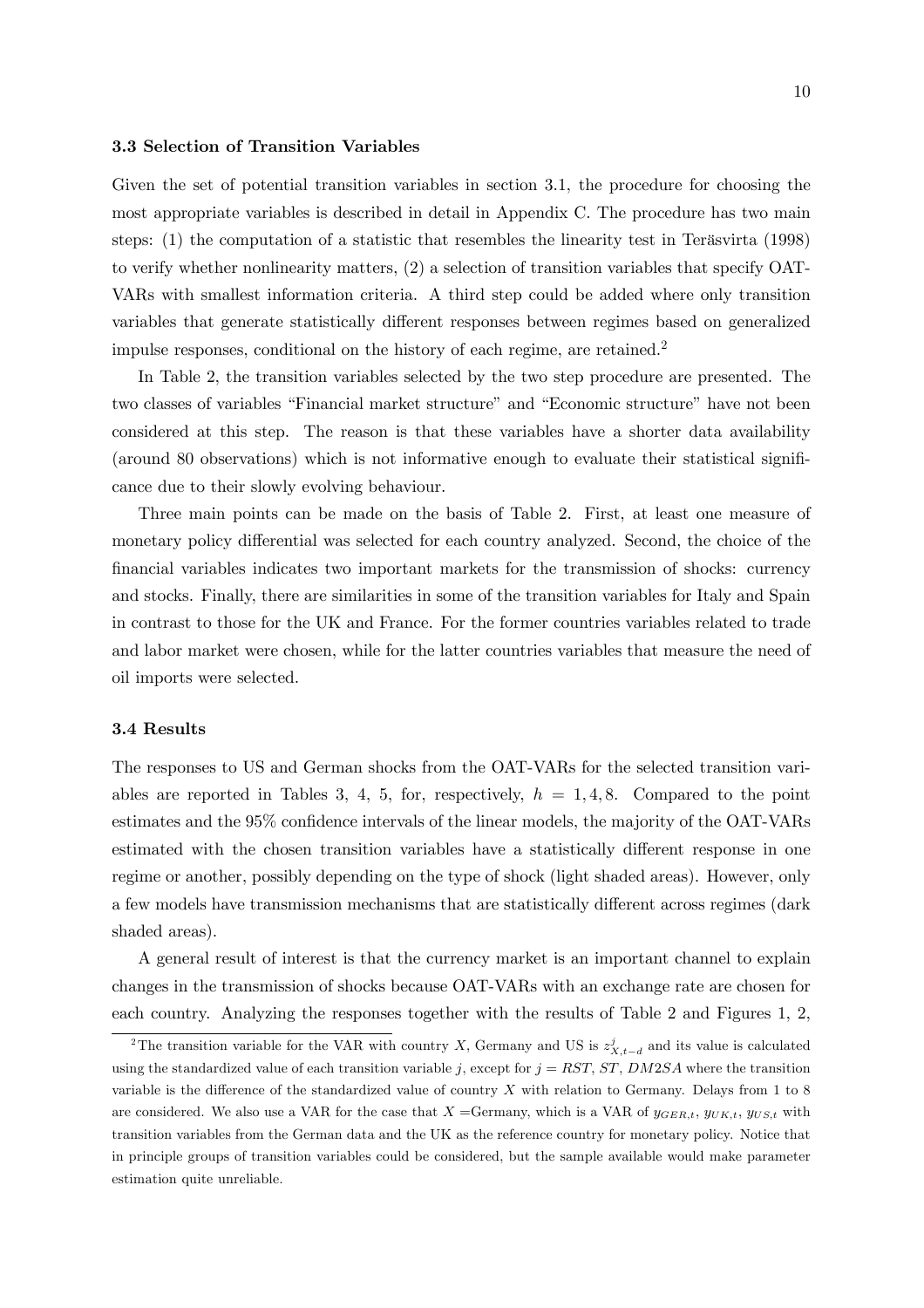#### 3.3 Selection of Transition Variables

Given the set of potential transition variables in section 3.1, the procedure for choosing the most appropriate variables is described in detail in Appendix C. The procedure has two main steps: (1) the computation of a statistic that resembles the linearity test in Teräsvirta (1998) to verify whether nonlinearity matters, (2) a selection of transition variables that specify OAT-VARs with smallest information criteria. A third step could be added where only transition variables that generate statistically different responses between regimes based on generalized impulse responses, conditional on the history of each regime, are retained.<sup>2</sup>

In Table 2, the transition variables selected by the two step procedure are presented. The two classes of variables "Financial market structure" and "Economic structure" have not been considered at this step. The reason is that these variables have a shorter data availability (around 80 observations) which is not informative enough to evaluate their statistical significance due to their slowly evolving behaviour.

Three main points can be made on the basis of Table 2. First, at least one measure of monetary policy differential was selected for each country analyzed. Second, the choice of the financial variables indicates two important markets for the transmission of shocks: currency and stocks. Finally, there are similarities in some of the transition variables for Italy and Spain in contrast to those for the UK and France. For the former countries variables related to trade and labor market were chosen, while for the latter countries variables that measure the need of oil imports were selected.

#### 3.4 Results

The responses to US and German shocks from the OAT-VARs for the selected transition variables are reported in Tables 3, 4, 5, for, respectively,  $h = 1, 4, 8$ . Compared to the point estimates and the 95% confidence intervals of the linear models, the majority of the OAT-VARs estimated with the chosen transition variables have a statistically different response in one regime or another, possibly depending on the type of shock (light shaded areas). However, only a few models have transmission mechanisms that are statistically different across regimes (dark shaded areas).

A general result of interest is that the currency market is an important channel to explain changes in the transmission of shocks because OAT-VARs with an exchange rate are chosen for each country. Analyzing the responses together with the results of Table 2 and Figures 1, 2,

<sup>&</sup>lt;sup>2</sup>The transition variable for the VAR with country X, Germany and US is  $z_{X,t-d}^j$  and its value is calculated using the standardized value of each transition variable j, except for  $j = RST$ ,  $ST$ ,  $DM2SA$  where the transition variable is the difference of the standardized value of country X with relation to Germany. Delays from 1 to 8 are considered. We also use a VAR for the case that  $X = \text{Germany}$ , which is a VAR of  $y_{GER,t}$ ,  $y_{UK,t}$ ,  $y_{US,t}$  with transition variables from the German data and the UK as the reference country for monetary policy. Notice that in principle groups of transition variables could be considered, but the sample available would make parameter estimation quite unreliable.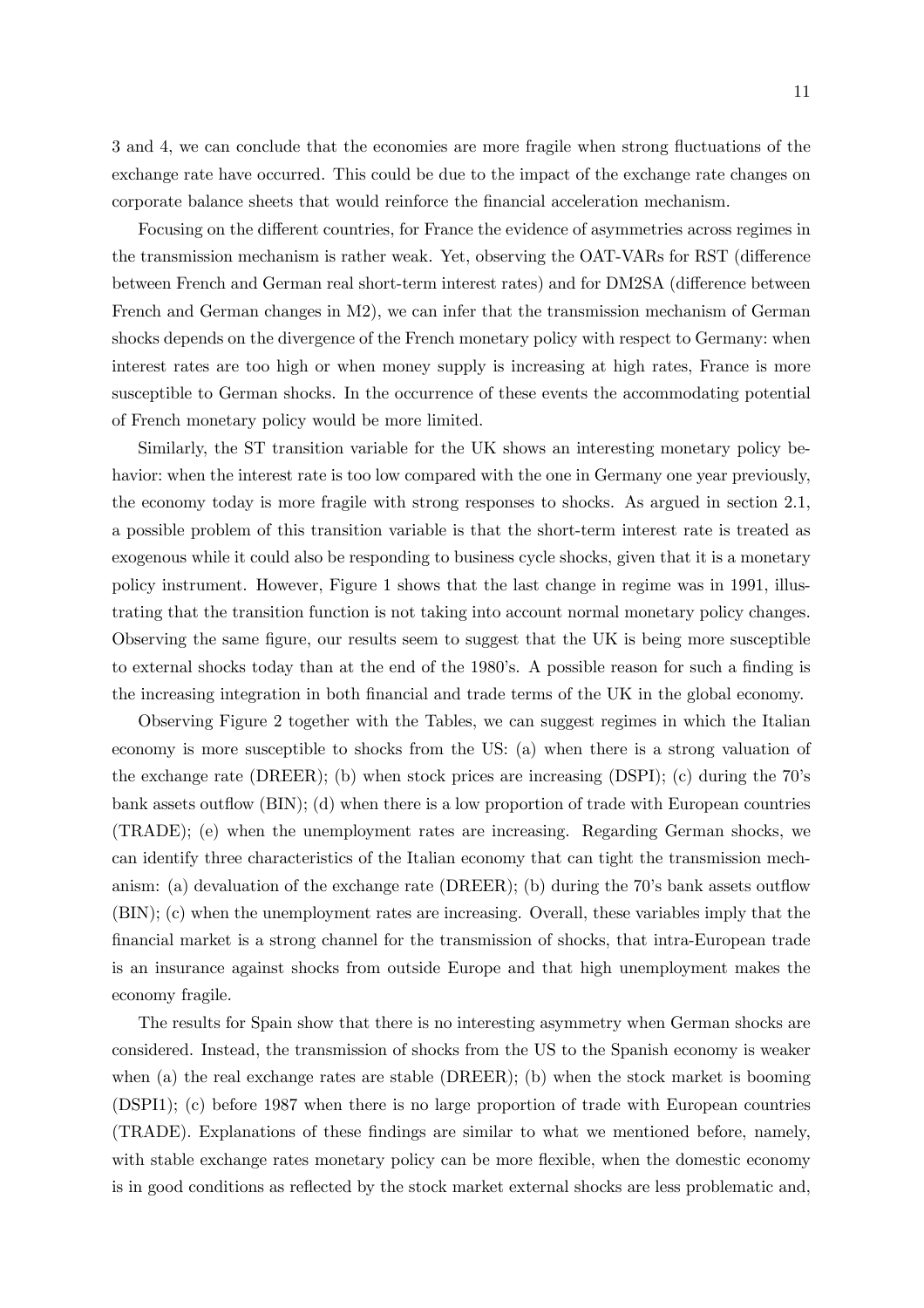3 and 4, we can conclude that the economies are more fragile when strong fluctuations of the exchange rate have occurred. This could be due to the impact of the exchange rate changes on corporate balance sheets that would reinforce the financial acceleration mechanism.

Focusing on the different countries, for France the evidence of asymmetries across regimes in the transmission mechanism is rather weak. Yet, observing the OAT-VARs for RST (difference between French and German real short-term interest rates) and for DM2SA (difference between French and German changes in M2), we can infer that the transmission mechanism of German shocks depends on the divergence of the French monetary policy with respect to Germany: when interest rates are too high or when money supply is increasing at high rates, France is more susceptible to German shocks. In the occurrence of these events the accommodating potential of French monetary policy would be more limited.

Similarly, the ST transition variable for the UK shows an interesting monetary policy behavior: when the interest rate is too low compared with the one in Germany one year previously, the economy today is more fragile with strong responses to shocks. As argued in section 2.1, a possible problem of this transition variable is that the short-term interest rate is treated as exogenous while it could also be responding to business cycle shocks, given that it is a monetary policy instrument. However, Figure 1 shows that the last change in regime was in 1991, illustrating that the transition function is not taking into account normal monetary policy changes. Observing the same figure, our results seem to suggest that the UK is being more susceptible to external shocks today than at the end of the 1980's. A possible reason for such a finding is the increasing integration in both financial and trade terms of the UK in the global economy.

Observing Figure 2 together with the Tables, we can suggest regimes in which the Italian economy is more susceptible to shocks from the US: (a) when there is a strong valuation of the exchange rate (DREER); (b) when stock prices are increasing (DSPI); (c) during the 70's bank assets outflow (BIN); (d) when there is a low proportion of trade with European countries (TRADE); (e) when the unemployment rates are increasing. Regarding German shocks, we can identify three characteristics of the Italian economy that can tight the transmission mechanism: (a) devaluation of the exchange rate (DREER); (b) during the 70's bank assets outflow (BIN); (c) when the unemployment rates are increasing. Overall, these variables imply that the financial market is a strong channel for the transmission of shocks, that intra-European trade is an insurance against shocks from outside Europe and that high unemployment makes the economy fragile.

The results for Spain show that there is no interesting asymmetry when German shocks are considered. Instead, the transmission of shocks from the US to the Spanish economy is weaker when (a) the real exchange rates are stable (DREER); (b) when the stock market is booming (DSPI1); (c) before 1987 when there is no large proportion of trade with European countries (TRADE). Explanations of these findings are similar to what we mentioned before, namely, with stable exchange rates monetary policy can be more flexible, when the domestic economy is in good conditions as reflected by the stock market external shocks are less problematic and,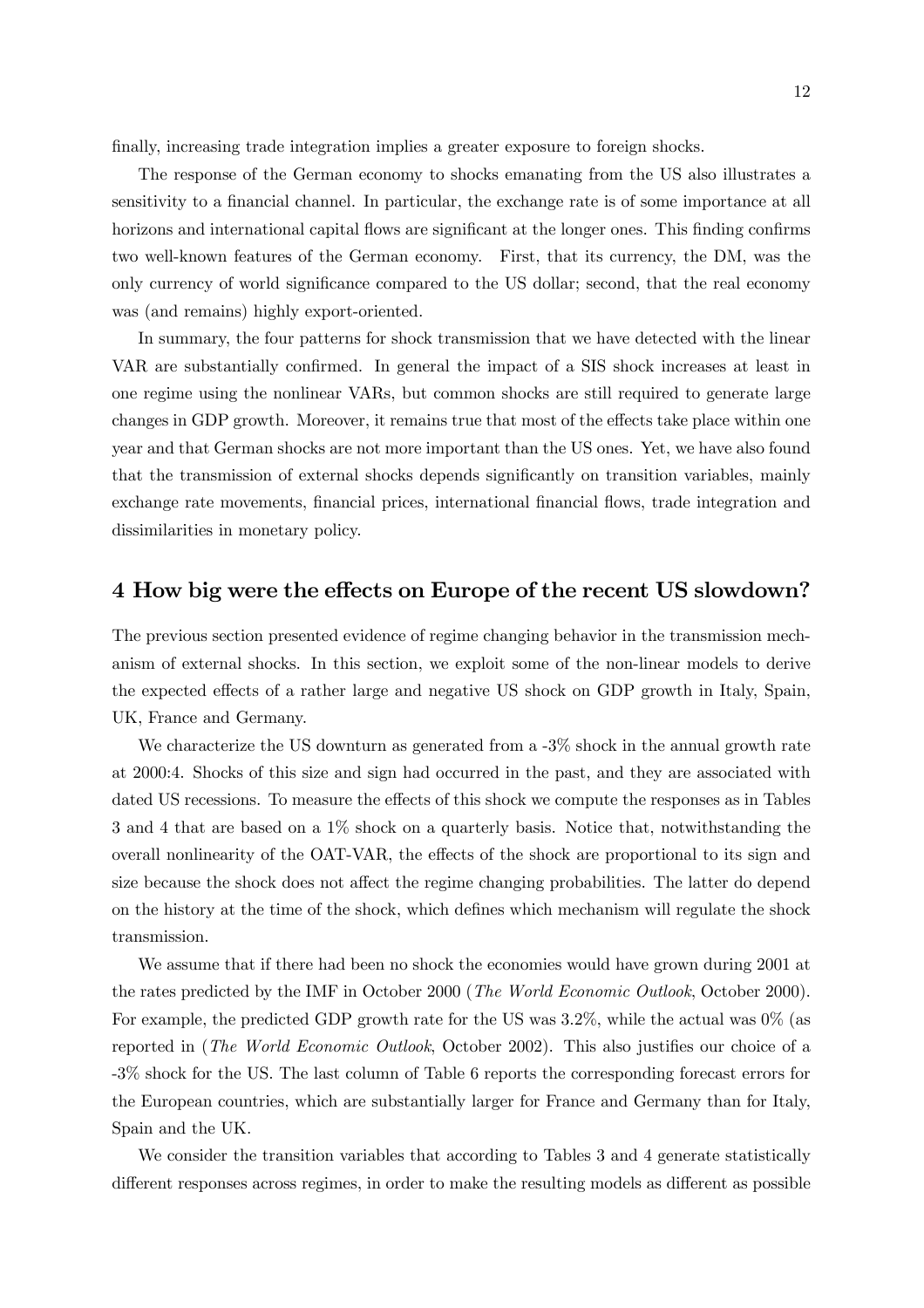finally, increasing trade integration implies a greater exposure to foreign shocks.

The response of the German economy to shocks emanating from the US also illustrates a sensitivity to a financial channel. In particular, the exchange rate is of some importance at all horizons and international capital flows are significant at the longer ones. This finding confirms two well-known features of the German economy. First, that its currency, the DM, was the only currency of world significance compared to the US dollar; second, that the real economy was (and remains) highly export-oriented.

In summary, the four patterns for shock transmission that we have detected with the linear VAR are substantially confirmed. In general the impact of a SIS shock increases at least in one regime using the nonlinear VARs, but common shocks are still required to generate large changes in GDP growth. Moreover, it remains true that most of the effects take place within one year and that German shocks are not more important than the US ones. Yet, we have also found that the transmission of external shocks depends significantly on transition variables, mainly exchange rate movements, financial prices, international financial flows, trade integration and dissimilarities in monetary policy.

### 4 How big were the effects on Europe of the recent US slowdown?

The previous section presented evidence of regime changing behavior in the transmission mechanism of external shocks. In this section, we exploit some of the non-linear models to derive the expected effects of a rather large and negative US shock on GDP growth in Italy, Spain, UK, France and Germany.

We characterize the US downturn as generated from a  $-3\%$  shock in the annual growth rate at 2000:4. Shocks of this size and sign had occurred in the past, and they are associated with dated US recessions. To measure the effects of this shock we compute the responses as in Tables 3 and 4 that are based on a 1% shock on a quarterly basis. Notice that, notwithstanding the overall nonlinearity of the OAT-VAR, the effects of the shock are proportional to its sign and size because the shock does not affect the regime changing probabilities. The latter do depend on the history at the time of the shock, which defines which mechanism will regulate the shock transmission.

We assume that if there had been no shock the economies would have grown during 2001 at the rates predicted by the IMF in October 2000 (The World Economic Outlook, October 2000). For example, the predicted GDP growth rate for the US was 3.2%, while the actual was 0% (as reported in (The World Economic Outlook, October 2002). This also justifies our choice of a -3% shock for the US. The last column of Table 6 reports the corresponding forecast errors for the European countries, which are substantially larger for France and Germany than for Italy, Spain and the UK.

We consider the transition variables that according to Tables 3 and 4 generate statistically different responses across regimes, in order to make the resulting models as different as possible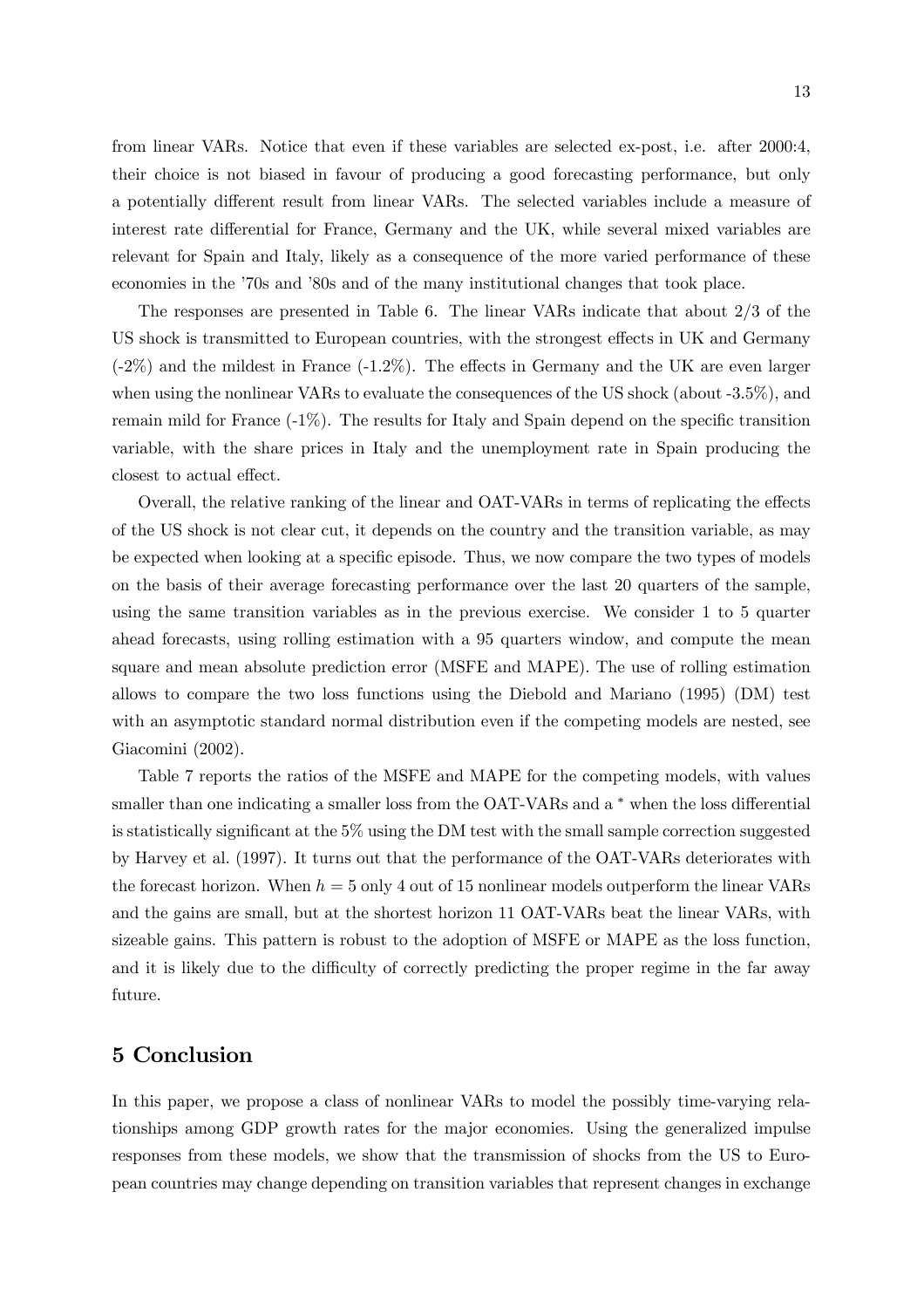13

from linear VARs. Notice that even if these variables are selected ex-post, i.e. after 2000:4, their choice is not biased in favour of producing a good forecasting performance, but only a potentially different result from linear VARs. The selected variables include a measure of interest rate differential for France, Germany and the UK, while several mixed variables are relevant for Spain and Italy, likely as a consequence of the more varied performance of these economies in the '70s and '80s and of the many institutional changes that took place.

The responses are presented in Table 6. The linear VARs indicate that about 2/3 of the US shock is transmitted to European countries, with the strongest effects in UK and Germany (-2%) and the mildest in France (-1.2%). The effects in Germany and the UK are even larger when using the nonlinear VARs to evaluate the consequences of the US shock (about -3.5%), and remain mild for France (-1%). The results for Italy and Spain depend on the specific transition variable, with the share prices in Italy and the unemployment rate in Spain producing the closest to actual effect.

Overall, the relative ranking of the linear and OAT-VARs in terms of replicating the effects of the US shock is not clear cut, it depends on the country and the transition variable, as may be expected when looking at a specific episode. Thus, we now compare the two types of models on the basis of their average forecasting performance over the last 20 quarters of the sample, using the same transition variables as in the previous exercise. We consider 1 to 5 quarter ahead forecasts, using rolling estimation with a 95 quarters window, and compute the mean square and mean absolute prediction error (MSFE and MAPE). The use of rolling estimation allows to compare the two loss functions using the Diebold and Mariano (1995) (DM) test with an asymptotic standard normal distribution even if the competing models are nested, see Giacomini (2002).

Table 7 reports the ratios of the MSFE and MAPE for the competing models, with values smaller than one indicating a smaller loss from the OAT-VARs and a  $*$  when the loss differential is statistically significant at the 5% using the DM test with the small sample correction suggested by Harvey et al. (1997). It turns out that the performance of the OAT-VARs deteriorates with the forecast horizon. When  $h = 5$  only 4 out of 15 nonlinear models outperform the linear VARs and the gains are small, but at the shortest horizon 11 OAT-VARs beat the linear VARs, with sizeable gains. This pattern is robust to the adoption of MSFE or MAPE as the loss function, and it is likely due to the difficulty of correctly predicting the proper regime in the far away future.

### 5 Conclusion

In this paper, we propose a class of nonlinear VARs to model the possibly time-varying relationships among GDP growth rates for the major economies. Using the generalized impulse responses from these models, we show that the transmission of shocks from the US to European countries may change depending on transition variables that represent changes in exchange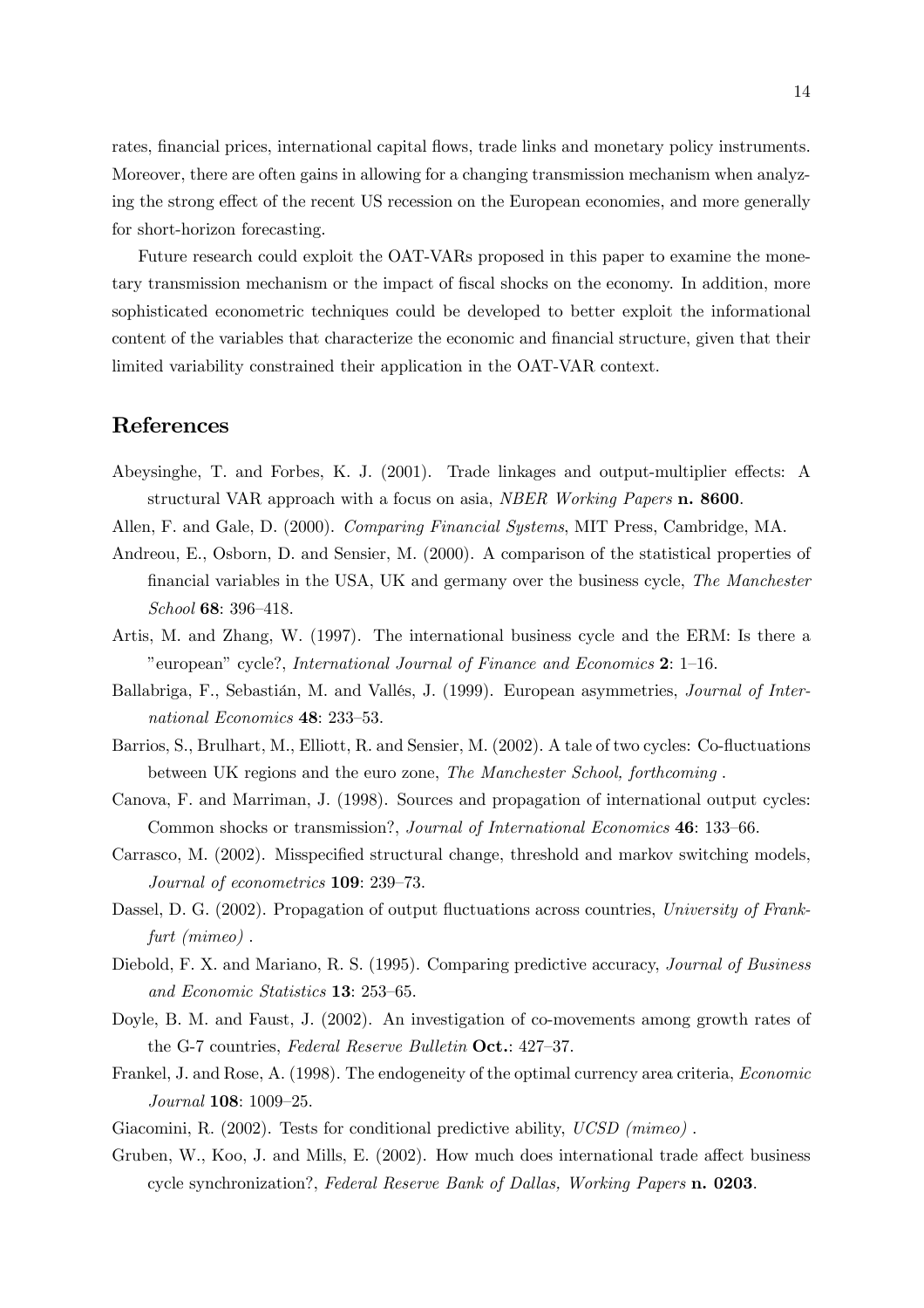rates, financial prices, international capital flows, trade links and monetary policy instruments. Moreover, there are often gains in allowing for a changing transmission mechanism when analyzing the strong effect of the recent US recession on the European economies, and more generally for short-horizon forecasting.

Future research could exploit the OAT-VARs proposed in this paper to examine the monetary transmission mechanism or the impact of fiscal shocks on the economy. In addition, more sophisticated econometric techniques could be developed to better exploit the informational content of the variables that characterize the economic and financial structure, given that their limited variability constrained their application in the OAT-VAR context.

### References

- Abeysinghe, T. and Forbes, K. J. (2001). Trade linkages and output-multiplier effects: A structural VAR approach with a focus on asia, NBER Working Papers n. 8600.
- Allen, F. and Gale, D. (2000). Comparing Financial Systems, MIT Press, Cambridge, MA.
- Andreou, E., Osborn, D. and Sensier, M. (2000). A comparison of the statistical properties of financial variables in the USA, UK and germany over the business cycle, The Manchester School 68: 396—418.
- Artis, M. and Zhang, W. (1997). The international business cycle and the ERM: Is there a "european" cycle?, International Journal of Finance and Economics 2: 1—16.
- Ballabriga, F., Sebastián, M. and Vallés, J. (1999). European asymmetries, Journal of International Economics 48: 233—53.
- Barrios, S., Brulhart, M., Elliott, R. and Sensier, M. (2002). A tale of two cycles: Co-fluctuations between UK regions and the euro zone, The Manchester School, forthcoming .
- Canova, F. and Marriman, J. (1998). Sources and propagation of international output cycles: Common shocks or transmission?, Journal of International Economics 46: 133—66.
- Carrasco, M. (2002). Misspecified structural change, threshold and markov switching models, Journal of econometrics 109: 239—73.
- Dassel, D. G. (2002). Propagation of output fluctuations across countries, University of Frankfurt (mimeo).
- Diebold, F. X. and Mariano, R. S. (1995). Comparing predictive accuracy, *Journal of Business* and Economic Statistics 13: 253—65.
- Doyle, B. M. and Faust, J. (2002). An investigation of co-movements among growth rates of the G-7 countries, Federal Reserve Bulletin Oct.: 427-37.
- Frankel, J. and Rose, A. (1998). The endogeneity of the optimal currency area criteria, Economic Journal 108: 1009—25.
- Giacomini, R. (2002). Tests for conditional predictive ability, UCSD (mimeo).
- Gruben, W., Koo, J. and Mills, E. (2002). How much does international trade affect business cycle synchronization?, Federal Reserve Bank of Dallas, Working Papers n. 0203.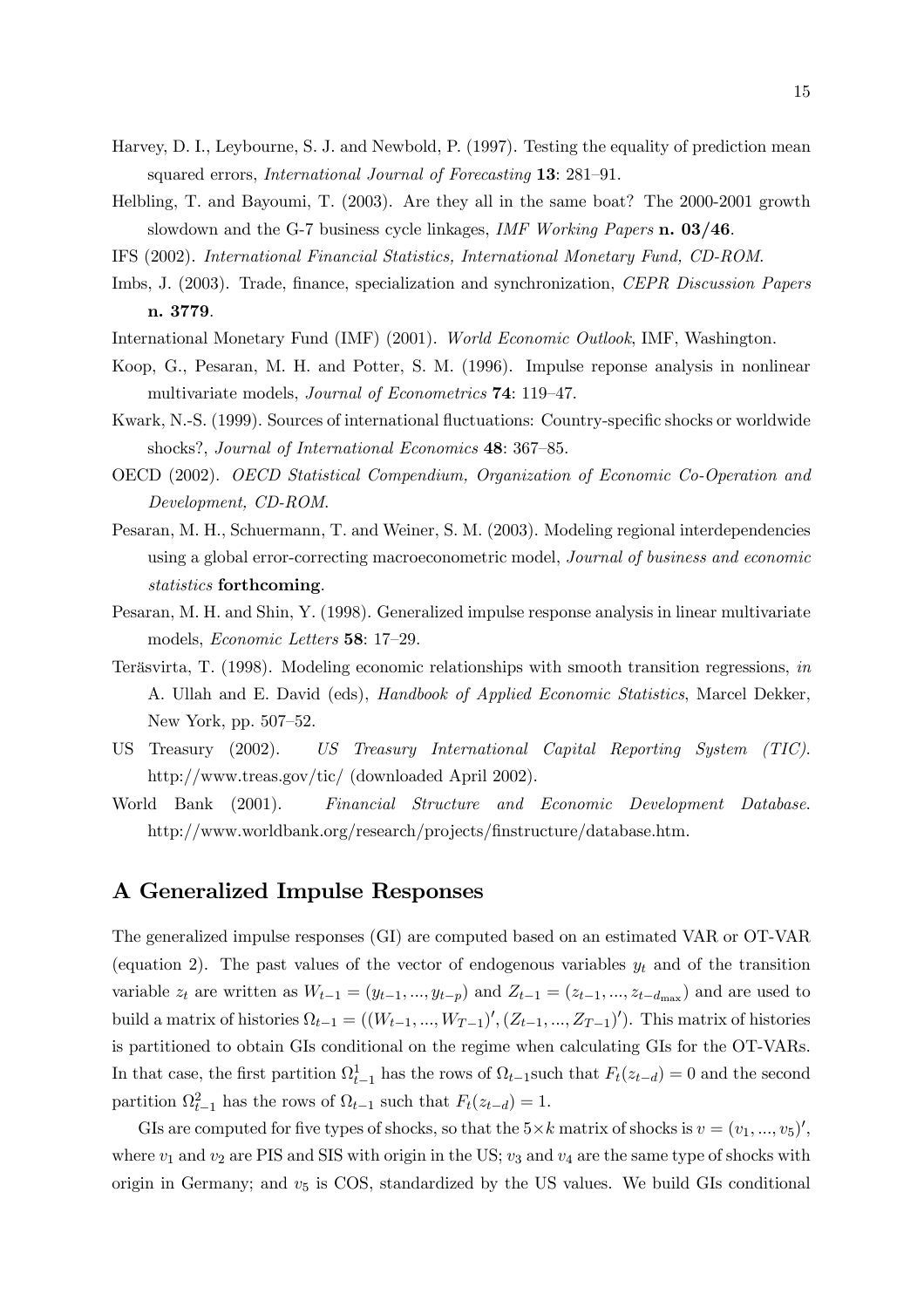- Harvey, D. I., Leybourne, S. J. and Newbold, P. (1997). Testing the equality of prediction mean squared errors, International Journal of Forecasting 13: 281—91.
- Helbling, T. and Bayoumi, T. (2003). Are they all in the same boat? The 2000-2001 growth slowdown and the G-7 business cycle linkages, IMF Working Papers n. 03/46.
- IFS (2002). International Financial Statistics, International Monetary Fund, CD-ROM.
- Imbs, J. (2003). Trade, finance, specialization and synchronization, CEPR Discussion Papers n. 3779.
- International Monetary Fund (IMF) (2001). World Economic Outlook, IMF, Washington.
- Koop, G., Pesaran, M. H. and Potter, S. M. (1996). Impulse reponse analysis in nonlinear multivariate models, *Journal of Econometrics* **74**: 119-47.
- Kwark, N.-S. (1999). Sources of international fluctuations: Country-specific shocks or worldwide shocks?, Journal of International Economics 48: 367-85.
- OECD (2002). OECD Statistical Compendium, Organization of Economic Co-Operation and Development, CD-ROM.
- Pesaran, M. H., Schuermann, T. and Weiner, S. M. (2003). Modeling regional interdependencies using a global error-correcting macroeconometric model, Journal of business and economic statistics forthcoming.
- Pesaran, M. H. and Shin, Y. (1998). Generalized impulse response analysis in linear multivariate models, Economic Letters 58: 17—29.
- Teräsvirta, T. (1998). Modeling economic relationships with smooth transition regressions, in A. Ullah and E. David (eds), Handbook of Applied Economic Statistics, Marcel Dekker, New York, pp. 507—52.
- US Treasury (2002). US Treasury International Capital Reporting System (TIC). http://www.treas.gov/tic/ (downloaded April 2002).
- World Bank (2001). Financial Structure and Economic Development Database. http://www.worldbank.org/research/projects/finstructure/database.htm.

### A Generalized Impulse Responses

The generalized impulse responses (GI) are computed based on an estimated VAR or OT-VAR (equation 2). The past values of the vector of endogenous variables  $y_t$  and of the transition variable  $z_t$  are written as  $W_{t-1} = (y_{t-1},...,y_{t-p})$  and  $Z_{t-1} = (z_{t-1},...,z_{t-d_{\text{max}}})$  and are used to build a matrix of histories  $\Omega_{t-1} = ((W_{t-1}, ..., W_{T-1})', (Z_{t-1}, ..., Z_{T-1})')$ . This matrix of histories is partitioned to obtain GIs conditional on the regime when calculating GIs for the OT-VARs. In that case, the first partition  $\Omega_{t-1}^1$  has the rows of  $\Omega_{t-1}$  such that  $F_t(z_{t-d})=0$  and the second partition  $\Omega_{t-1}^2$  has the rows of  $\Omega_{t-1}$  such that  $F_t(z_{t-d})=1$ .

GIs are computed for five types of shocks, so that the  $5\times k$  matrix of shocks is  $v = (v_1, ..., v_5)'$ , where  $v_1$  and  $v_2$  are PIS and SIS with origin in the US;  $v_3$  and  $v_4$  are the same type of shocks with origin in Germany; and  $v<sub>5</sub>$  is COS, standardized by the US values. We build GIs conditional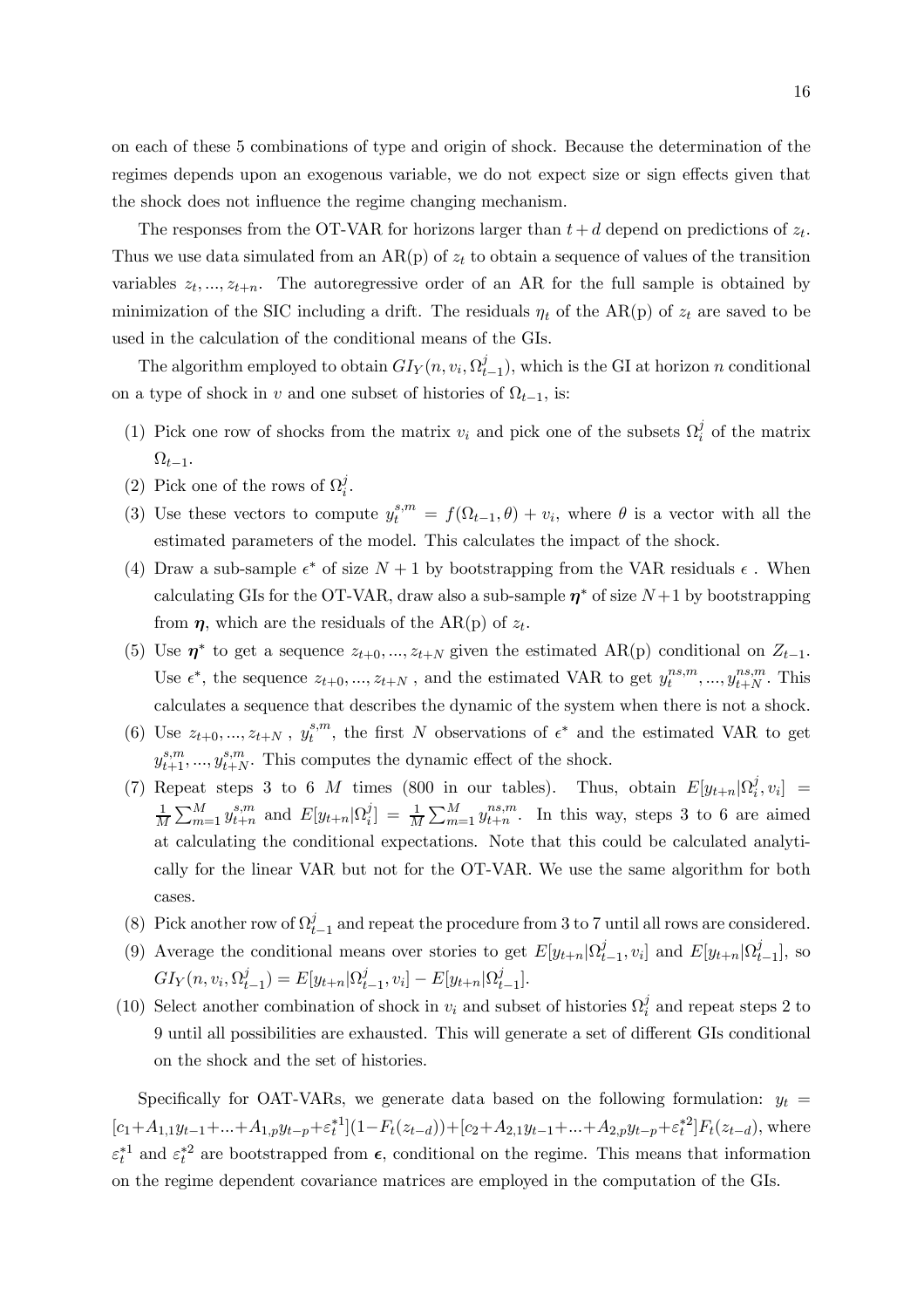on each of these 5 combinations of type and origin of shock. Because the determination of the regimes depends upon an exogenous variable, we do not expect size or sign effects given that the shock does not influence the regime changing mechanism.

The responses from the OT-VAR for horizons larger than  $t + d$  depend on predictions of  $z_t$ . Thus we use data simulated from an  $AR(p)$  of  $z_t$  to obtain a sequence of values of the transition variables  $z_t, ..., z_{t+n}$ . The autoregressive order of an AR for the full sample is obtained by minimization of the SIC including a drift. The residuals  $\eta_t$  of the AR(p) of  $z_t$  are saved to be used in the calculation of the conditional means of the GIs.

The algorithm employed to obtain  $GI_Y(n, v_i, \Omega_{t-1}^j)$ , which is the GI at horizon n conditional on a type of shock in v and one subset of histories of  $\Omega_{t-1}$ , is:

- (1) Pick one row of shocks from the matrix  $v_i$  and pick one of the subsets  $\Omega_i^j$  of the matrix  $\Omega_{t-1}$ .
- (2) Pick one of the rows of  $\Omega_i^j$ .
- (3) Use these vectors to compute  $y_t^{s,m} = f(\Omega_{t-1}, \theta) + v_i$ , where  $\theta$  is a vector with all the estimated parameters of the model. This calculates the impact of the shock.
- (4) Draw a sub-sample  $\epsilon^*$  of size  $N+1$  by bootstrapping from the VAR residuals  $\epsilon$ . When calculating GIs for the OT-VAR, draw also a sub-sample  $\eta^*$  of size  $N+1$  by bootstrapping from  $\eta$ , which are the residuals of the AR(p) of  $z_t$ .
- (5) Use  $\eta^*$  to get a sequence  $z_{t+0}, ..., z_{t+N}$  given the estimated AR(p) conditional on  $Z_{t-1}$ . Use  $\epsilon^*$ , the sequence  $z_{t+0},...,z_{t+N}$ , and the estimated VAR to get  $y_t^{ns,m},...,y_{t+N}^{ns,m}$ . This calculates a sequence that describes the dynamic of the system when there is not a shock.
- (6) Use  $z_{t+0},...,z_{t+N}$ ,  $y_t^{s,m}$ , the first N observations of  $\epsilon^*$  and the estimated VAR to get  $y_{t+1}^{s,m},...,y_{t+N}^{s,m}$ . This computes the dynamic effect of the shock.
- (7) Repeat steps 3 to 6 M times (800 in our tables). Thus, obtain  $E[y_{t+n} | \Omega_i^j, v_i] =$ 1  $\frac{1}{M}\sum_{m=1}^{M} y_{t+n}^{s,m}$  and  $E[y_{t+n}|\Omega_i^j] = \frac{1}{M}\sum_{m=1}^{M} y_{t+n}^{ns,m}$ . In this way, steps 3 to 6 are aimed at calculating the conditional expectations. Note that this could be calculated analytically for the linear VAR but not for the OT-VAR. We use the same algorithm for both cases.
- (8) Pick another row of  $\Omega_{t-1}^j$  and repeat the procedure from 3 to 7 until all rows are considered.
- (9) Average the conditional means over stories to get  $E[y_{t+n} | \Omega_{t-1}^j, v_i]$  and  $E[y_{t+n} | \Omega_{t-1}^j]$ , so  $GI_Y(n, v_i, \Omega_{t-1}^j) = E[y_{t+n} | \Omega_{t-1}^j, v_i] - E[y_{t+n} | \Omega_{t-1}^j].$
- (10) Select another combination of shock in  $v_i$  and subset of histories  $\Omega_i^j$  and repeat steps 2 to 9 until all possibilities are exhausted. This will generate a set of different GIs conditional on the shock and the set of histories.

Specifically for OAT-VARs, we generate data based on the following formulation:  $y_t =$  $[c_1+A_{1,1}y_{t-1}+...+A_{1,p}y_{t-p}+\varepsilon_t^{*1}](1-F_t(z_{t-d}))+[c_2+A_{2,1}y_{t-1}+...+A_{2,p}y_{t-p}+\varepsilon_t^{*2}]F_t(z_{t-d}),$  where  $\varepsilon_t^{*1}$  and  $\varepsilon_t^{*2}$  are bootstrapped from  $\epsilon$ , conditional on the regime. This means that information on the regime dependent covariance matrices are employed in the computation of the GIs.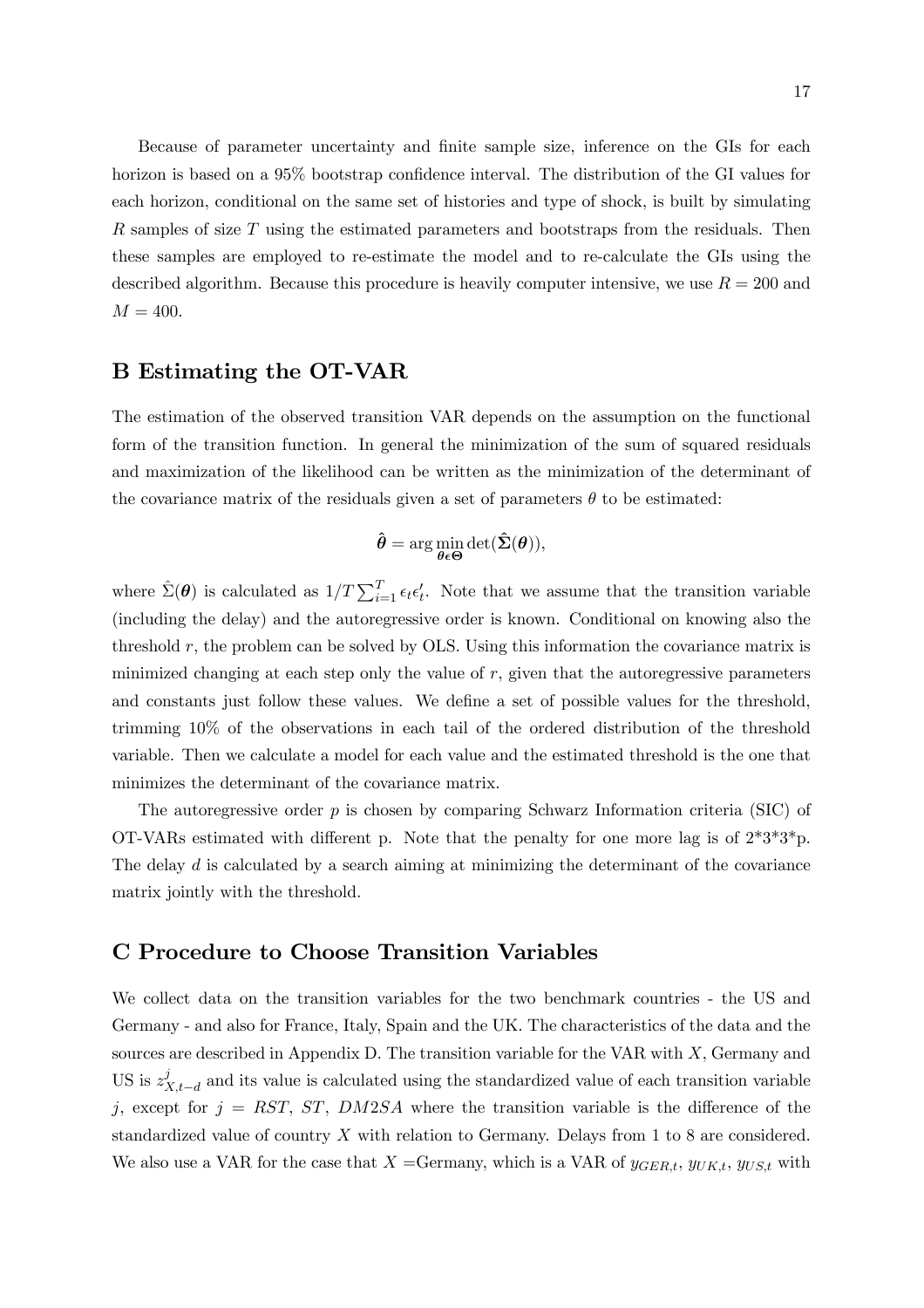Because of parameter uncertainty and finite sample size, inference on the GIs for each horizon is based on a 95% bootstrap confidence interval. The distribution of the GI values for each horizon, conditional on the same set of histories and type of shock, is built by simulating R samples of size T using the estimated parameters and bootstraps from the residuals. Then these samples are employed to re-estimate the model and to re-calculate the GIs using the described algorithm. Because this procedure is heavily computer intensive, we use  $R = 200$  and  $M = 400.$ 

### B Estimating the OT-VAR

The estimation of the observed transition VAR depends on the assumption on the functional form of the transition function. In general the minimization of the sum of squared residuals and maximization of the likelihood can be written as the minimization of the determinant of the covariance matrix of the residuals given a set of parameters  $\theta$  to be estimated:

$$
\hat{\boldsymbol{\theta}} = \arg\min_{\boldsymbol{\theta} \in \boldsymbol{\Theta}} \det(\hat{\boldsymbol{\Sigma}}(\boldsymbol{\theta})),
$$

where  $\hat{\Sigma}(\theta)$  is calculated as  $1/T \sum_{i=1}^{T} \epsilon_i \epsilon_i'$ . Note that we assume that the transition variable (including the delay) and the autoregressive order is known. Conditional on knowing also the threshold r, the problem can be solved by OLS. Using this information the covariance matrix is minimized changing at each step only the value of r, given that the autoregressive parameters and constants just follow these values. We define a set of possible values for the threshold, trimming 10% of the observations in each tail of the ordered distribution of the threshold variable. Then we calculate a model for each value and the estimated threshold is the one that minimizes the determinant of the covariance matrix.

The autoregressive order  $p$  is chosen by comparing Schwarz Information criteria (SIC) of OT-VARs estimated with different p. Note that the penalty for one more lag is of  $2*3*3*p$ . The delay  $d$  is calculated by a search aiming at minimizing the determinant of the covariance matrix jointly with the threshold.

### C Procedure to Choose Transition Variables

We collect data on the transition variables for the two benchmark countries - the US and Germany - and also for France, Italy, Spain and the UK. The characteristics of the data and the sources are described in Appendix D. The transition variable for the VAR with X, Germany and US is  $z_{X,t-d}^j$  and its value is calculated using the standardized value of each transition variable j, except for  $j = RST$ ,  $ST$ ,  $DM2SA$  where the transition variable is the difference of the standardized value of country  $X$  with relation to Germany. Delays from 1 to 8 are considered. We also use a VAR for the case that  $X =$ Germany, which is a VAR of  $y_{GER,t}$ ,  $y_{UK,t}$ ,  $y_{US,t}$  with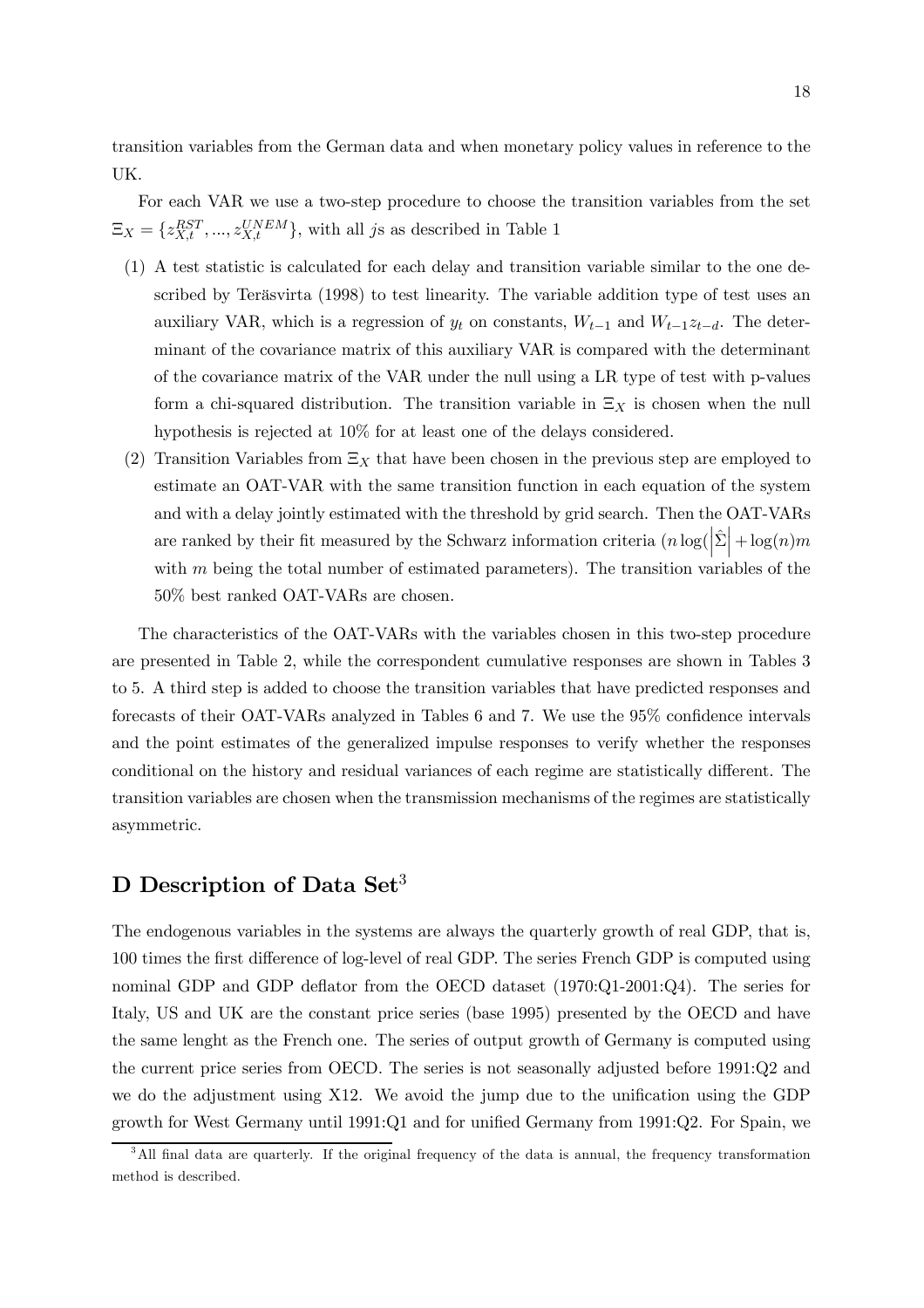transition variables from the German data and when monetary policy values in reference to the UK.

For each VAR we use a two-step procedure to choose the transition variables from the set  $\Xi_X = \{z_{X,t}^{RST},...,z_{X,t}^{UNEM}\},\$  with all js as described in Table 1

- (1) A test statistic is calculated for each delay and transition variable similar to the one described by Teräsvirta (1998) to test linearity. The variable addition type of test uses an auxiliary VAR, which is a regression of  $y_t$  on constants,  $W_{t-1}$  and  $W_{t-1}z_{t-d}$ . The determinant of the covariance matrix of this auxiliary VAR is compared with the determinant of the covariance matrix of the VAR under the null using a LR type of test with p-values form a chi-squared distribution. The transition variable in  $\Xi_X$  is chosen when the null hypothesis is rejected at 10% for at least one of the delays considered.
- (2) Transition Variables from  $\Xi_X$  that have been chosen in the previous step are employed to estimate an OAT-VAR with the same transition function in each equation of the system and with a delay jointly estimated with the threshold by grid search. Then the OAT-VARs are ranked by their fit measured by the Schwarz information criteria  $(n \log(\left|\hat{\Sigma}\right| + \log(n)m))$ with  $m$  being the total number of estimated parameters). The transition variables of the 50% best ranked OAT-VARs are chosen.

The characteristics of the OAT-VARs with the variables chosen in this two-step procedure are presented in Table 2, while the correspondent cumulative responses are shown in Tables 3 to 5. A third step is added to choose the transition variables that have predicted responses and forecasts of their OAT-VARs analyzed in Tables 6 and 7. We use the 95% confidence intervals and the point estimates of the generalized impulse responses to verify whether the responses conditional on the history and residual variances of each regime are statistically different. The transition variables are chosen when the transmission mechanisms of the regimes are statistically asymmetric.

# D Description of Data Set<sup>3</sup>

The endogenous variables in the systems are always the quarterly growth of real GDP, that is, 100 times the first difference of log-level of real GDP. The series French GDP is computed using nominal GDP and GDP deflator from the OECD dataset (1970:Q1-2001:Q4). The series for Italy, US and UK are the constant price series (base 1995) presented by the OECD and have the same lenght as the French one. The series of output growth of Germany is computed using the current price series from OECD. The series is not seasonally adjusted before 1991:Q2 and we do the adjustment using X12. We avoid the jump due to the unification using the GDP growth for West Germany until 1991:Q1 and for unified Germany from 1991:Q2. For Spain, we

<sup>&</sup>lt;sup>3</sup>All final data are quarterly. If the original frequency of the data is annual, the frequency transformation method is described.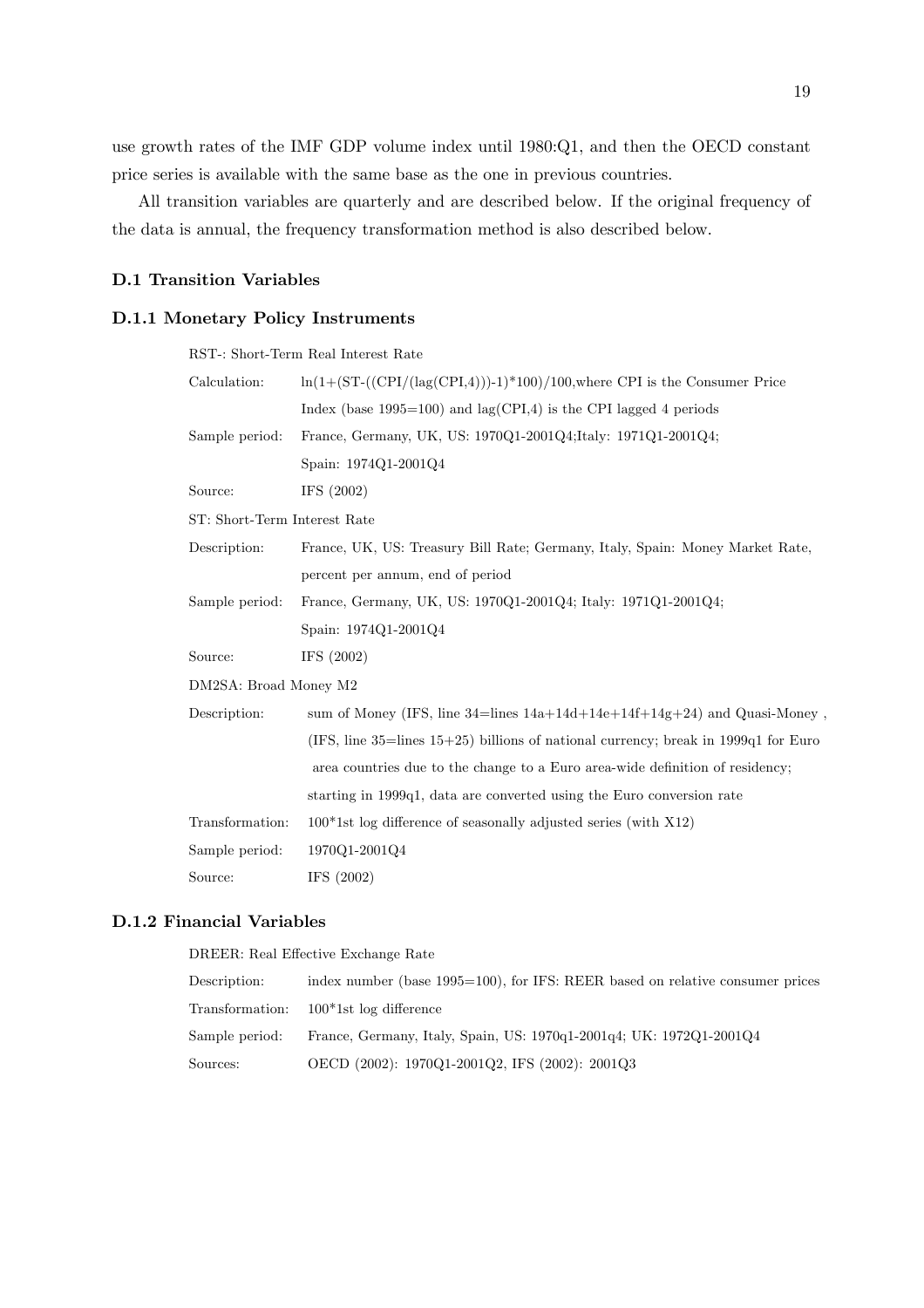use growth rates of the IMF GDP volume index until 1980:Q1, and then the OECD constant price series is available with the same base as the one in previous countries.

All transition variables are quarterly and are described below. If the original frequency of the data is annual, the frequency transformation method is also described below.

#### D.1 Transition Variables

#### D.1.1 Monetary Policy Instruments

#### RST-: Short-Term Real Interest Rate

| Calculation:                 | $\ln(1+(\text{ST}-((\text{CPI}/(\text{lag}(\text{CPI},4)))-1)^*100)/100,$ where CPI is the Consumer Price |  |
|------------------------------|-----------------------------------------------------------------------------------------------------------|--|
|                              | Index (base $1995=100$ ) and $\log(CPI, 4)$ is the CPI lagged 4 periods                                   |  |
| Sample period:               | France, Germany, UK, US: 1970Q1-2001Q4;Italy: 1971Q1-2001Q4;                                              |  |
|                              | Spain: 1974Q1-2001Q4                                                                                      |  |
| Source:                      | IFS $(2002)$                                                                                              |  |
| ST: Short-Term Interest Rate |                                                                                                           |  |
| Description:                 | France, UK, US: Treasury Bill Rate; Germany, Italy, Spain: Money Market Rate,                             |  |
|                              | percent per annum, end of period                                                                          |  |
| Sample period:               | France, Germany, UK, US: 1970Q1-2001Q4; Italy: 1971Q1-2001Q4;                                             |  |
|                              | Spain: 1974Q1-2001Q4                                                                                      |  |
| Source:                      | IFS $(2002)$                                                                                              |  |
| DM2SA: Broad Money M2        |                                                                                                           |  |
| Description:                 | sum of Money (IFS, line 34=lines $14a+14d+14e+14f+14g+24$ ) and Quasi-Money,                              |  |
|                              | (IFS, line 35=lines $15+25$ ) billions of national currency; break in 1999q1 for Euro                     |  |
|                              | area countries due to the change to a Euro area-wide definition of residency;                             |  |
|                              | starting in 1999q1, data are converted using the Euro conversion rate                                     |  |
| Transformation:              | $100*1st$ log difference of seasonally adjusted series (with X12)                                         |  |
| Sample period:               | 1970Q1-2001Q4                                                                                             |  |
| Source:                      | IFS $(2002)$                                                                                              |  |

#### D.1.2 Financial Variables

DREER: Real Effective Exchange Rate

| Description: | index number (base 1995=100), for IFS: REER based on relative consumer prices      |
|--------------|------------------------------------------------------------------------------------|
|              | Transformation: 100*1st log difference                                             |
|              | Sample period: France, Germany, Italy, Spain, US: 1970q1-2001q4; UK: 1972Q1-2001Q4 |
| Sources:     | OECD (2002): 1970Q1-2001Q2, IFS (2002): 2001Q3                                     |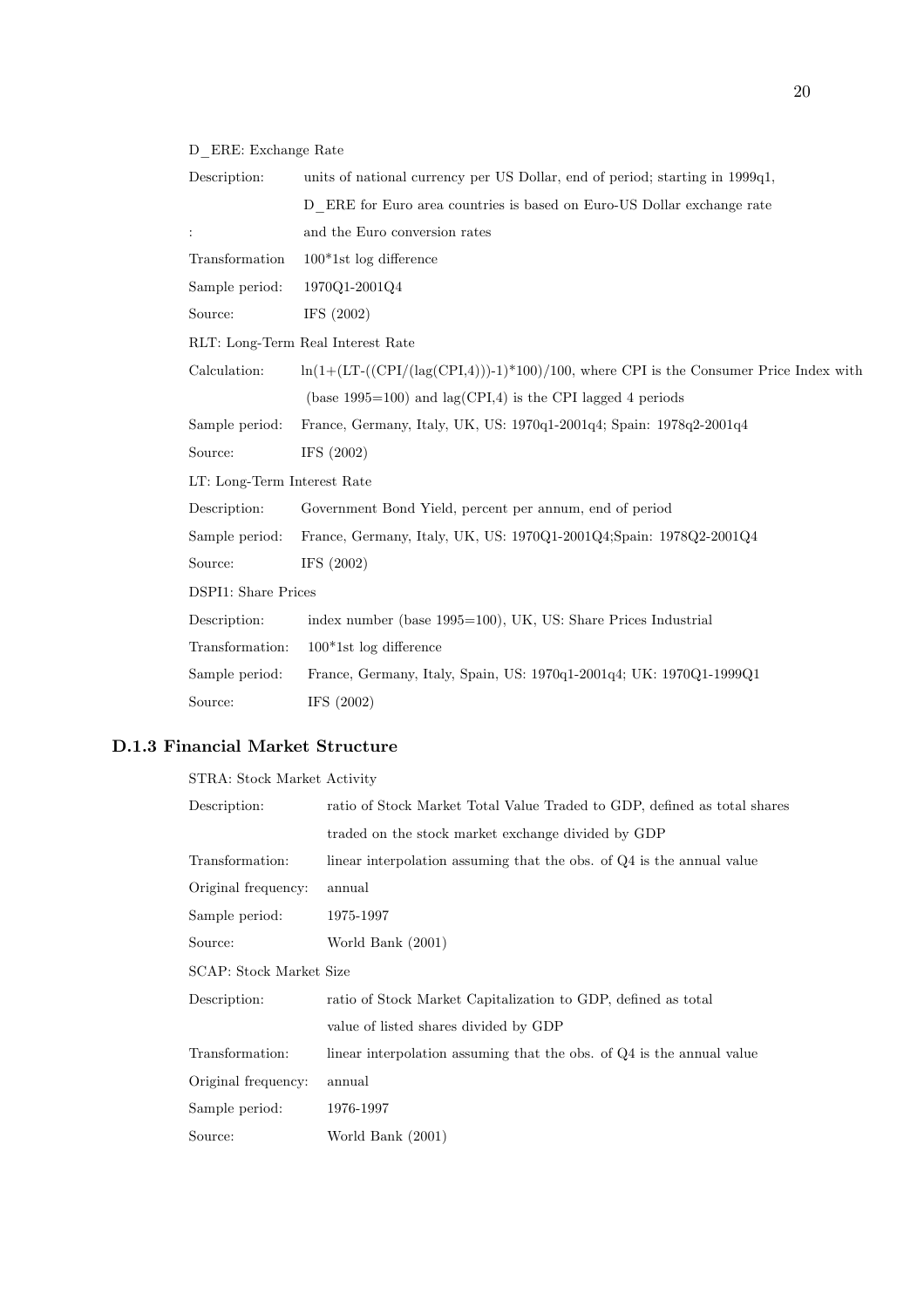D\_ERE: Exchange Rate

| Description:                      | units of national currency per US Dollar, end of period; starting in 1999q1,             |  |
|-----------------------------------|------------------------------------------------------------------------------------------|--|
|                                   | D ERE for Euro area countries is based on Euro-US Dollar exchange rate                   |  |
| $\ddot{\phantom{a}}$              | and the Euro conversion rates                                                            |  |
| Transformation                    | $100*1st$ log difference                                                                 |  |
| Sample period:                    | 1970Q1-2001Q4                                                                            |  |
| Source:                           | IFS $(2002)$                                                                             |  |
| RLT: Long-Term Real Interest Rate |                                                                                          |  |
| Calculation:                      | $\ln(1+(LT-((CPI/(lag(CPI,4)))-1)*100)/100$ , where CPI is the Consumer Price Index with |  |
|                                   | (base $1995=100$ ) and $\log(CPI,4)$ is the CPI lagged 4 periods                         |  |
| Sample period:                    | France, Germany, Italy, UK, US: 1970q1-2001q4; Spain: 1978q2-2001q4                      |  |
| Source:                           | IFS (2002)                                                                               |  |
| LT: Long-Term Interest Rate       |                                                                                          |  |
| Description:                      | Government Bond Yield, percent per annum, end of period                                  |  |
| Sample period:                    | France, Germany, Italy, UK, US: 1970Q1-2001Q4;Spain: 1978Q2-2001Q4                       |  |
| Source:                           | IFS (2002)                                                                               |  |
| <b>DSPI1:</b> Share Prices        |                                                                                          |  |
| Description:                      | index number (base 1995=100), UK, US: Share Prices Industrial                            |  |
| Transformation:                   | $100*1st$ log difference                                                                 |  |
| Sample period:                    | France, Germany, Italy, Spain, US: 1970q1-2001q4; UK: 1970Q1-1999Q1                      |  |
| Source:                           | IFS $(2002)$                                                                             |  |

### D.1.3 Financial Market Structure

| STRA: Stock Market Activity                                              |
|--------------------------------------------------------------------------|
| ratio of Stock Market Total Value Traded to GDP, defined as total shares |
| traded on the stock market exchange divided by GDP                       |
| linear interpolation assuming that the obs. of Q4 is the annual value    |
| annual                                                                   |
| 1975-1997                                                                |
| World Bank (2001)                                                        |
| SCAP: Stock Market Size                                                  |
| ratio of Stock Market Capitalization to GDP, defined as total            |
| value of listed shares divided by GDP                                    |
| linear interpolation assuming that the obs. of $Q4$ is the annual value  |
| annual                                                                   |
| 1976-1997                                                                |
| World Bank (2001)                                                        |
|                                                                          |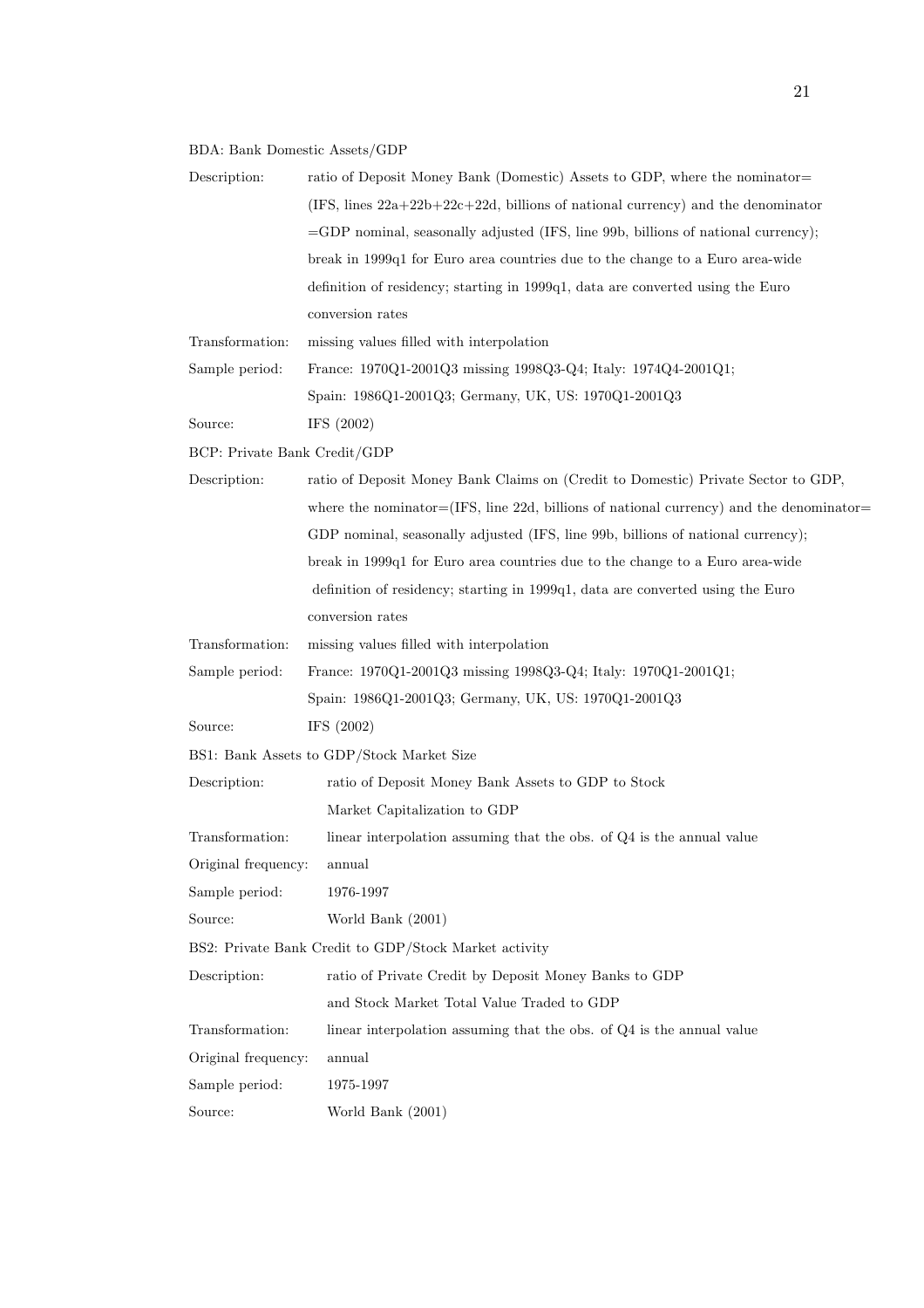### BDA: Bank Domestic Assets/GDP

| Description:                                          | ratio of Deposit Money Bank (Domestic) Assets to GDP, where the nominator-              |  |
|-------------------------------------------------------|-----------------------------------------------------------------------------------------|--|
|                                                       | (IFS, lines $22a+22b+22c+22d$ , billions of national currency) and the denominator      |  |
|                                                       | =GDP nominal, seasonally adjusted (IFS, line 99b, billions of national currency);       |  |
|                                                       | break in 1999q1 for Euro area countries due to the change to a Euro area-wide           |  |
|                                                       | definition of residency; starting in 1999q1, data are converted using the Euro          |  |
|                                                       | conversion rates                                                                        |  |
| Transformation:                                       | missing values filled with interpolation                                                |  |
| Sample period:                                        | France: 1970Q1-2001Q3 missing 1998Q3-Q4; Italy: 1974Q4-2001Q1;                          |  |
|                                                       | Spain: 1986Q1-2001Q3; Germany, UK, US: 1970Q1-2001Q3                                    |  |
| Source:                                               | IFS $(2002)$                                                                            |  |
| BCP: Private Bank Credit/GDP                          |                                                                                         |  |
| Description:                                          | ratio of Deposit Money Bank Claims on (Credit to Domestic) Private Sector to GDP,       |  |
|                                                       | where the nominator=(IFS, line 22d, billions of national currency) and the denominator= |  |
|                                                       | GDP nominal, seasonally adjusted (IFS, line 99b, billions of national currency);        |  |
|                                                       | break in 1999q1 for Euro area countries due to the change to a Euro area-wide           |  |
|                                                       | definition of residency; starting in 1999q1, data are converted using the Euro          |  |
|                                                       | conversion rates                                                                        |  |
| Transformation:                                       | missing values filled with interpolation                                                |  |
| Sample period:                                        | France: 1970Q1-2001Q3 missing 1998Q3-Q4; Italy: 1970Q1-2001Q1;                          |  |
|                                                       | Spain: 1986Q1-2001Q3; Germany, UK, US: 1970Q1-2001Q3                                    |  |
| Source:                                               | IFS $(2002)$                                                                            |  |
| BS1: Bank Assets to GDP/Stock Market Size             |                                                                                         |  |
| Description:                                          | ratio of Deposit Money Bank Assets to GDP to Stock                                      |  |
|                                                       | Market Capitalization to GDP                                                            |  |
| Transformation:                                       | linear interpolation assuming that the obs. of $Q4$ is the annual value                 |  |
| Original frequency:                                   | annual                                                                                  |  |
| Sample period:                                        | 1976-1997                                                                               |  |
| Source:                                               | World Bank $(2001)$                                                                     |  |
| BS2: Private Bank Credit to GDP/Stock Market activity |                                                                                         |  |
| Description:                                          | ratio of Private Credit by Deposit Money Banks to GDP                                   |  |
|                                                       | and Stock Market Total Value Traded to GDP                                              |  |
| Transformation:                                       | linear interpolation assuming that the obs. of Q4 is the annual value                   |  |
| Original frequency:                                   | annual                                                                                  |  |
| Sample period:                                        | 1975-1997                                                                               |  |
| Source:                                               | World Bank (2001)                                                                       |  |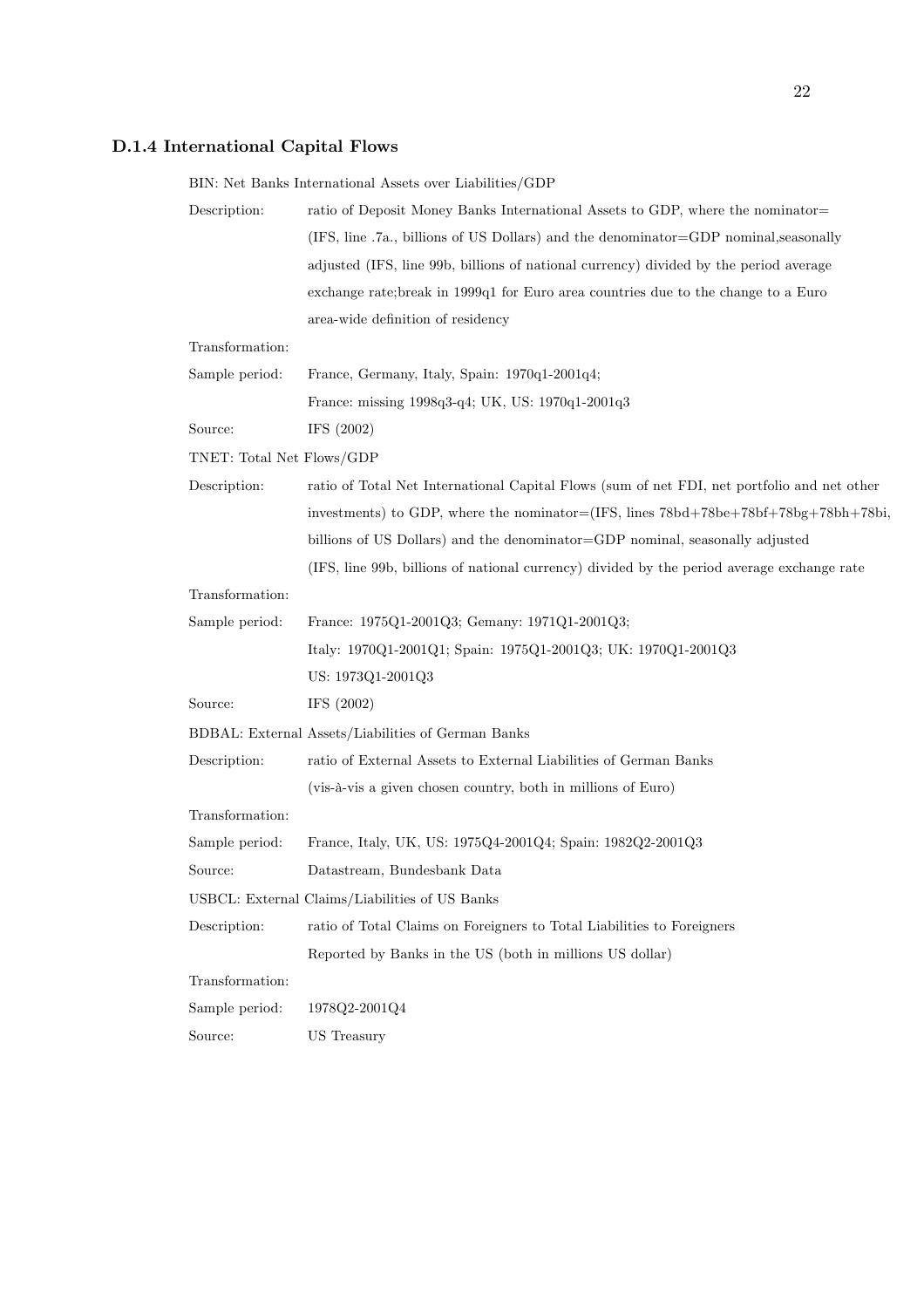## D.1.4 International Capital Flows

|                                                | BIN: Net Banks International Assets over Liabilities/GDP                                    |  |  |
|------------------------------------------------|---------------------------------------------------------------------------------------------|--|--|
| Description:                                   | ratio of Deposit Money Banks International Assets to GDP, where the nominator-              |  |  |
|                                                | (IFS, line .7a., billions of US Dollars) and the denominator=GDP nominal, seasonally        |  |  |
|                                                | adjusted (IFS, line 99b, billions of national currency) divided by the period average       |  |  |
|                                                | exchange rate; break in 1999q1 for Euro area countries due to the change to a Euro          |  |  |
|                                                | area-wide definition of residency                                                           |  |  |
| Transformation:                                |                                                                                             |  |  |
| Sample period:                                 | France, Germany, Italy, Spain: 1970q1-2001q4;                                               |  |  |
|                                                | France: missing 1998q3-q4; UK, US: 1970q1-2001q3                                            |  |  |
| Source:                                        | IFS (2002)                                                                                  |  |  |
| TNET: Total Net Flows/GDP                      |                                                                                             |  |  |
| Description:                                   | ratio of Total Net International Capital Flows (sum of net FDI, net portfolio and net other |  |  |
|                                                | investments) to GDP, where the nominator= $(IFS, lines 78bd+78be+78bf+78bg+78bh+78bi,$      |  |  |
|                                                | billions of US Dollars) and the denominator=GDP nominal, seasonally adjusted                |  |  |
|                                                | (IFS, line 99b, billions of national currency) divided by the period average exchange rate  |  |  |
| Transformation:                                |                                                                                             |  |  |
| Sample period:                                 | France: 1975Q1-2001Q3; Gemany: 1971Q1-2001Q3;                                               |  |  |
|                                                | Italy: 1970Q1-2001Q1; Spain: 1975Q1-2001Q3; UK: 1970Q1-2001Q3                               |  |  |
|                                                | US: 1973Q1-2001Q3                                                                           |  |  |
| Source:                                        | IFS (2002)                                                                                  |  |  |
|                                                | BDBAL: External Assets/Liabilities of German Banks                                          |  |  |
| Description:                                   | ratio of External Assets to External Liabilities of German Banks                            |  |  |
|                                                | (vis-à-vis a given chosen country, both in millions of Euro)                                |  |  |
| Transformation:                                |                                                                                             |  |  |
| Sample period:                                 | France, Italy, UK, US: 1975Q4-2001Q4; Spain: 1982Q2-2001Q3                                  |  |  |
| Source:                                        | Datastream, Bundesbank Data                                                                 |  |  |
| USBCL: External Claims/Liabilities of US Banks |                                                                                             |  |  |
| Description:                                   | ratio of Total Claims on Foreigners to Total Liabilities to Foreigners                      |  |  |
|                                                | Reported by Banks in the US (both in millions US dollar)                                    |  |  |
| Transformation:                                |                                                                                             |  |  |
| Sample period:                                 | 1978Q2-2001Q4                                                                               |  |  |
| Source:                                        | US Treasury                                                                                 |  |  |
|                                                |                                                                                             |  |  |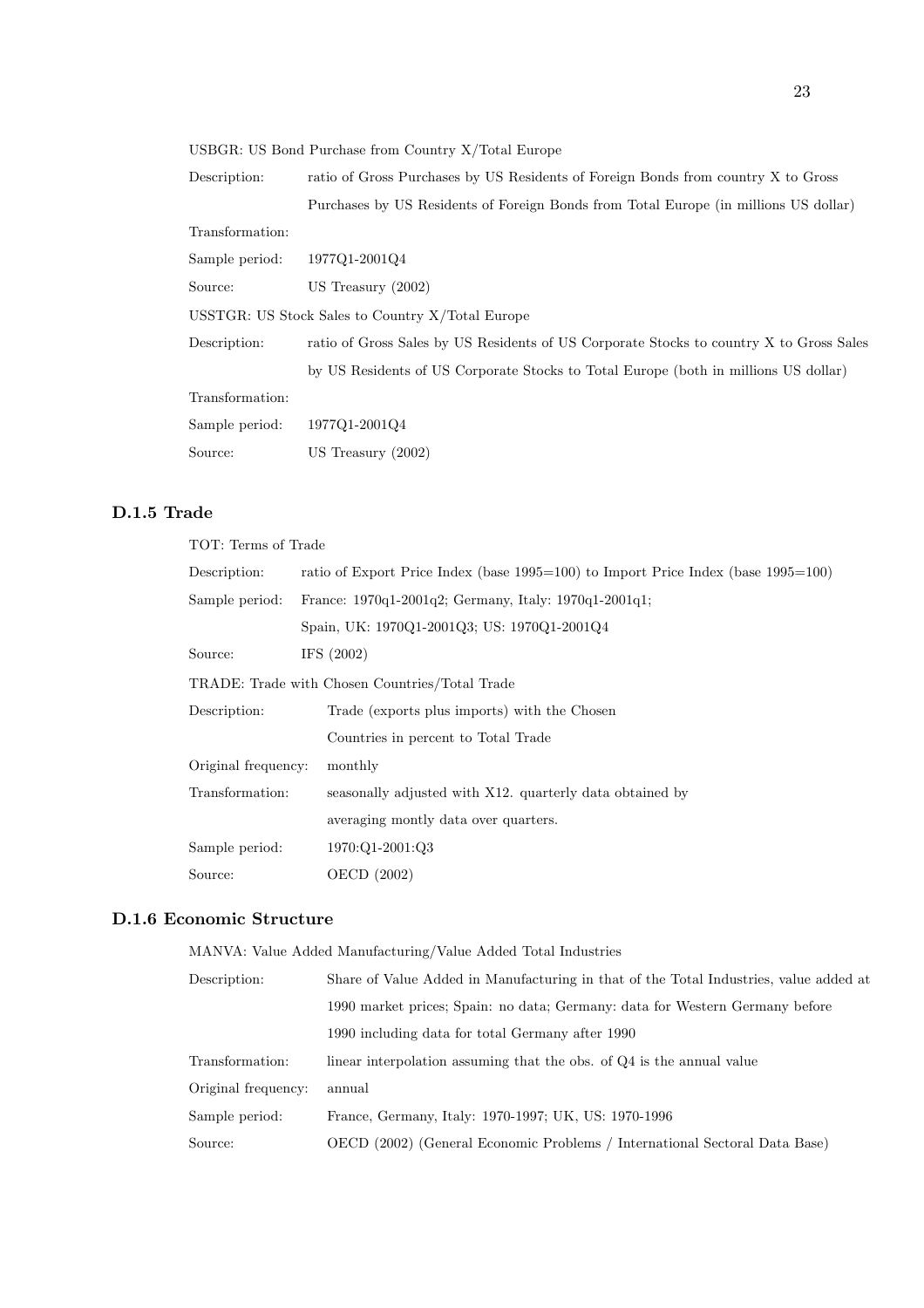USBGR: US Bond Purchase from Country X/Total Europe

Description: ratio of Gross Purchases by US Residents of Foreign Bonds from country X to Gross Purchases by US Residents of Foreign Bonds from Total Europe (in millions US dollar)

Transformation:

| Sample period:                                   | 1977Q1-2001Q4                                                                           |  |
|--------------------------------------------------|-----------------------------------------------------------------------------------------|--|
| Source:                                          | US Treasury $(2002)$                                                                    |  |
| USSTGR: US Stock Sales to Country X/Total Europe |                                                                                         |  |
| Description:                                     | ratio of Gross Sales by US Residents of US Corporate Stocks to country X to Gross Sales |  |
|                                                  | by US Residents of US Corporate Stocks to Total Europe (both in millions US dollar)     |  |
| Transformation:                                  |                                                                                         |  |
| Sample period:                                   | 1977Q1-2001Q4                                                                           |  |
| Source:                                          | US Treasury $(2002)$                                                                    |  |

### D.1.5 Trade

| TOT: Terms of Trade                            |                                                                                         |  |
|------------------------------------------------|-----------------------------------------------------------------------------------------|--|
| Description:                                   | ratio of Export Price Index (base $1995=100$ ) to Import Price Index (base $1995=100$ ) |  |
| Sample period:                                 | France: 1970q1-2001q2; Germany, Italy: 1970q1-2001q1;                                   |  |
|                                                | Spain, UK: 1970Q1-2001Q3; US: 1970Q1-2001Q4                                             |  |
| Source:                                        | IFS $(2002)$                                                                            |  |
| TRADE: Trade with Chosen Countries/Total Trade |                                                                                         |  |
| Description:                                   | Trade (exports plus imports) with the Chosen                                            |  |
|                                                | Countries in percent to Total Trade                                                     |  |
| Original frequency:                            | monthly                                                                                 |  |
| Transformation:                                | seasonally adjusted with X12, quarterly data obtained by                                |  |
|                                                | averaging montly data over quarters.                                                    |  |
| Sample period:                                 | 1970:Q1-2001:Q3                                                                         |  |
| Source:                                        | OECD (2002)                                                                             |  |

#### D.1.6 Economic Structure

MANVA: Value Added Manufacturing/Value Added Total Industries

| Description:        | Share of Value Added in Manufacturing in that of the Total Industries, value added at |
|---------------------|---------------------------------------------------------------------------------------|
|                     | 1990 market prices; Spain: no data; Germany: data for Western Germany before          |
|                     | 1990 including data for total Germany after 1990                                      |
| Transformation:     | linear interpolation assuming that the obs. of Q4 is the annual value                 |
| Original frequency: | annual                                                                                |
| Sample period:      | France, Germany, Italy: 1970-1997; UK, US: 1970-1996                                  |
| Source:             | OECD (2002) (General Economic Problems / International Sectoral Data Base)            |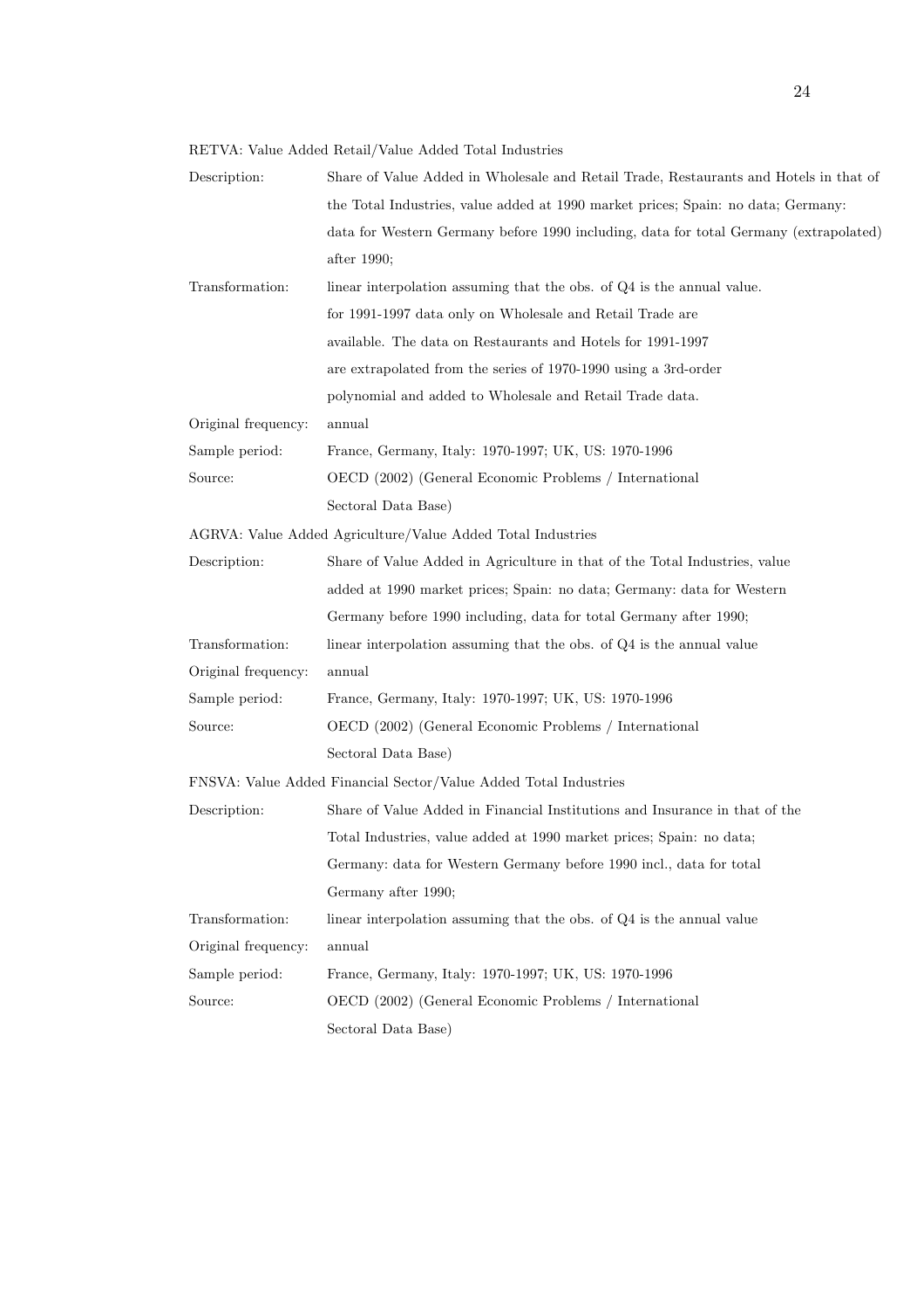RETVA: Value Added Retail/Value Added Total Industries

| Description:        | Share of Value Added in Wholesale and Retail Trade, Restaurants and Hotels in that of |
|---------------------|---------------------------------------------------------------------------------------|
|                     | the Total Industries, value added at 1990 market prices; Spain: no data; Germany:     |
|                     | data for Western Germany before 1990 including, data for total Germany (extrapolated) |
|                     | after 1990;                                                                           |
| Transformation:     | linear interpolation assuming that the obs. of Q4 is the annual value.                |
|                     | for 1991-1997 data only on Wholesale and Retail Trade are                             |
|                     | available. The data on Restaurants and Hotels for 1991-1997                           |
|                     | are extrapolated from the series of 1970-1990 using a 3rd-order                       |
|                     | polynomial and added to Wholesale and Retail Trade data.                              |
| Original frequency: | annual                                                                                |
| Sample period:      | France, Germany, Italy: 1970-1997; UK, US: 1970-1996                                  |
| Source:             | OECD (2002) (General Economic Problems / International                                |
|                     | Sectoral Data Base)                                                                   |
|                     | AGRVA: Value Added Agriculture/Value Added Total Industries                           |
| Description:        | Share of Value Added in Agriculture in that of the Total Industries, value            |
|                     | added at 1990 market prices; Spain: no data; Germany: data for Western                |
|                     | Germany before 1990 including, data for total Germany after 1990;                     |
| Transformation:     | linear interpolation assuming that the obs. of $Q4$ is the annual value               |
| Original frequency: | annual                                                                                |
| Sample period:      | France, Germany, Italy: 1970-1997; UK, US: 1970-1996                                  |
| Source:             | OECD (2002) (General Economic Problems / International                                |
|                     | Sectoral Data Base)                                                                   |
|                     | FNSVA: Value Added Financial Sector/Value Added Total Industries                      |
| Description:        | Share of Value Added in Financial Institutions and Insurance in that of the           |
|                     | Total Industries, value added at 1990 market prices; Spain: no data;                  |
|                     | Germany: data for Western Germany before 1990 incl., data for total                   |
|                     | Germany after 1990;                                                                   |
| Transformation:     | linear interpolation assuming that the obs. of Q4 is the annual value                 |
| Original frequency: | annual                                                                                |
| Sample period:      | France, Germany, Italy: 1970-1997; UK, US: 1970-1996                                  |
| Source:             | OECD (2002) (General Economic Problems / International                                |
|                     | Sectoral Data Base)                                                                   |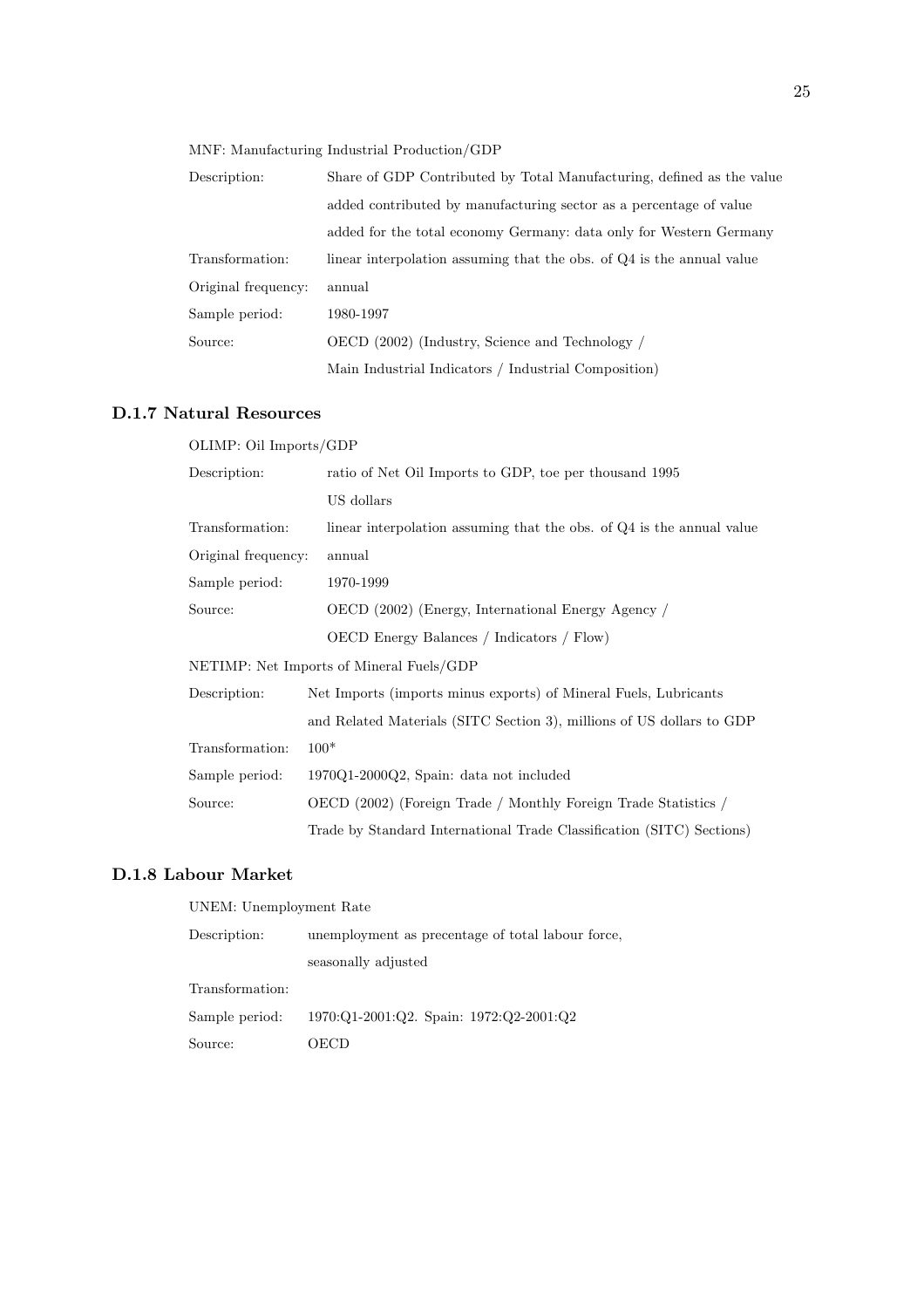MNF: Manufacturing Industrial Production/GDP

| Description:        | Share of GDP Contributed by Total Manufacturing, defined as the value |
|---------------------|-----------------------------------------------------------------------|
|                     | added contributed by manufacturing sector as a percentage of value    |
|                     | added for the total economy Germany: data only for Western Germany    |
| Transformation:     | linear interpolation assuming that the obs. of Q4 is the annual value |
| Original frequency: | annual                                                                |
| Sample period:      | 1980-1997                                                             |
| Source:             | OECD (2002) (Industry, Science and Technology /                       |
|                     | Main Industrial Indicators / Industrial Composition)                  |

#### D.1.7 Natural Resources

OLIMP: Oil Imports/GDP

| Description:        | ratio of Net Oil Imports to GDP, toe per thousand 1995                |
|---------------------|-----------------------------------------------------------------------|
|                     | US dollars                                                            |
| Transformation:     | linear interpolation assuming that the obs. of Q4 is the annual value |
| Original frequency: | annual                                                                |
| Sample period:      | 1970-1999                                                             |
| Source:             | OECD (2002) (Energy, International Energy Agency /                    |
|                     | OECD Energy Balances / Indicators / Flow)                             |
|                     | NETIMP: Net Imports of Mineral Fuels/GDP                              |
| Description:        | Net Imports (imports minus exports) of Mineral Fuels, Lubricants      |
|                     | and Related Materials (SITC Section 3), millions of US dollars to GDP |
| Transformation:     | $100*$                                                                |
| Sample period:      | $1970Q1-2000Q2$ , Spain: data not included                            |
| Source:             | OECD (2002) (Foreign Trade / Monthly Foreign Trade Statistics /       |
|                     | Trade by Standard International Trade Classification (SITC) Sections) |

#### D.1.8 Labour Market

UNEM: Unemployment Rate

| Description:    | unemployment as precentage of total labour force, |
|-----------------|---------------------------------------------------|
|                 | seasonally adjusted                               |
| Transformation: |                                                   |
| Sample period:  | 1970:Q1-2001:Q2. Spain: 1972:Q2-2001:Q2           |
| Source:         | ')ECD-                                            |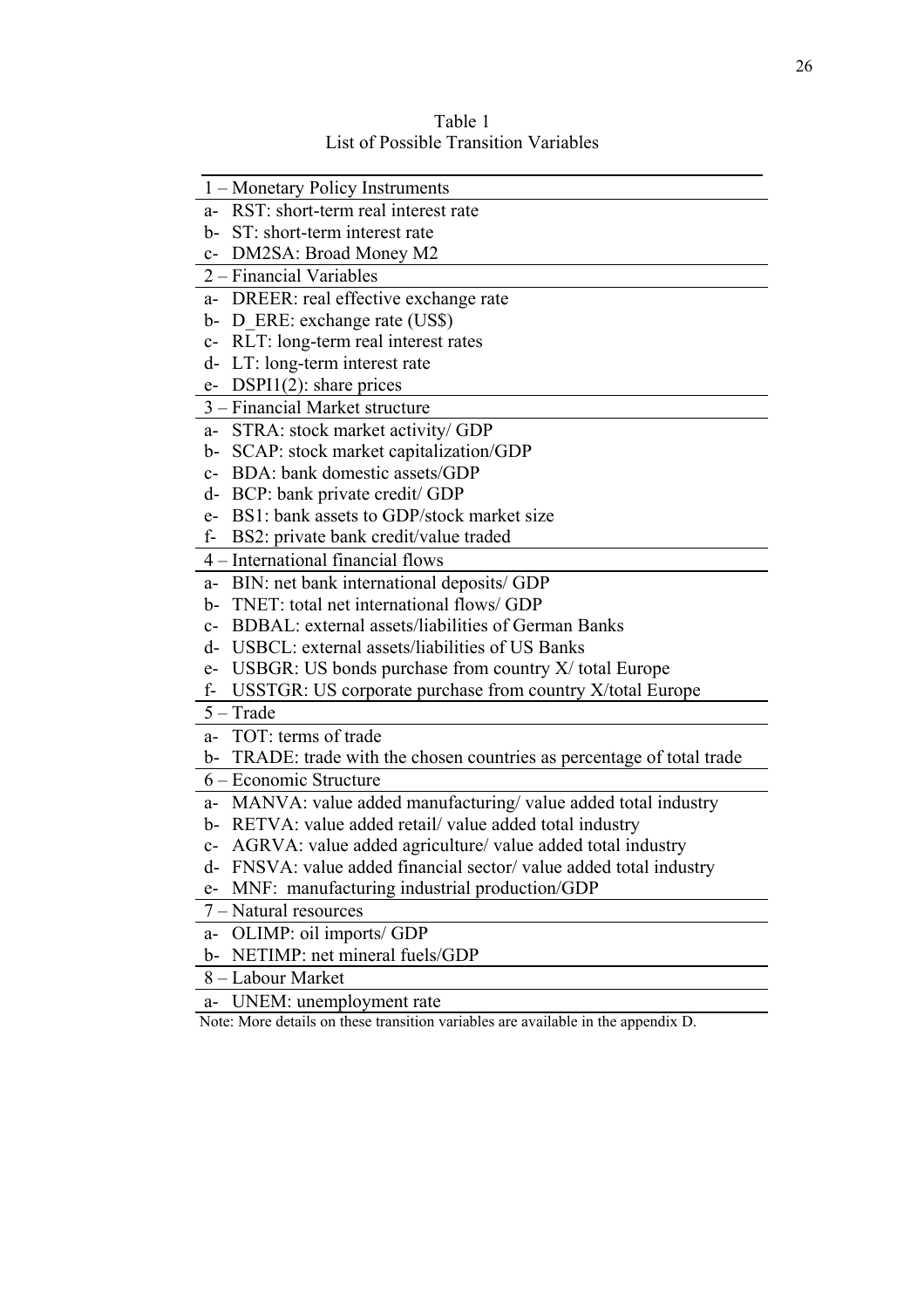| 1 – Monetary Policy Instruments                                           |
|---------------------------------------------------------------------------|
| a- RST: short-term real interest rate                                     |
| b- ST: short-term interest rate                                           |
| DM2SA: Broad Money M2<br>$C-$                                             |
| 2 – Financial Variables                                                   |
| a- DREER: real effective exchange rate                                    |
| b- D ERE: exchange rate (US\$)                                            |
| RLT: long-term real interest rates<br>$C-$                                |
| LT: long-term interest rate<br>d-                                         |
| $DSPI1(2)$ : share prices<br>$e-$                                         |
| 3 – Financial Market structure                                            |
| a- STRA: stock market activity/ GDP                                       |
| b- SCAP: stock market capitalization/GDP                                  |
| BDA: bank domestic assets/GDP<br>$C-$                                     |
| d- BCP: bank private credit/ GDP                                          |
| e- BS1: bank assets to GDP/stock market size                              |
| f-<br>BS2: private bank credit/value traded                               |
| 4 – International financial flows                                         |
| a- BIN: net bank international deposits/ GDP                              |
| TNET: total net international flows/GDP<br>b-                             |
| c- BDBAL: external assets/liabilities of German Banks                     |
| d- USBCL: external assets/liabilities of US Banks                         |
| USBGR: US bonds purchase from country $X/$ total Europe<br>$e-$           |
| USSTGR: US corporate purchase from country X/total Europe<br>f-           |
| $5 - Trade$                                                               |
| TOT: terms of trade<br>$a-$                                               |
| TRADE: trade with the chosen countries as percentage of total trade<br>b- |
| 6 – Economic Structure                                                    |
| a- MANVA: value added manufacturing/ value added total industry           |
| b- RETVA: value added retail/value added total industry                   |
| c- AGRVA: value added agriculture/ value added total industry             |
| d-<br>FNSVA: value added financial sector/value added total industry      |
| MNF: manufacturing industrial production/GDP<br>$e-$                      |
| 7 - Natural resources                                                     |
| OLIMP: oil imports/ GDP<br>$a-$                                           |
| NETIMP: net mineral fuels/GDP<br>b-                                       |
| 8 - Labour Market                                                         |

Table 1 List of Possible Transition Variables

a- UNEM: unemployment rate

Note: More details on these transition variables are available in the appendix D.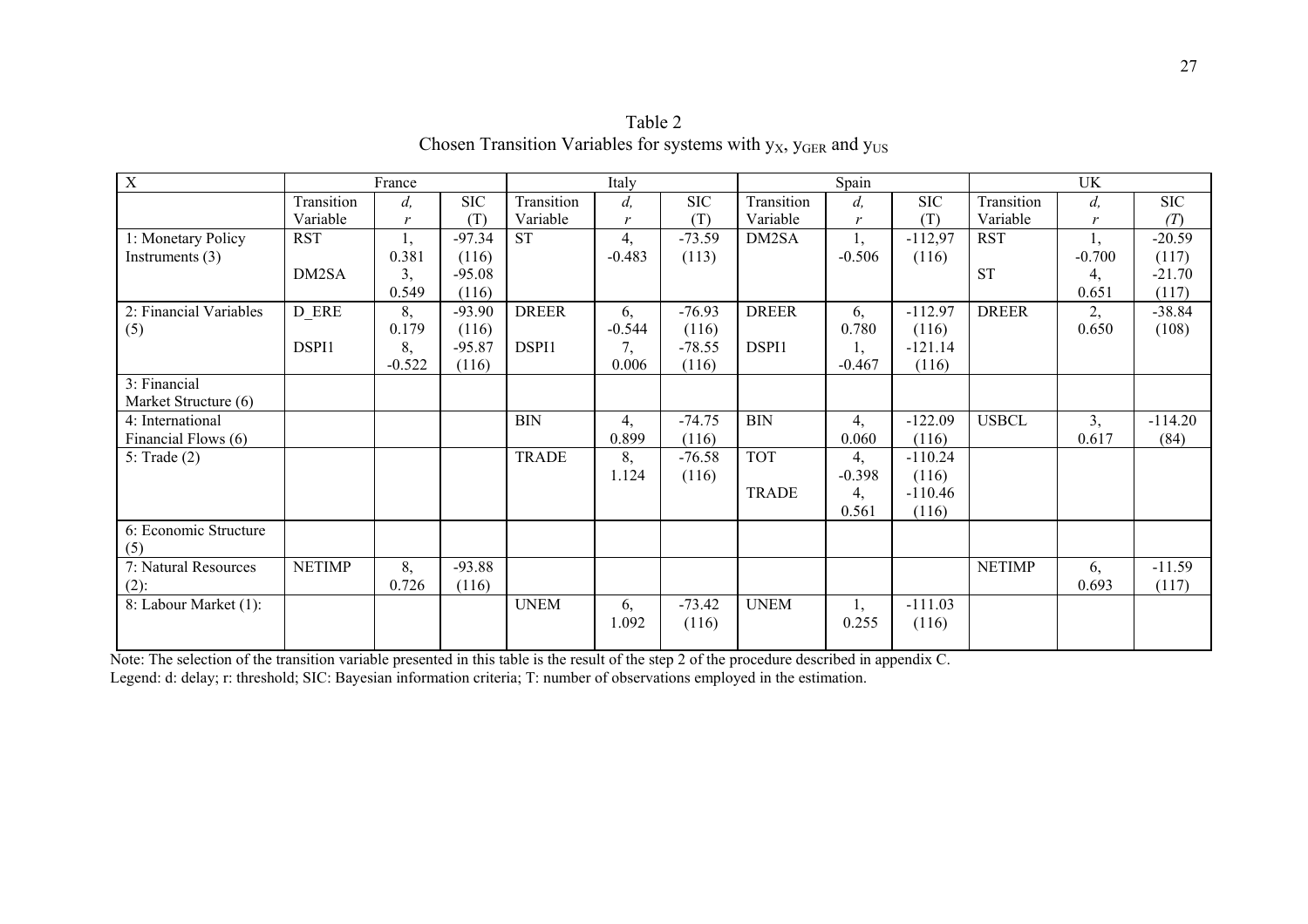| $\mathbf X$            | France        |          |            | Italy        |          |           |              | Spain    |           | <b>UK</b>     |              |            |
|------------------------|---------------|----------|------------|--------------|----------|-----------|--------------|----------|-----------|---------------|--------------|------------|
|                        | Transition    | d,       | <b>SIC</b> | Transition   | d,       | $\rm SIC$ | Transition   | $d_{i}$  | $\rm SIC$ | Transition    | $d_{i}$      | <b>SIC</b> |
|                        | Variable      | r        | (T)        | Variable     | r        | (T)       | Variable     | r        | (T)       | Variable      | $\mathbf{r}$ | (T)        |
| 1: Monetary Policy     | <b>RST</b>    | Ι,       | $-97.34$   | <b>ST</b>    | 4,       | $-73.59$  | DM2SA        | Ι,       | $-112,97$ | <b>RST</b>    | 1,           | $-20.59$   |
| Instruments $(3)$      |               | 0.381    | (116)      |              | $-0.483$ | (113)     |              | $-0.506$ | (116)     |               | $-0.700$     | (117)      |
|                        | DM2SA         | 3,       | $-95.08$   |              |          |           |              |          |           | <b>ST</b>     | 4,           | $-21.70$   |
|                        |               | 0.549    | (116)      |              |          |           |              |          |           |               | 0.651        | (117)      |
| 2: Financial Variables | D ERE         | 8,       | $-93.90$   | <b>DREER</b> | 6,       | $-76.93$  | <b>DREER</b> | 6,       | $-112.97$ | <b>DREER</b>  | 2,           | $-38.84$   |
| (5)                    |               | 0.179    | (116)      |              | $-0.544$ | (116)     |              | 0.780    | (116)     |               | 0.650        | (108)      |
|                        | DSPI1         | 8,       | $-95.87$   | DSPI1        | 7,       | $-78.55$  | DSPI1        |          | $-121.14$ |               |              |            |
|                        |               | $-0.522$ | (116)      |              | 0.006    | (116)     |              | $-0.467$ | (116)     |               |              |            |
| 3: Financial           |               |          |            |              |          |           |              |          |           |               |              |            |
| Market Structure (6)   |               |          |            |              |          |           |              |          |           |               |              |            |
| 4: International       |               |          |            | <b>BIN</b>   | 4,       | $-74.75$  | <b>BIN</b>   | 4,       | $-122.09$ | <b>USBCL</b>  | 3,           | $-114.20$  |
| Financial Flows (6)    |               |          |            |              | 0.899    | (116)     |              | 0.060    | (116)     |               | 0.617        | (84)       |
| 5: Trade $(2)$         |               |          |            | <b>TRADE</b> | 8,       | $-76.58$  | <b>TOT</b>   | 4,       | $-110.24$ |               |              |            |
|                        |               |          |            |              | 1.124    | (116)     |              | $-0.398$ | (116)     |               |              |            |
|                        |               |          |            |              |          |           | <b>TRADE</b> | 4,       | $-110.46$ |               |              |            |
|                        |               |          |            |              |          |           |              | 0.561    | (116)     |               |              |            |
| 6: Economic Structure  |               |          |            |              |          |           |              |          |           |               |              |            |
| (5)                    |               |          |            |              |          |           |              |          |           |               |              |            |
| 7: Natural Resources   | <b>NETIMP</b> | 8,       | $-93.88$   |              |          |           |              |          |           | <b>NETIMP</b> | 6,           | $-11.59$   |
| $(2)$ :                |               | 0.726    | (116)      |              |          |           |              |          |           |               | 0.693        | (117)      |
| 8: Labour Market (1):  |               |          |            | <b>UNEM</b>  | 6,       | $-73.42$  | <b>UNEM</b>  | Ι,       | $-111.03$ |               |              |            |
|                        |               |          |            |              | 1.092    | (116)     |              | 0.255    | (116)     |               |              |            |
|                        |               |          |            |              |          |           |              |          |           |               |              |            |

Table 2 Chosen Transition Variables for systems with  $y_x$ ,  $y_{GER}$  and  $y_{US}$ 

Note: The selection of the transition variable presented in this table is the result of the step 2 of the procedure described in appendix C. Legend: d: delay; r: threshold; SIC: Bayesian information criteria; T: number of observations employed in the estimation.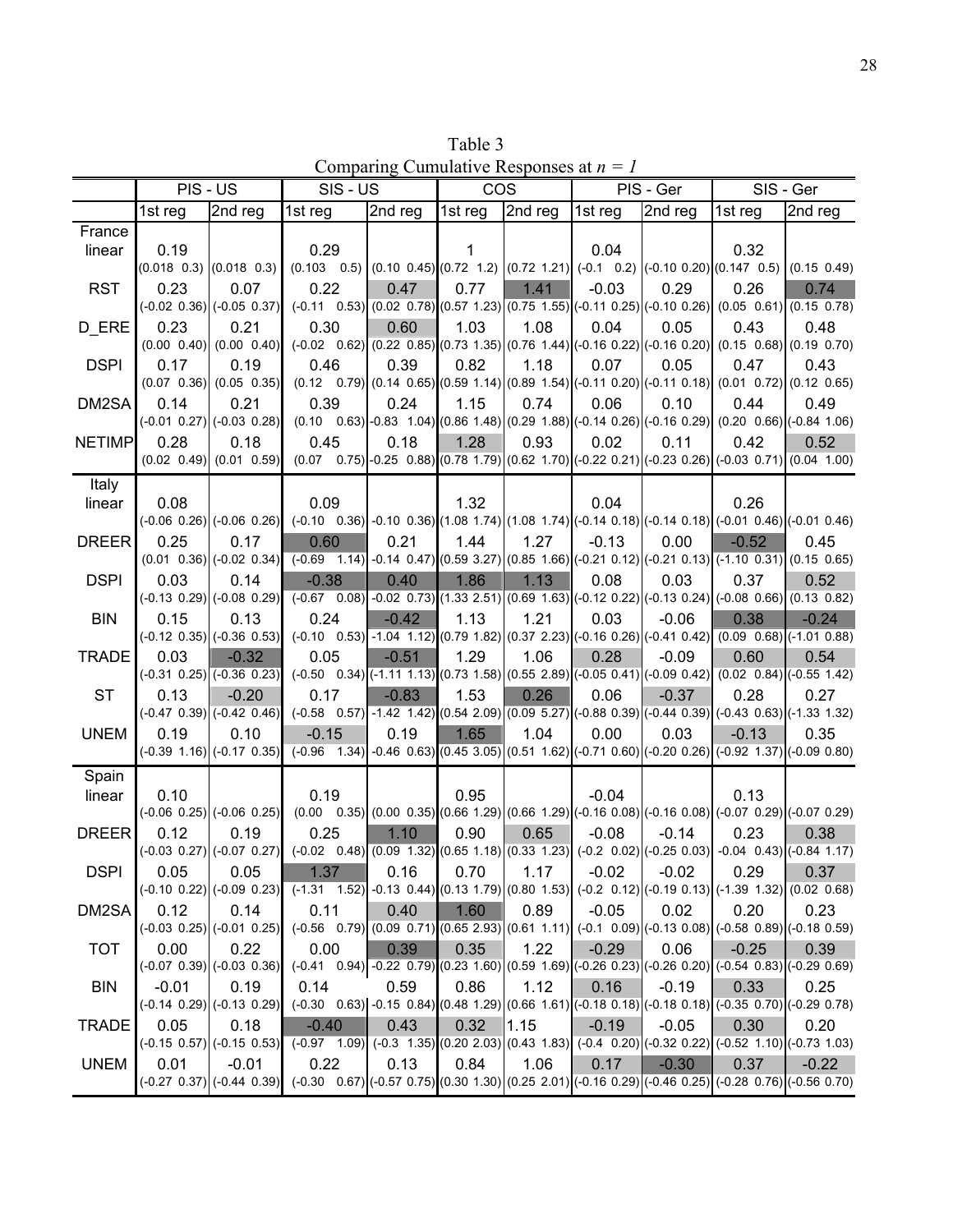Table 3 Comparing Cumulative Responses at *n = 1*

|               | PIS - US                        |                                           | SIS - US                                                                                                                                                                           |         | <b>COS</b> |         | PIS - Ger |         |         | SIS - Ger |
|---------------|---------------------------------|-------------------------------------------|------------------------------------------------------------------------------------------------------------------------------------------------------------------------------------|---------|------------|---------|-----------|---------|---------|-----------|
|               | 1st reg                         | 2nd reg                                   | 1st reg                                                                                                                                                                            | 2nd reg | 1st reg    | 2nd reg | 1st reg   | 2nd reg | 1st reg | 2nd reg   |
| France        |                                 |                                           |                                                                                                                                                                                    |         |            |         |           |         |         |           |
| linear        | 0.19                            |                                           | 0.29                                                                                                                                                                               |         | 1          |         | 0.04      |         | 0.32    |           |
|               | $(0.018 \t0.3)$ $(0.018 \t0.3)$ |                                           | $(0.103 \t 0.5)$ $(0.10 \t 0.45)$ $(0.72 \t 1.2)$ $(0.72 \t 1.21)$ $(-0.1 \t 0.2)$ $(-0.10 \t 0.20)$ $(0.147 \t 0.5)$ $(0.15 \t 0.49)$                                             |         |            |         |           |         |         |           |
| <b>RST</b>    | 0.23                            | 0.07                                      | 0.22                                                                                                                                                                               | 0.47    | 0.77       | 1.41    | $-0.03$   | 0.29    | 0.26    | 0.74      |
|               |                                 | $(-0.02 \ 0.36)$ $(-0.05 \ 0.37)$         | $(-0.11 \quad 0.53)$ $(0.02 \quad 0.78)$ $(0.57 \quad 1.23)$ $(0.75 \quad 1.55)$ $(-0.11 \quad 0.25)$ $(-0.10 \quad 0.26)$ $(0.05 \quad 0.61)$ $(0.15 \quad 0.78)$                 |         |            |         |           |         |         |           |
| D ERE         | 0.23                            | 0.21                                      | 0.30                                                                                                                                                                               | 0.60    | 1.03       | 1.08    | 0.04      | 0.05    | 0.43    | 0.48      |
|               | $(0.00 \ 0.40)$                 | (0.00 0.40)                               | $(-0.02 \quad 0.62)$ $(0.22 \quad 0.85)$ $(0.73 \quad 1.35)$ $(0.76 \quad 1.44)$ $(-0.16 \quad 0.22)$ $(-0.16 \quad 0.20)$ $(0.15 \quad 0.68)$ $(0.19 \quad 0.70)$                 |         |            |         |           |         |         |           |
| <b>DSPI</b>   | 0.17                            | 0.19                                      | 0.46                                                                                                                                                                               | 0.39    | 0.82       | 1.18    | 0.07      | 0.05    | 0.47    | 0.43      |
|               | $(0.07 \ 0.36)$                 | $(0.05 \ 0.35)$                           | $(0.12 \t 0.79) (0.14 \t 0.65) (0.59 \t 1.14) (0.89 \t 1.54) (-0.11 \t 0.20) (-0.11 \t 0.18) (0.01 \t 0.72) (0.12 \t 0.65)$                                                        |         |            |         |           |         |         |           |
| DM2SA         | 0.14                            | 0.21                                      | 0.39                                                                                                                                                                               | 0.24    | 1.15       | 0.74    | 0.06      | 0.10    | 0.44    | 0.49      |
|               |                                 | $(-0.01 \ 0.27)$ $(-0.03 \ 0.28)$         | $(0.10 \t 0.63)$ -0.83 1.04) $(0.86 \t 1.48)$ $(0.29 \t 1.88)$ $(-0.14 \t 0.26)$ $(-0.16 \t 0.29)$ $(0.20 \t 0.66)$ $(-0.84 \t 1.06)$                                              |         |            |         |           |         |         |           |
| <b>NETIMP</b> | 0.28                            | 0.18                                      | 0.45                                                                                                                                                                               | 0.18    | 1.28       | 0.93    | 0.02      | 0.11    | 0.42    | 0.52      |
|               |                                 | $(0.02 \t0.49)$ $(0.01 \t0.59)$           | $(0.07 \quad 0.75)$ $-0.25 \quad 0.88$ $(0.78 \quad 1.79)$ $(0.62 \quad 1.70)$ $(-0.22 \quad 0.21)$ $(-0.23 \quad 0.26)$ $(-0.03 \quad 0.71)$ $(0.04 \quad 1.00)$                  |         |            |         |           |         |         |           |
| Italy         |                                 |                                           |                                                                                                                                                                                    |         |            |         |           |         |         |           |
| linear        | 0.08                            |                                           | 0.09                                                                                                                                                                               |         | 1.32       |         | 0.04      |         | 0.26    |           |
|               |                                 |                                           | $(0.06 \ 0.26)$ $(0.06 \ 0.26)$ $(0.010 \ 0.36)$ $(0.10 \ 0.36)$ $(0.08 \ 0.26)$ $(1.08 \ 1.74)$ $(1.08 \ 1.74)$ $(0.14 \ 0.18)$ $(0.14 \ 0.18)$ $(0.01 \ 0.16)$ $(0.01 \ 0.46)$   |         |            |         |           |         |         |           |
| <b>DREER</b>  | 0.25                            | 0.17                                      | 0.60                                                                                                                                                                               | 0.21    | 1.44       | 1.27    | $-0.13$   | 0.00    | $-0.52$ | 0.45      |
|               | 0.03                            | $(0.01 \ 0.36)$ (-0.02 0.34)              | $(0.69 \t1.14) - 0.14 \t0.47)$ $(0.59 \t3.27)$ $(0.85 \t1.66)$ $(-0.21 \t0.12)$ $(-0.21 \t0.13)$ $(-1.10 \t0.31)$ $(0.15 \t0.65)$                                                  |         |            |         |           | 0.03    |         |           |
| <b>DSPI</b>   |                                 | 0.14<br>$(-0.13 \t0.29)$ $(-0.08 \t0.29)$ | $-0.38$<br>$(-0.67 \quad 0.08)$ $-0.02 \quad 0.73$ $(1.33 \quad 2.51)$ $(0.69 \quad 1.63)$ $(-0.12 \quad 0.22)$ $(-0.13 \quad 0.24)$ $(-0.08 \quad 0.66)$ $(0.13 \quad 0.82)$      | 0.40    | 1.86       | 1.13    | 0.08      |         | 0.37    | 0.52      |
| <b>BIN</b>    | 0.15                            | 0.13                                      | 0.24                                                                                                                                                                               | $-0.42$ | 1.13       | 1.21    | 0.03      | $-0.06$ | 0.38    | $-0.24$   |
|               |                                 | $(-0.12 \t0.35)$ $(-0.36 \t0.53)$         | $(0.10 \t 0.53)$ -1.04 1.12) $(0.79 \t 1.82)$ $(0.37 \t 2.23)$ $(-0.16 \t 0.26)$ $(-0.41 \t 0.42)$ $(0.09 \t 0.68)$ $(-1.01 \t 0.88)$                                              |         |            |         |           |         |         |           |
| <b>TRADE</b>  | 0.03                            | $-0.32$                                   | 0.05                                                                                                                                                                               | $-0.51$ | 1.29       | 1.06    | 0.28      | $-0.09$ | 0.60    | 0.54      |
|               |                                 | $(-0.31 \t0.25)$ $(-0.36 \t0.23)$         | $(-0.50 \quad 0.34)$ $(-1.11 \quad 1.13)$ $(0.73 \quad 1.58)$ $(0.55 \quad 2.89)$ $(-0.05 \quad 0.41)$ $(-0.09 \quad 0.42)$ $(0.02 \quad 0.84)$ $(-0.55 \quad 1.42)$               |         |            |         |           |         |         |           |
| <b>ST</b>     | 0.13                            | $-0.20$                                   | 0.17                                                                                                                                                                               | $-0.83$ | 1.53       | 0.26    | 0.06      | $-0.37$ | 0.28    | 0.27      |
|               |                                 | $(-0.47, 0.39)$ $(-0.42, 0.46)$           | $(-0.58 \quad 0.57)$ $-1.42 \quad 1.42$ $(0.54 \quad 2.09)$ $(0.09 \quad 5.27)$ $(-0.88 \quad 0.39)$ $(-0.44 \quad 0.39)$ $(-0.43 \quad 0.63)$ $(-1.33 \quad 1.32)$                |         |            |         |           |         |         |           |
| <b>UNEM</b>   | 0.19                            | 0.10                                      | $-0.15$                                                                                                                                                                            | 0.19    | 1.65       | 1.04    | 0.00      | 0.03    | $-0.13$ | 0.35      |
|               |                                 |                                           | $(0.39 \t1.16)$ $(0.17 \t0.35)$ $(0.96 \t1.34)$ $(0.46 \t0.63)$ $(0.45 \t0.305)$ $(0.51 \t1.62)$ $(0.71 \t0.60)$ $(0.20 \t0.26)$ $(0.92 \t1.37)$ $(0.09 \t0.80)$                   |         |            |         |           |         |         |           |
| Spain         |                                 |                                           |                                                                                                                                                                                    |         |            |         |           |         |         |           |
| linear        | 0.10                            |                                           | 0.19                                                                                                                                                                               |         | 0.95       |         | $-0.04$   |         | 0.13    |           |
|               |                                 | $(-0.06 \t0.25)$ $(-0.06 \t0.25)$         | $(0.00 \quad 0.35)$ $(0.00 \quad 0.35)$ $(0.66 \quad 1.29)$ $(0.66 \quad 1.29)$ $(-0.16 \quad 0.08)$ $(-0.16 \quad 0.08)$ $(-0.07 \quad 0.29)$ $(-0.07 \quad 0.29)$                |         |            |         |           |         |         |           |
| <b>DREER</b>  | 0.12                            | 0.19                                      | 0.25                                                                                                                                                                               | 1.10    | 0.90       | 0.65    | $-0.08$   | $-0.14$ | 0.23    | 0.38      |
|               |                                 | $(-0.03 \t0.27)$ $(-0.07 \t0.27)$         | $(-0.02 \quad 0.48)$ $(0.09 \quad 1.32)$ $(0.65 \quad 1.18)$ $(0.33 \quad 1.23)$ $(-0.2 \quad 0.02)$ $(-0.25 \quad 0.03)$ $-0.04 \quad 0.43)$ $(-0.84 \quad 1.17)$                 |         |            |         |           |         |         |           |
| <b>DSPI</b>   | 0.05                            | 0.05                                      | 1.37                                                                                                                                                                               | 0.16    | 0.70       | 1.17    | $-0.02$   | $-0.02$ | 0.29    | 0.37      |
|               |                                 |                                           | $(0.10\ 0.22)$ $(0.09\ 0.23)$ $(0.31\ 1.52)$ $(0.13\ 0.44)$ $(0.13\ 1.79)$ $(0.80\ 1.53)$ $(0.2\ 0.12)$ $(0.19\ 0.13)$ $(0.13\ 1.32)$ $(0.02\ 0.68)$                               |         |            |         |           |         |         |           |
| DM2SA         | 0.12                            | 0.14                                      | 0.11                                                                                                                                                                               | 0.40    | 1.60       | 0.89    | $-0.05$   | 0.02    | 0.20    | 0.23      |
|               |                                 |                                           | $(0.03, 0.25)$ $(0.01, 0.25)$ $(0.04, 0.25)$ $(0.056, 0.79)$ $(0.09, 0.71)$ $(0.65, 2.93)$ $(0.61, 1.11)$ $(0.1, 1.11)$ $(0.1, 0.09)$ $(0.13, 0.08)$ $(0.58, 0.89)$ $(0.18, 0.59)$ |         |            |         |           |         |         |           |
| <b>TOT</b>    | 0.00                            | 0.22                                      | 0.00                                                                                                                                                                               | 0.39    | 0.35       | 1.22    | $-0.29$   | 0.06    | $-0.25$ | 0.39      |
|               |                                 | $(-0.07 \ 0.39)$ $(-0.03 \ 0.36)$         | $(-0.41 \quad 0.94)$ $(-0.22 \quad 0.79)$ $(0.23 \quad 1.60)$ $(0.59 \quad 1.69)$ $(-0.26 \quad 0.23)$ $(-0.26 \quad 0.20)$ $(-0.54 \quad 0.83)$ $(-0.29 \quad 0.69)$              |         |            |         |           |         |         |           |
| <b>BIN</b>    | $-0.01$                         | 0.19                                      | 0.14                                                                                                                                                                               | 0.59    | 0.86       | 1.12    | 0.16      | $-0.19$ | 0.33    | 0.25      |
|               |                                 | $(-0.14 \t0.29)$ $(-0.13 \t0.29)$         | $(-0.30 \quad 0.63)$ $(-0.15 \quad 0.84)$ $(0.48 \quad 1.29)$ $(0.66 \quad 1.61)$ $(-0.18 \quad 0.18)$ $(-0.18 \quad 0.18)$ $(-0.35 \quad 0.70)$ $(-0.29 \quad 0.78)$              |         |            |         |           |         |         |           |
| <b>TRADE</b>  | 0.05                            | 0.18                                      | $-0.40$                                                                                                                                                                            | 0.43    | 0.32       | 1.15    | $-0.19$   | $-0.05$ | 0.30    | 0.20      |
|               |                                 | $(-0.15 \t0.57)$ $(-0.15 \t0.53)$         | $(-0.97 \quad 1.09)$ $(-0.3 \quad 1.35)$ $(0.20 \quad 2.03)$ $(0.43 \quad 1.83)$ $(-0.4 \quad 0.20)$ $(-0.32 \quad 0.22)$ $(-0.52 \quad 1.10)$ $(-0.73 \quad 1.03)$                |         |            |         |           |         |         |           |
| <b>UNEM</b>   | 0.01                            | $-0.01$                                   | 0.22                                                                                                                                                                               | 0.13    | 0.84       | 1.06    | 0.17      | $-0.30$ | 0.37    | $-0.22$   |
|               |                                 |                                           | $(0.27, 0.37)$ $(0.44, 0.39)$ $(0.30, 0.67)$ $(0.57, 0.75)$ $(0.30, 1.30)$ $(0.25, 2.01)$ $(0.16, 0.29)$ $(0.46, 0.25)$ $(0.26, 0.76)$ $(0.26, 0.70)$                              |         |            |         |           |         |         |           |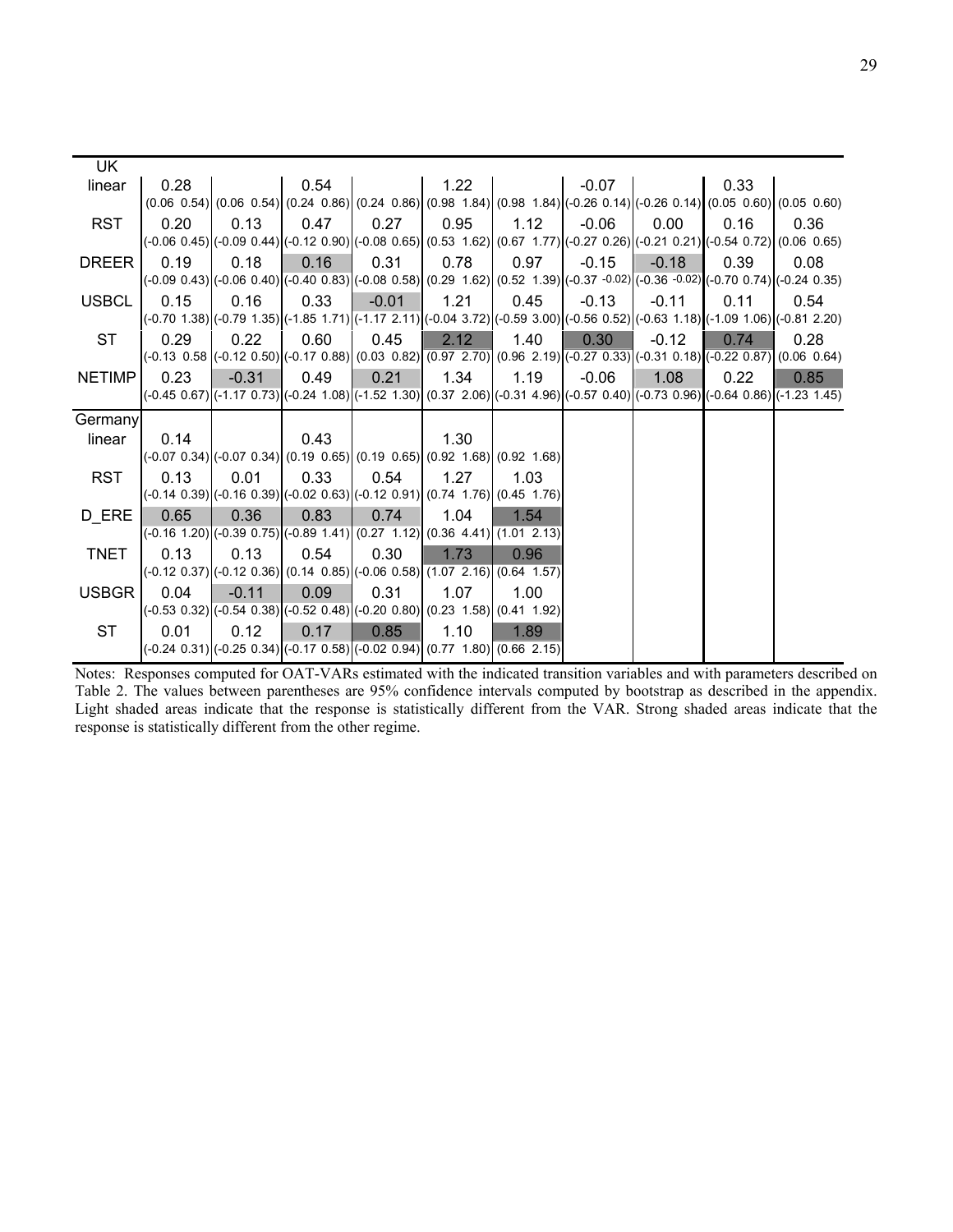| UK.           |      |         |      |                                                                                                                                      |      |      |         |         |      |                                                                                                                                                                      |
|---------------|------|---------|------|--------------------------------------------------------------------------------------------------------------------------------------|------|------|---------|---------|------|----------------------------------------------------------------------------------------------------------------------------------------------------------------------|
| linear        | 0.28 |         | 0.54 |                                                                                                                                      | 1.22 |      | $-0.07$ |         | 0.33 |                                                                                                                                                                      |
|               |      |         |      |                                                                                                                                      |      |      |         |         |      | $(0.06 \t0.54)$ $(0.06 \t0.54)$ $(0.24 \t0.86)$ $(0.24 \t0.86)$ $(0.98 \t1.84)$ $(0.98 \t1.84)$ $(-0.26 \t0.14)$ $(-0.26 \t0.14)$ $(0.05 \t0.60)$ $(0.05 \t0.60)$    |
| <b>RST</b>    | 0.20 | 0.13    | 0.47 | 0.27                                                                                                                                 | 0.95 | 1.12 | $-0.06$ | 0.00    | 0.16 | 0.36                                                                                                                                                                 |
|               |      |         |      |                                                                                                                                      |      |      |         |         |      | (-0.06 0.45)(-0.09 0.44)(-0.12 0.90)(-0.08 0.65)(0.53 1.62)(0.67 1.77)(-0.27 0.26)(-0.21 0.21)(-0.54 0.72)(0.06 0.65)                                                |
| <b>DREER</b>  | 0.19 | 0.18    | 0.16 | 0.31                                                                                                                                 | 0.78 | 0.97 | $-0.15$ | $-0.18$ | 0.39 | 0.08                                                                                                                                                                 |
|               |      |         |      | $(-0.09\ 0.43)(-0.06\ 0.40)(-0.40\ 0.83)(-0.08\ 0.58)(0.29\ 1.62)(0.52\ 1.39)(-0.37\ -0.02)(-0.36\ -0.02)(-0.70\ 0.74)(-0.24\ 0.35)$ |      |      |         |         |      |                                                                                                                                                                      |
| <b>USBCL</b>  | 0.15 | 0.16    | 0.33 | $-0.01$                                                                                                                              | 1.21 | 0.45 | $-0.13$ | $-0.11$ | 0.11 | 0.54                                                                                                                                                                 |
|               |      |         |      |                                                                                                                                      |      |      |         |         |      | (-0.70 1.38) (-0.79 1.35) (-1.85 1.71) (-1.17 2.11) (-0.04 3.72) (-0.59 3.00) (-0.56 0.52) (-0.63 1.18) (-1.09 1.06) (-0.81 2.20)                                    |
| <b>ST</b>     | 0.29 | 0.22    | 0.60 | 0.45                                                                                                                                 | 2.12 | 1.40 | 0.30    | $-0.12$ | 0.74 | 0.28                                                                                                                                                                 |
|               |      |         |      |                                                                                                                                      |      |      |         |         |      | $(-0.13\,0.58\,(-0.12\,0.50)\,(-0.17\,0.88)\,(0.03\,0.82)\,(0.97\,2.70)\,(0.96\,2.19)\,(-0.27\,0.33)\,(-0.31\,0.18)\,(-0.22\,0.87)\,(0.06\,0.64)$                    |
| <b>NETIMP</b> | 0.23 | $-0.31$ | 0.49 | 0.21                                                                                                                                 | 1.34 | 1.19 | $-0.06$ | 1.08    | 0.22 | 0.85                                                                                                                                                                 |
|               |      |         |      |                                                                                                                                      |      |      |         |         |      | (-0.45 0.67) $($ -1.17 0.73) $($ -0.24 1.08) $($ -1.52 1.30) $($ 0.37 2.06) $($ -0.31 4.96) $($ -0.57 0.40 $)$ $($ -0.73 0.96) $($ -0.64 0.86 $)$ $($ -1.23 1.45 $)$ |
|               |      |         |      |                                                                                                                                      |      |      |         |         |      |                                                                                                                                                                      |
| Germany       |      |         |      |                                                                                                                                      |      |      |         |         |      |                                                                                                                                                                      |
| linear        | 0.14 |         | 0.43 |                                                                                                                                      | 1.30 |      |         |         |      |                                                                                                                                                                      |
|               |      |         |      | $(0.07, 0.34)$ $(0.07, 0.34)$ $(0.19, 0.65)$ $(0.19, 0.65)$ $(0.92, 1.68)$ $(0.92, 1.68)$                                            |      |      |         |         |      |                                                                                                                                                                      |
| <b>RST</b>    | 0.13 | 0.01    | 0.33 | 0.54                                                                                                                                 | 1.27 | 1.03 |         |         |      |                                                                                                                                                                      |
|               |      |         |      | (-0.14 0.39) $($ -0.16 0.39) $($ -0.02 0.63) $($ -0.12 0.91) $($ 0.74 1.76) $($ 0.45 1.76)                                           |      |      |         |         |      |                                                                                                                                                                      |
| D ERE         | 0.65 | 0.36    | 0.83 | 0.74                                                                                                                                 | 1.04 | 1.54 |         |         |      |                                                                                                                                                                      |
|               |      |         |      | $(0.16 1.20)(0.39 0.75)(0.89 1.41)(0.27 1.12)(0.36 4.41)(1.01 2.13)$                                                                 |      |      |         |         |      |                                                                                                                                                                      |
| <b>TNET</b>   | 0.13 | 0.13    | 0.54 | 0.30                                                                                                                                 | 1.73 | 0.96 |         |         |      |                                                                                                                                                                      |
|               |      |         |      | $(0.12\ 0.37)$ $(0.12\ 0.36)$ $(0.14\ 0.85)$ $(0.06\ 0.58)$ $(1.07\ 2.16)$ $(0.64\ 1.57)$                                            |      |      |         |         |      |                                                                                                                                                                      |
| <b>USBGR</b>  | 0.04 | $-0.11$ | 0.09 | 0.31                                                                                                                                 | 1.07 | 1.00 |         |         |      |                                                                                                                                                                      |
|               |      |         |      | $(-0.53, 0.32)$ ( $(-0.54, 0.38)$ ( $(-0.52, 0.48)$ )( $(-0.20, 0.80)$ )( $(0.23, 1.58)$ )( $(0.41, 1.92)$ )                         |      |      |         |         |      |                                                                                                                                                                      |
| <b>ST</b>     | 0.01 | 0.12    | 0.17 | 0.85<br>$(-0.24\; 0.31)[(-0.25\; 0.34)\; (-0.17\; 0.58)\; (-0.02\; 0.94)\; (0.77\; 1.80)\; (0.66\; 2.15)]$                           | 1.10 | 1.89 |         |         |      |                                                                                                                                                                      |

Notes: Responses computed for OAT-VARs estimated with the indicated transition variables and with parameters described on Table 2. The values between parentheses are 95% confidence intervals computed by bootstrap as described in the appendix. Light shaded areas indicate that the response is statistically different from the VAR. Strong shaded areas indicate that the response is statistically different from the other regime.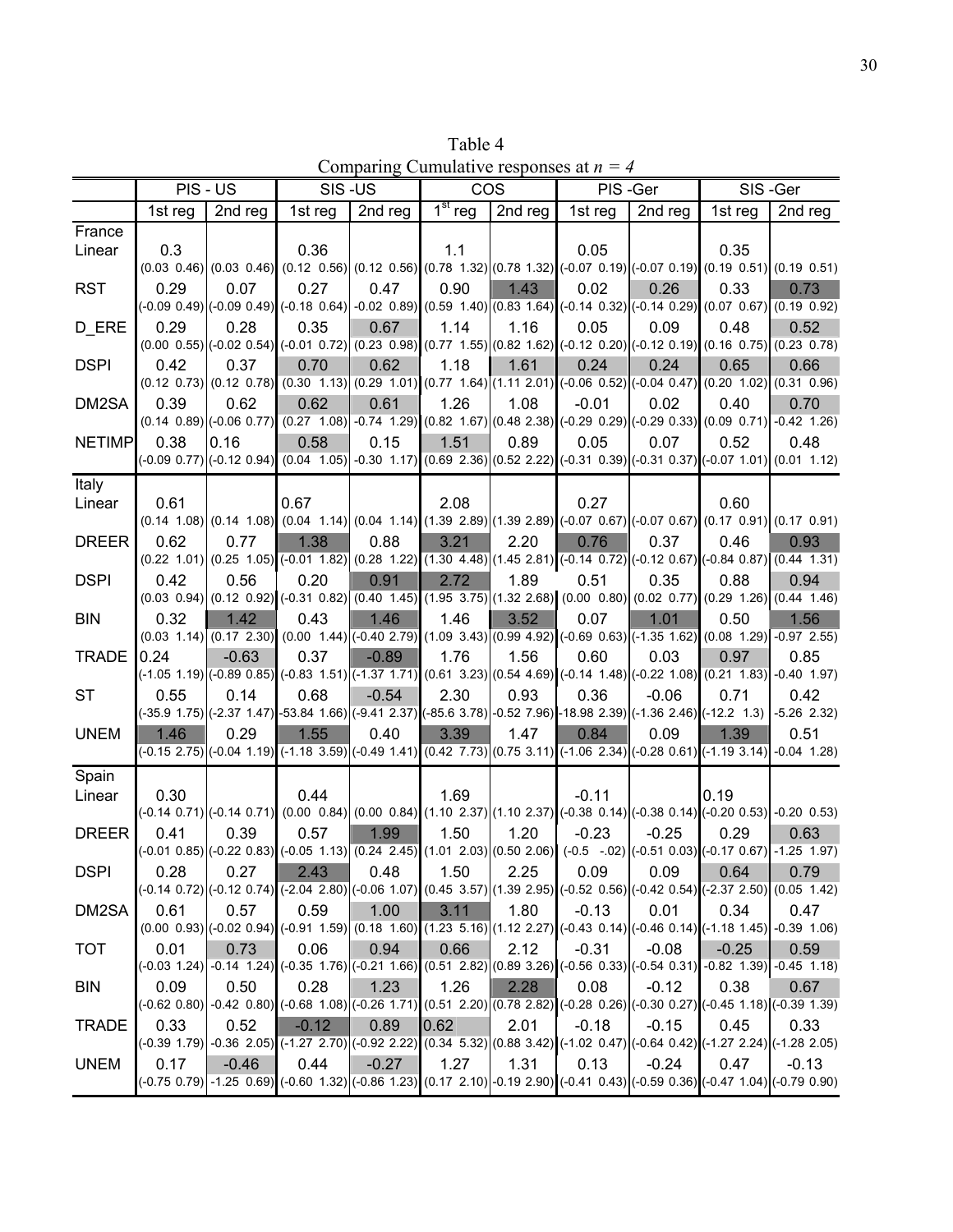Table 4 Comparing Cumulative responses at *n = 4*

|               | PIS - US |         | SIS-US                                                                                                                                                                    |         | <b>COS</b>                       |         | PIS-Ger |         | SIS-Ger |               |
|---------------|----------|---------|---------------------------------------------------------------------------------------------------------------------------------------------------------------------------|---------|----------------------------------|---------|---------|---------|---------|---------------|
|               | 1st reg  | 2nd reg | 1st reg                                                                                                                                                                   | 2nd reg | $\overline{1}$ <sup>st</sup> reg | 2nd reg | 1st reg | 2nd reg | 1st reg | 2nd reg       |
| France        |          |         |                                                                                                                                                                           |         |                                  |         |         |         |         |               |
| Linear        | 0.3      |         | 0.36                                                                                                                                                                      |         | 1.1                              |         | 0.05    |         | 0.35    |               |
|               |          |         | $(0.03\ 0.46)$ $(0.03\ 0.46)$ $(0.12\ 0.56)$ $(0.12\ 0.56)$ $(0.78\ 1.32)$ $(0.78\ 1.32)$ $(-0.07\ 0.19)$ $(-0.07\ 0.19)$ $(0.19\ 0.51)$ $(0.19\ 0.51)$ $(0.19\ 0.51)$    |         |                                  |         |         |         |         |               |
| <b>RST</b>    | 0.29     | 0.07    | 0.27                                                                                                                                                                      | 0.47    | 0.90                             | 1.43    | 0.02    | 0.26    | 0.33    | 0.73          |
|               |          |         | $(-0.09\ 0.49)(-0.09\ 0.49)$ $(-0.18\ 0.64)(-0.02\ 0.89)(0.59\ 1.40)(0.83\ 1.64)(-0.14\ 0.32)(-0.14\ 0.29)(0.07\ 0.67)(0.19\ 0.92)$                                       |         |                                  |         |         |         |         |               |
| D_ERE         | 0.29     | 0.28    | 0.35                                                                                                                                                                      | 0.67    | 1.14                             | 1.16    | 0.05    | 0.09    | 0.48    | 0.52          |
|               |          |         | $(0.00 \t0.55)(-0.02 \t0.54)(-0.01 \t0.72)(0.23 \t0.98)(0.77 \t1.55)(0.82 \t1.62)(-0.12 \t0.20)(-0.12 \t0.19)(0.16 \t0.75)(0.23 \t0.78)$                                  |         |                                  |         |         |         |         |               |
| <b>DSPI</b>   | 0.42     | 0.37    | 0.70                                                                                                                                                                      | 0.62    | 1.18                             | 1.61    | 0.24    | 0.24    | 0.65    | 0.66          |
|               |          |         | $(0.12\ 0.73)$ $(0.12\ 0.78)$ $(0.30\ 1.13)$ $(0.29\ 1.01)$ $(0.77\ 1.64)$ $(1.11\ 2.01)$ $(-0.06\ 0.52)$ $(-0.04\ 0.47)$ $(0.20\ 1.02)$ $(0.31\ 0.96)$                   |         |                                  |         |         |         |         |               |
| DM2SA         | 0.39     | 0.62    | 0.62<br>$(0.14 \ 0.89)(-0.06 \ 0.77)(0.27 \ 1.08) -0.74 \ 1.29)(0.82 \ 1.67)(0.48 \ 2.38)(-0.29 \ 0.29)(-0.29 \ 0.33)(0.09 \ 0.71) -0.42 \ 1.26)$                         | 0.61    | 1.26                             | 1.08    | $-0.01$ | 0.02    | 0.40    | 0.70          |
|               |          |         |                                                                                                                                                                           |         |                                  |         |         |         |         |               |
| <b>NETIMP</b> | 0.38     | 0.16    | 0.58<br>(-0.09 0.77) (-0.12 0.94) (0.04 1.05) -0.30 1.17) (0.69 2.36) (0.52 2.22) (-0.31 0.39) (-0.31 0.37) (-0.07 1.01) (0.01 1.12)                                      | 0.15    | 1.51                             | 0.89    | 0.05    | 0.07    | 0.52    | 0.48          |
|               |          |         |                                                                                                                                                                           |         |                                  |         |         |         |         |               |
| Italy         |          |         |                                                                                                                                                                           |         |                                  |         |         |         | 0.60    |               |
| Linear        | 0.61     |         | 0.67<br>$(0.14 \t1.08)$ $(0.14 \t1.08)$ $(0.04 \t1.14)$ $(0.04 \t1.14)$ $(1.39 \t2.89)$ $(1.39 \t2.89)$ $(-0.07 \t0.67)$ $(-0.07 \t0.67)$ $(0.17 \t0.91)$ $(0.17 \t0.91)$ |         | 2.08                             |         | 0.27    |         |         |               |
| <b>DREER</b>  | 0.62     | 0.77    | 1.38                                                                                                                                                                      | 0.88    | 3.21                             | 2.20    | 0.76    | 0.37    | 0.46    | 0.93          |
|               |          |         | $(0.22, 1.01)$ $(0.25, 1.05)$ $(0.01, 1.82)$ $(0.28, 1.22)$ $(1.30, 4.48)$ $(1.45, 2.81)$ $(0.14, 0.72)$ $(0.12, 0.67)$ $(0.84, 0.87)$ $(0.44, 1.31)$                     |         |                                  |         |         |         |         |               |
| <b>DSPI</b>   | 0.42     | 0.56    | 0.20                                                                                                                                                                      | 0.91    | 2.72                             | 1.89    | 0.51    | 0.35    | 0.88    | 0.94          |
|               |          |         | $(0.03\ 0.94)$ $(0.12\ 0.92)$ $(0.31\ 0.82)$ $(0.40\ 1.45)$ $(1.95\ 3.75)$ $(1.32\ 2.68)$ $(0.00\ 0.80)$ $(0.02\ 0.77)$ $(0.29\ 1.26)$ $(0.44\ 1.46)$                     |         |                                  |         |         |         |         |               |
| <b>BIN</b>    | 0.32     | 1.42    | 0.43                                                                                                                                                                      | 1.46    | 1.46                             | 3.52    | 0.07    | 1.01    | 0.50    | 1.56          |
|               |          |         | $(0.03 \t1.14)$ $(0.17 \t2.30)$ $(0.00 \t1.44)$ $(-0.40 \t2.79)$ $(1.09 \t3.43)$ $(0.99 \t4.92)$ $(-0.69 \t0.63)$ $(-1.35 \t1.62)$ $(0.08 \t1.29)$ $(-0.87 \t2.55)$       |         |                                  |         |         |         |         |               |
| <b>TRADE</b>  | 0.24     | $-0.63$ | 0.37                                                                                                                                                                      | $-0.89$ | 1.76                             | 1.56    | 0.60    | 0.03    | 0.97    | 0.85          |
|               |          |         | $(-1.05\ 1.19)$ $(-0.89\ 0.85)$ $(-0.83\ 1.51)$ $(-1.37\ 1.71)$ $(0.61\ 3.23)$ $(0.54\ 4.69)$ $(-0.14\ 1.48)$ $(-0.22\ 1.08)$ $(0.21\ 1.83)$ $-0.40\ 1.97)$               |         |                                  |         |         |         |         |               |
| <b>ST</b>     | 0.55     | 0.14    | 0.68                                                                                                                                                                      | $-0.54$ | 2.30                             | 0.93    | 0.36    | $-0.06$ | 0.71    | 0.42          |
|               |          |         | (-35.9 1.75) $($ -2.37 1.47) $\sim$ 53.84 1.66) $($ -9.41 2.37) $($ -85.6 3.78) $\sim$ 0.52 7.96) $\sim$ 18.98 2.39) $($ -1.36 2.46) $($ -12.2 1.3)                       |         |                                  |         |         |         |         | $-5.26$ 2.32) |
| <b>UNEM</b>   | 1.46     | 0.29    | 1.55                                                                                                                                                                      | 0.40    | 3.39                             | 1.47    | 0.84    | 0.09    | 1.39    | 0.51          |
|               |          |         | $(0.15 \ 2.75)$ $(0.04 \ 1.19)$ $(0.18 \ 3.59)$ $(0.49 \ 1.41)$ $(0.42 \ 7.73)$ $(0.75 \ 3.11)$ $(0.10 \ 2.34)$ $(0.28 \ 0.61)$ $(0.19 \ 3.14)$ $(0.04 \ 1.28)$           |         |                                  |         |         |         |         |               |
| Spain         |          |         |                                                                                                                                                                           |         |                                  |         |         |         |         |               |
| Linear        | 0.30     |         | 0.44                                                                                                                                                                      |         | 1.69                             |         | $-0.11$ |         | 0.19    |               |
|               |          |         | (-0.14 0.71) $(0.014 \t0.71)$ (0.00 0.84) $(0.00 \t0.84)$ (1.10 2.37) $(1.10 \t2.37)$ (-0.38 0.14) (-0.38 0.14) (-0.20 0.53) -0.20 0.53)                                  |         |                                  |         |         |         |         |               |
| <b>DREER</b>  | 0.41     | 0.39    | 0.57                                                                                                                                                                      | 1.99    | 1.50                             | 1.20    | $-0.23$ | $-0.25$ | 0.29    | 0.63          |
|               |          |         | $(0.01\ 0.85)(-0.22\ 0.83)(-0.05\ 1.13)(0.24\ 2.45)(1.01\ 2.03)(0.50\ 2.06)(-0.5\ -0.2)(-0.51\ 0.03)(-0.17\ 0.67)(-1.25\ 1.97)$                                           |         |                                  |         |         |         |         |               |
| <b>DSPI</b>   | 0.28     | 0.27    | 2.43                                                                                                                                                                      | 0.48    | 1.50                             | 2.25    | 0.09    | 0.09    | 0.64    | 0.79          |
|               |          |         | $(0.14\ 0.72)$ $(0.12\ 0.74)$ $(0.2.04\ 2.80)$ $(0.06\ 1.07)$ $(0.45\ 3.57)$ $(1.39\ 2.95)$ $(0.52\ 0.56)$ $(0.42\ 0.54)$ $(0.2.37\ 2.50)$ $(0.05\ 1.42)$                 |         |                                  |         |         |         |         |               |
| DM2SA         | 0.61     | 0.57    | 0.59                                                                                                                                                                      | 1.00    | 3.11                             | 1.80    | $-0.13$ | 0.01    | 0.34    | 0.47          |
|               |          |         | $(0.00\ 0.93)$ $(-0.02\ 0.94)$ $(-0.91\ 1.59)$ $(0.18\ 1.60)$ $(1.23\ 5.16)$ $(1.12\ 2.27)$ $(-0.43\ 0.14)$ $(-0.46\ 0.14)$ $(-1.18\ 1.45)$ $(-0.39\ 1.06)$               |         |                                  |         |         | $-0.08$ |         |               |
| <b>TOT</b>    | 0.01     | 0.73    | 0.06<br>(-0.03 1.24) -0.14 1.24) (-0.35 1.76) (-0.21 1.66) (0.51 2.82) (0.89 3.26) (-0.56 0.33) (-0.54 0.31) -0.82 1.39) -0.45 1.18)                                      | 0.94    | 0.66                             | 2.12    | $-0.31$ |         | $-0.25$ | 0.59          |
| <b>BIN</b>    | 0.09     | 0.50    | 0.28                                                                                                                                                                      | 1.23    | 1.26                             | 2.28    | 0.08    | $-0.12$ | 0.38    | 0.67          |
|               |          |         | $(0.62, 0.80)$ $-0.42, 0.80)$ $(-0.68, 1.08)$ $(-0.26, 1.71)$ $(0.51, 2.20)$ $(0.78, 2.82)$ $(-0.28, 0.26)$ $(-0.30, 0.27)$ $(-0.45, 1.18)$ $(-0.39, 1.39)$               |         |                                  |         |         |         |         |               |
| <b>TRADE</b>  | 0.33     | 0.52    | $-0.12$                                                                                                                                                                   | 0.89    | 0.62                             | 2.01    | $-0.18$ | $-0.15$ | 0.45    | 0.33          |
|               |          |         | $(0.39\ 1.79)$ $-0.36\ 2.05$ $(-1.27\ 2.70)$ $(-0.92\ 2.22)$ $(0.34\ 5.32)$ $(0.88\ 3.42)$ $(-1.02\ 0.47)$ $(-0.64\ 0.42)$ $(-1.27\ 2.24)$ $(-1.28\ 2.05)$                |         |                                  |         |         |         |         |               |
| <b>UNEM</b>   | 0.17     | $-0.46$ | 0.44                                                                                                                                                                      | $-0.27$ | 1.27                             | 1.31    | 0.13    | $-0.24$ | 0.47    | $-0.13$       |
|               |          |         | (-0.75 0.79) -1.25 0.69) (-0.60 1.32) (-0.86 1.23) (0.17 2.10) -0.19 2.90) (-0.41 0.43) (-0.59 0.36) (-0.47 1.04) (-0.79 0.90)                                            |         |                                  |         |         |         |         |               |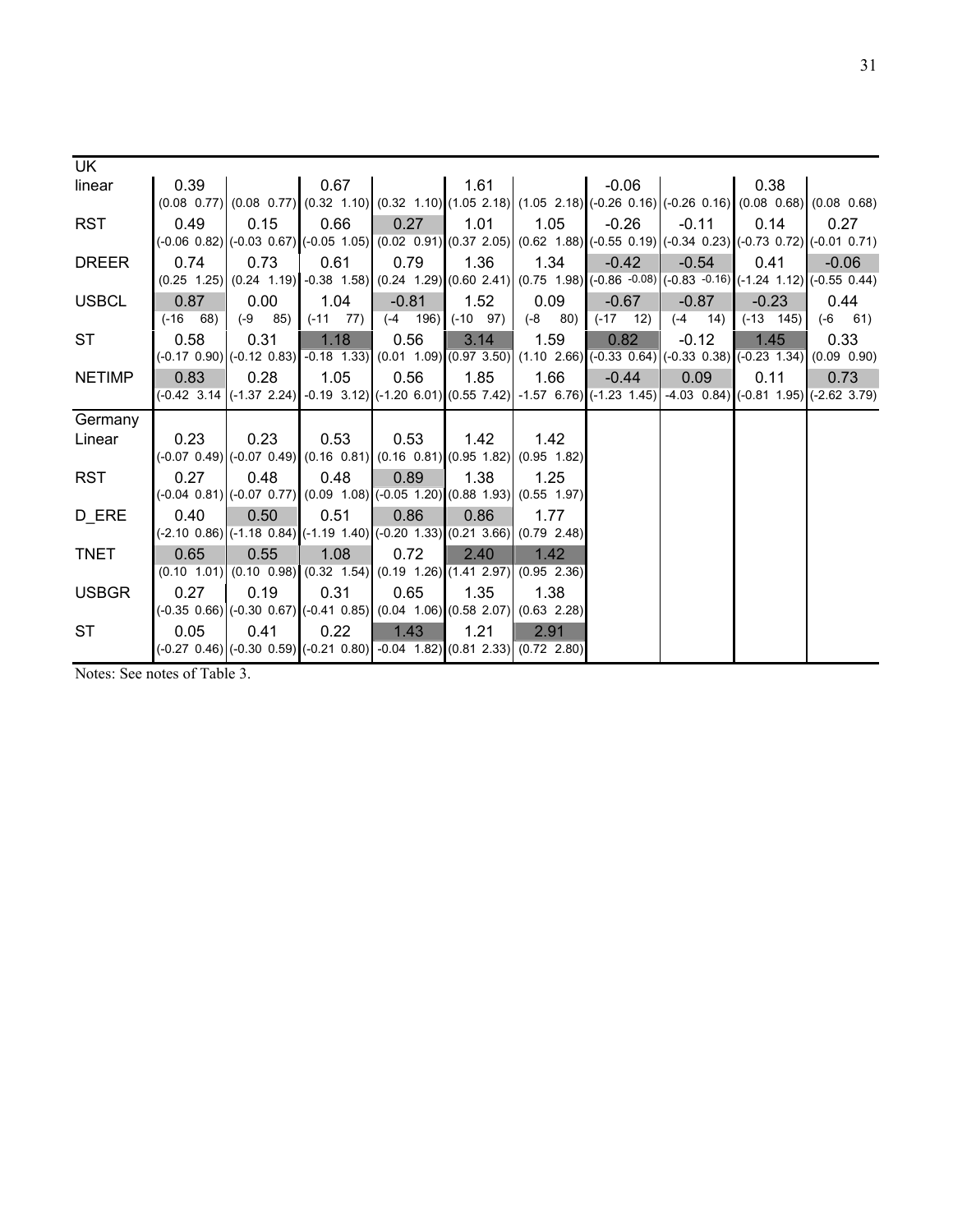| UK            |                                                                                           |             |               |                                                                                                                     |      |             |               |             |                                                                                                                                                                      |              |
|---------------|-------------------------------------------------------------------------------------------|-------------|---------------|---------------------------------------------------------------------------------------------------------------------|------|-------------|---------------|-------------|----------------------------------------------------------------------------------------------------------------------------------------------------------------------|--------------|
| linear        | 0.39                                                                                      |             | 0.67          |                                                                                                                     | 1.61 |             | $-0.06$       |             | 0.38                                                                                                                                                                 |              |
|               |                                                                                           |             |               |                                                                                                                     |      |             |               |             | $(0.08 \t0.77)$ $(0.08 \t0.77)$ $(0.32 \t1.10)$ $(0.32 \t1.10)$ $(1.05 \t2.18)$ $(1.05 \t2.18)$ $(-0.26 \t0.16)$ $(-0.26 \t0.16)$ $(0.08 \t0.68)$ $(0.08 \t0.68)$    |              |
| <b>RST</b>    | 0.49                                                                                      | 0.15        | 0.66          | 0.27                                                                                                                | 1.01 | 1.05        | $-0.26$       | $-0.11$     | 0.14                                                                                                                                                                 | 0.27         |
|               |                                                                                           |             |               |                                                                                                                     |      |             |               |             | $(0.06\ 0.82)$ $(0.03\ 0.67)$ $(0.05\ 1.05)$ $(0.02\ 0.91)$ $(0.37\ 2.05)$ $(0.62\ 1.88)$ $(0.62\ 1.8)$ $(0.55\ 0.19)$ $(0.34\ 0.23)$ $(0.73\ 0.72)$ $(0.01\ 0.71)$  |              |
| <b>DREER</b>  | 0.74                                                                                      | 0.73        | 0.61          | 0.79                                                                                                                | 1.36 | 1.34        | $-0.42$       | $-0.54$     | 0.41                                                                                                                                                                 | $-0.06$      |
|               |                                                                                           |             |               |                                                                                                                     |      |             |               |             | $(0.25 \t1.25)$ $(0.24 \t1.19)$ $-0.38 \t1.58$ $(0.24 \t1.29)$ $(0.60 \t2.41)$ $(0.75 \t1.98)$ $(-0.86 \t-0.08)$ $(-0.83 \t-0.16)$ $(-1.24 \t1.12)$ $(-0.55 \t0.44)$ |              |
| <b>USBCL</b>  | 0.87                                                                                      | 0.00        | 1.04          | $-0.81$                                                                                                             | 1.52 | 0.09        | $-0.67$       | $-0.87$     | $-0.23$                                                                                                                                                              | 0.44         |
|               | $(-16 68)$                                                                                | $(-9 \ 85)$ | $(-11 \t 77)$ | $(-4 \t196)$ $(-10 \t97)$                                                                                           |      | $(-8 \ 80)$ | $(-17 \t 12)$ | $(-4 \ 14)$ | $(-13 \quad 145)$                                                                                                                                                    | $(-6 \t 61)$ |
| <b>ST</b>     | 0.58                                                                                      | 0.31        | 1.18          | 0.56                                                                                                                | 3.14 | 1.59        | 0.82          | $-0.12$     | 1.45                                                                                                                                                                 | 0.33         |
|               |                                                                                           |             |               |                                                                                                                     |      |             |               |             | $(0.017, 0.90)$ $(0.12, 0.83)$ $-0.18$ $1.33$ $(0.01, 1.09)$ $(0.97, 3.50)$ $(1.10, 2.66)$ $(-0.33, 0.64)$ $(0.33, 0.38)$ $(-0.23, 1.34)$ $(0.09, 0.90)$             |              |
| <b>NETIMP</b> | 0.83                                                                                      | 0.28        | 1.05          | 0.56                                                                                                                | 1.85 | 1.66        | $-0.44$       | 0.09        | 0.11                                                                                                                                                                 | 0.73         |
|               |                                                                                           |             |               |                                                                                                                     |      |             |               |             | (-0.42 3.14 (-1.37 2.24) -0.19 3.12) (-1.20 6.01) (0.55 7.42) -1.57 6.76) (-1.23 1.45) -4.03 0.84) (-0.81 1.95) (-2.62 3.79)                                         |              |
| Germany       |                                                                                           |             |               |                                                                                                                     |      |             |               |             |                                                                                                                                                                      |              |
| Linear        | 0.23                                                                                      | 0.23        | 0.53          | 0.53                                                                                                                | 1.42 | 1.42        |               |             |                                                                                                                                                                      |              |
|               |                                                                                           |             |               | $(0.07, 0.49)$ $(0.07, 0.49)$ $(0.16, 0.81)$ $(0.16, 0.81)$ $(0.95, 1.82)$ $(0.95, 1.82)$                           |      |             |               |             |                                                                                                                                                                      |              |
| <b>RST</b>    | 0.27                                                                                      | 0.48        | 0.48          | 0.89                                                                                                                | 1.38 | 1.25        |               |             |                                                                                                                                                                      |              |
|               |                                                                                           |             |               | $(0.04 \ 0.81)$ $(0.07 \ 0.77)$ $(0.09 \ 1.08)$ $(0.05 \ 1.20)$ $(0.88 \ 1.93)$ $(0.55 \ 1.97)$                     |      |             |               |             |                                                                                                                                                                      |              |
| D_ERE         | 0.40                                                                                      | 0.50        | 0.51          | 0.86                                                                                                                | 0.86 | 1.77        |               |             |                                                                                                                                                                      |              |
|               |                                                                                           |             |               | (-2.10 0.86) $\vert$ (-1.18 0.84) $\vert$ (-1.19 1.40) $\vert$ (-0.20 1.33) $\vert$ (0.21 3.66) $\vert$ (0.79 2.48) |      |             |               |             |                                                                                                                                                                      |              |
| <b>TNET</b>   | 0.65                                                                                      | 0.55        | 1.08          | 0.72                                                                                                                | 2.40 | 1.42        |               |             |                                                                                                                                                                      |              |
|               |                                                                                           |             |               | $(0.10 \t1.01)$ $(0.10 \t0.98)$ $(0.32 \t1.54)$ $(0.19 \t1.26)$ $(1.41 \t2.97)$ $(0.95 \t2.36)$                     |      |             |               |             |                                                                                                                                                                      |              |
| <b>USBGR</b>  | 0.27                                                                                      | 0.19        | 0.31          | 0.65                                                                                                                | 1.35 | 1.38        |               |             |                                                                                                                                                                      |              |
|               | $(0.35, 0.66)$ $(0.30, 0.67)$ $(0.41, 0.85)$ $(0.04, 1.06)$ $(0.58, 2.07)$ $(0.63, 2.28)$ |             |               |                                                                                                                     |      |             |               |             |                                                                                                                                                                      |              |
| <b>ST</b>     | 0.05                                                                                      | 0.41        | 0.22          | 1.43                                                                                                                | 1.21 | 2.91        |               |             |                                                                                                                                                                      |              |
|               |                                                                                           |             |               | $(-0.27, 0.46)$ $(-0.30, 0.59)$ $(-0.21, 0.80)$ $(-0.04, 1.82)$ $(0.81, 2.33)$ $(0.72, 2.80)$                       |      |             |               |             |                                                                                                                                                                      |              |
|               |                                                                                           |             |               |                                                                                                                     |      |             |               |             |                                                                                                                                                                      |              |

Notes: See notes of Table 3.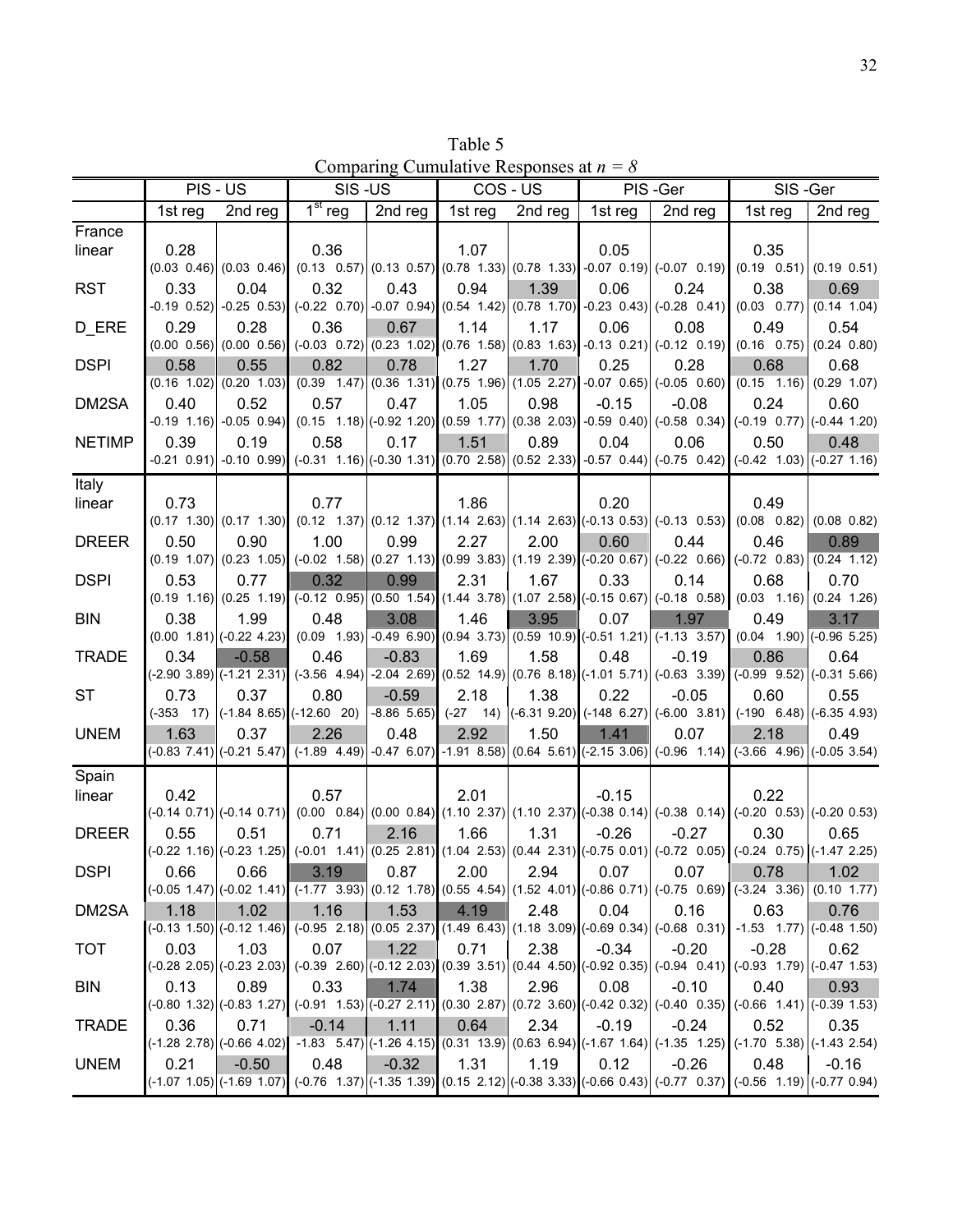| Table 5                                   |  |
|-------------------------------------------|--|
| Comparing Cumulative Responses at $n = 8$ |  |

|               | PIS - US |                                   | SIS-US                                         |         | COS - US |         |                                                                        | PIS-Ger                                                                                                                            | SIS-Ger                                                                                                                                                                                                                               |         |
|---------------|----------|-----------------------------------|------------------------------------------------|---------|----------|---------|------------------------------------------------------------------------|------------------------------------------------------------------------------------------------------------------------------------|---------------------------------------------------------------------------------------------------------------------------------------------------------------------------------------------------------------------------------------|---------|
|               | 1st reg  | 2nd reg                           | $1st$ reg                                      | 2nd reg | 1st reg  | 2nd reg | 1st reg                                                                | 2nd reg                                                                                                                            | 1st reg                                                                                                                                                                                                                               | 2nd reg |
| France        |          |                                   |                                                |         |          |         |                                                                        |                                                                                                                                    |                                                                                                                                                                                                                                       |         |
| linear        | 0.28     |                                   | 0.36                                           |         | 1.07     |         | 0.05                                                                   |                                                                                                                                    | 0.35                                                                                                                                                                                                                                  |         |
|               |          |                                   |                                                |         |          |         |                                                                        |                                                                                                                                    | $(0.03 \t0.46)$ $(0.03 \t0.46)$ $(0.13 \t0.57)$ $(0.13 \t0.57)$ $(0.78 \t1.33)$ $(0.78 \t1.33)$ $-0.07 \t0.19$ $(-0.07 \t0.19)$ $(0.19 \t0.51)$ $(0.19 \t0.51)$                                                                       |         |
| <b>RST</b>    | 0.33     | 0.04                              | 0.32                                           | 0.43    | 0.94     | 1.39    | 0.06                                                                   | 0.24                                                                                                                               | 0.38                                                                                                                                                                                                                                  | 0.69    |
|               |          | $-0.19$ $0.52$ $-0.25$ $0.53$     |                                                |         |          |         |                                                                        |                                                                                                                                    | $(-0.22 \quad 0.70)$ $(-0.07 \quad 0.94)$ $(0.54 \quad 1.42)$ $(0.78 \quad 1.70)$ $(-0.23 \quad 0.43)$ $(-0.28 \quad 0.41)$ $(0.03 \quad 0.77)$ $(0.14 \quad 1.04)$                                                                   |         |
| D_ERE         | 0.29     | 0.28                              | 0.36                                           | 0.67    | 1.14     | 1.17    | 0.06                                                                   | 0.08                                                                                                                               | 0.49                                                                                                                                                                                                                                  | 0.54    |
|               |          |                                   |                                                |         |          |         |                                                                        |                                                                                                                                    | $(0.00 \t0.56)$ $(0.00 \t0.56)$ $(-0.03 \t0.72)$ $(0.23 \t1.02)$ $(0.76 \t1.58)$ $(0.83 \t1.63)$ $-0.13 \t0.21)$ $(-0.12 \t0.19)$ $(0.16 \t0.75)$ $(0.24 \t0.80)$                                                                     |         |
| <b>DSPI</b>   | 0.58     | 0.55                              | 0.82                                           | 0.78    | 1.27     | 1.70    | 0.25                                                                   | 0.28                                                                                                                               | 0.68                                                                                                                                                                                                                                  | 0.68    |
|               |          |                                   |                                                |         |          |         |                                                                        |                                                                                                                                    | $(0.16 \t1.02)$ $(0.20 \t1.03)$ $(0.39 \t1.47)$ $(0.36 \t1.31)$ $(0.75 \t1.96)$ $(1.05 \t2.27)$ $-0.07 \t0.65)$ $(-0.05 \t0.60)$ $(0.15 \t1.16)$ $(0.29 \t1.07)$                                                                      |         |
| DM2SA         | 0.40     | 0.52                              | 0.57                                           | 0.47    | 1.05     | 0.98    | $-0.15$                                                                | $-0.08$                                                                                                                            | 0.24<br>$(0.19 \t1.16)$ $(0.05 \t0.94)$ $(0.15 \t1.18)$ $(0.92 \t1.20)$ $(0.59 \t1.77)$ $(0.38 \t2.03)$ $(0.59 \t0.40)$ $(0.58 \t0.34)$ $(0.19 \t0.77)$ $(0.44 \t1.20)$                                                               | 0.60    |
|               | 0.39     | 0.19                              | 0.58                                           | 0.17    | 1.51     | 0.89    | 0.04                                                                   | 0.06                                                                                                                               |                                                                                                                                                                                                                                       |         |
| <b>NETIMP</b> |          |                                   |                                                |         |          |         |                                                                        |                                                                                                                                    | 0.50<br>$-0.21$ $0.91$ $-0.10$ $0.99$ $(-0.31$ $1.16)$ $(-0.30$ $1.31)$ $(0.70$ $2.58)$ $(0.52$ $2.33)$ $-0.57$ $0.44)$ $(-0.75$ $0.42)$ $(-0.42$ $1.03)$ $(-0.27$ $1.16)$                                                            | 0.48    |
|               |          |                                   |                                                |         |          |         |                                                                        |                                                                                                                                    |                                                                                                                                                                                                                                       |         |
| Italy         | 0.73     |                                   | 0.77                                           |         | 1.86     |         | 0.20                                                                   |                                                                                                                                    | 0.49                                                                                                                                                                                                                                  |         |
| linear        |          |                                   |                                                |         |          |         |                                                                        |                                                                                                                                    | $(0.17, 1.30)$ $(0.17, 1.30)$ $(0.12, 1.37)$ $(0.12, 1.37)$ $(1.14, 2.63)$ $(1.14, 2.63)$ $(0.13, 0.53)$ $(0.13, 0.53)$ $(0.08, 0.82)$ $(0.08, 0.82)$                                                                                 |         |
| <b>DREER</b>  | 0.50     | 0.90                              | 1.00                                           | 0.99    | 2.27     | 2.00    | 0.60                                                                   | 0.44                                                                                                                               | 0.46                                                                                                                                                                                                                                  | 0.89    |
|               |          |                                   |                                                |         |          |         |                                                                        |                                                                                                                                    | $(0.19 \t1.07)$ $(0.23 \t1.05)$ $(-0.02 \t1.58)$ $(0.27 \t1.13)$ $(0.99 \t3.83)$ $(1.19 \t2.39)$ $(-0.20 \t0.67)$ $(-0.22 \t0.66)$ $(-0.72 \t0.83)$ $(0.24 \t1.12)$                                                                   |         |
| <b>DSPI</b>   | 0.53     | 0.77                              | 0.32                                           | 0.99    | 2.31     | 1.67    | 0.33                                                                   | 0.14                                                                                                                               | 0.68                                                                                                                                                                                                                                  | 0.70    |
|               |          |                                   |                                                |         |          |         |                                                                        | $(0.19 \t1.16)$ $(0.25 \t1.19)$ $(-0.12 \t0.95)$ $(0.50 \t1.54)$ $(1.44 \t3.78)$ $(1.07 \t2.58)$ $(-0.15 \t0.67)$ $(-0.18 \t0.58)$ | $(0.03 \t1.16)$ $(0.24 \t1.26)$                                                                                                                                                                                                       |         |
| <b>BIN</b>    | 0.38     | 1.99                              | 0.48                                           | 3.08    | 1.46     | 3.95    | 0.07                                                                   | 1.97                                                                                                                               | 0.49                                                                                                                                                                                                                                  | 3.17    |
|               |          | $(0.00 \t1.81)$ (-0.22 4.23)      |                                                |         |          |         |                                                                        | $(0.09 \t1.93) -0.49 \t6.90) (0.94 \t3.73) (0.59 \t10.9) (-0.51 \t1.21) (-1.13 \t3.57)$                                            | $(0.04 \quad 1.90)$ $( -0.96 \quad 5.25)$                                                                                                                                                                                             |         |
| <b>TRADE</b>  | 0.34     | $-0.58$                           | 0.46                                           | $-0.83$ | 1.69     | 1.58    | 0.48                                                                   | $-0.19$                                                                                                                            | 0.86                                                                                                                                                                                                                                  | 0.64    |
|               |          | $(-2.90 \t3.89)$ $(-1.21 \t2.31)$ |                                                |         |          |         |                                                                        |                                                                                                                                    | $(-3.56 \quad 4.94)$ -2.04 2.69) $(0.52 \quad 14.9)$ $(0.76 \quad 8.18)$ $(-1.01 \quad 5.71)$ $(-0.63 \quad 3.39)$ $(-0.99 \quad 9.52)$ $(-0.31 \quad 5.66)$                                                                          |         |
| <b>ST</b>     | 0.73     | 0.37                              | 0.80                                           | $-0.59$ | 2.18     | 1.38    | 0.22                                                                   | $-0.05$                                                                                                                            | 0.60                                                                                                                                                                                                                                  | 0.55    |
|               |          |                                   | $(-353 \t17)$ $(-1.84 \t8.65)$ $(-12.60 \t20)$ |         |          |         |                                                                        |                                                                                                                                    | $-8.86$ 5.65) $(-27$ 14) $(-6.31$ 9.20) $(-148$ 6.27) $(-6.00$ 3.81) $(-190$ 6.48) $(-6.35$ 4.93)                                                                                                                                     |         |
| <b>UNEM</b>   | 1.63     | 0.37                              | 2.26                                           | 0.48    | 2.92     | 1.50    | 1.41                                                                   | 0.07                                                                                                                               | 2.18                                                                                                                                                                                                                                  | 0.49    |
|               |          |                                   |                                                |         |          |         |                                                                        |                                                                                                                                    | $(0.83\ 7.41)(-0.21\ 5.47)$ $(-1.89\ 4.49)$ $-0.47\ 6.07$ $-1.91\ 8.58)$ $(0.64\ 5.61)(-2.15\ 3.06)$ $(-0.96\ 1.14)$ $(-3.66\ 4.96)$ $(-0.05\ 3.54)$                                                                                  |         |
| Spain         |          |                                   |                                                |         |          |         |                                                                        |                                                                                                                                    |                                                                                                                                                                                                                                       |         |
| linear        | 0.42     |                                   | 0.57                                           |         | 2.01     |         | $-0.15$                                                                |                                                                                                                                    | 0.22                                                                                                                                                                                                                                  |         |
|               |          |                                   |                                                |         |          |         |                                                                        |                                                                                                                                    | $(0.014\ 0.71)$ $(0.014\ 0.71)$ $(0.00\ 0.84)$ $(0.00\ 0.84)$ $(1.10\ 2.37)$ $(1.10\ 2.37)$ $(0.38\ 0.14)$ $(0.38\ 0.14)$ $(0.38\ 0.14)$ $(0.20\ 0.53)$ $(0.20\ 0.53)$                                                                |         |
| <b>DREER</b>  | 0.55     | 0.51                              | 0.71                                           | 2.16    | 1.66     | 1.31    | $-0.26$                                                                | $-0.27$                                                                                                                            | 0.30                                                                                                                                                                                                                                  | 0.65    |
|               |          |                                   |                                                |         |          |         |                                                                        |                                                                                                                                    | $(0.22, 1.16)$ $(0.23, 1.25)$ $(0.01, 1.41)$ $(0.25, 2.81)$ $(1.04, 2.53)$ $(0.44, 2.31)$ $(0.75, 0.01)$ $(0.72, 0.05)$ $(0.24, 0.75)$ $(0.147, 2.25)$                                                                                |         |
| <b>DSPI</b>   | 0.66     | 0.66                              | 3.19                                           | 0.87    | 2.00     | 2.94    | $\begin{array}{ccc} \begin{array}{ccc} \end{array} & 0.07 \end{array}$ | $0.07$ $\parallel$                                                                                                                 | 0.78<br>$(0.05\ 1.47)(-0.02\ 1.41)(-1.77\ 3.93)(0.12\ 1.78)(0.55\ 4.54)(1.52\ 4.01)(-0.86\ 0.71)(-0.75\ 0.69)(-3.24\ 3.36)(0.10\ 1.77)$                                                                                               | 1.02    |
|               | 1.18     | 1.02                              | 1.16                                           | 1.53    | 4.19     | 2.48    | 0.04                                                                   | 0.16                                                                                                                               | 0.63                                                                                                                                                                                                                                  | 0.76    |
| DM2SA         |          |                                   |                                                |         |          |         |                                                                        |                                                                                                                                    | $(0.05 \ 1.50)$ $(0.12 \ 1.46)$ $(0.95 \ 2.18)$ $(0.05 \ 2.37)$ $(1.49 \ 6.43)$ $(1.18 \ 3.09)$ $(0.69 \ 0.34)$ $(0.68 \ 0.31)$ $(1.53 \ 1.77)$ $(0.48 \ 1.50)$                                                                       |         |
| <b>TOT</b>    | 0.03     | 1.03                              | 0.07                                           | 1.22    | 0.71     | 2.38    | $-0.34$                                                                | $-0.20$                                                                                                                            | $-0.28$                                                                                                                                                                                                                               | 0.62    |
|               |          |                                   |                                                |         |          |         |                                                                        |                                                                                                                                    | $(-0.28\ 2.05)\left(-0.23\ 2.03\right)\left(-0.39\ 2.60\right)\left(-0.12\ 2.03\right)\left(0.39\ 3.51\right)\left(0.44\ 4.50\right)\left(-0.92\ 0.35\right)\left(-0.94\ 0.41\right)\left(-0.93\ 1.79\right)\left(-0.47\ 1.53\right)$ |         |
| <b>BIN</b>    | 0.13     | 0.89                              | 0.33                                           | 1.74    | 1.38     | 2.96    | 0.08                                                                   | $-0.10$                                                                                                                            | 0.40                                                                                                                                                                                                                                  | 0.93    |
|               |          |                                   |                                                |         |          |         |                                                                        |                                                                                                                                    | $(0.80, 1.32)$ $(0.83, 1.27)$ $(0.91, 1.53)$ $(0.27, 2.11)$ $(0.30, 2.87)$ $(0.72, 3.60)$ $(0.42, 0.32)$ $(0.40, 0.35)$ $(0.66, 1.41)$ $(0.39, 1.53)$                                                                                 |         |
| <b>TRADE</b>  | 0.36     | 0.71                              | $-0.14$                                        | 1.11    | 0.64     | 2.34    | $-0.19$                                                                | $-0.24$                                                                                                                            | 0.52                                                                                                                                                                                                                                  | 0.35    |
|               |          |                                   |                                                |         |          |         |                                                                        |                                                                                                                                    | $(-1.28\ 2.78)$ $(-0.66\ 4.02)$ $-1.83\ 5.47$ $(1.26\ 4.15)$ $(0.31\ 13.9)$ $(0.63\ 6.94)$ $(-1.67\ 1.64)$ $(-1.35\ 1.25)$ $(-1.70\ 5.38)$ $(-1.43\ 2.54)$                                                                            |         |
| <b>UNEM</b>   | 0.21     | $-0.50$                           | 0.48                                           | $-0.32$ | 1.31     | 1.19    | 0.12                                                                   | $-0.26$                                                                                                                            | 0.48                                                                                                                                                                                                                                  | $-0.16$ |
|               |          |                                   |                                                |         |          |         |                                                                        |                                                                                                                                    | $($ -1.07 1.05) $($ -1.69 1.07) $($ -0.76 1.37 $)($ -1.35 1.39 $)($ 0.15 2.12 $)($ -0.38 3.33 $)($ -0.66 0.43 $)($ -0.77 0.37 $)($ -0.56 1.19 $)($ -0.77 0.94 $)$                                                                     |         |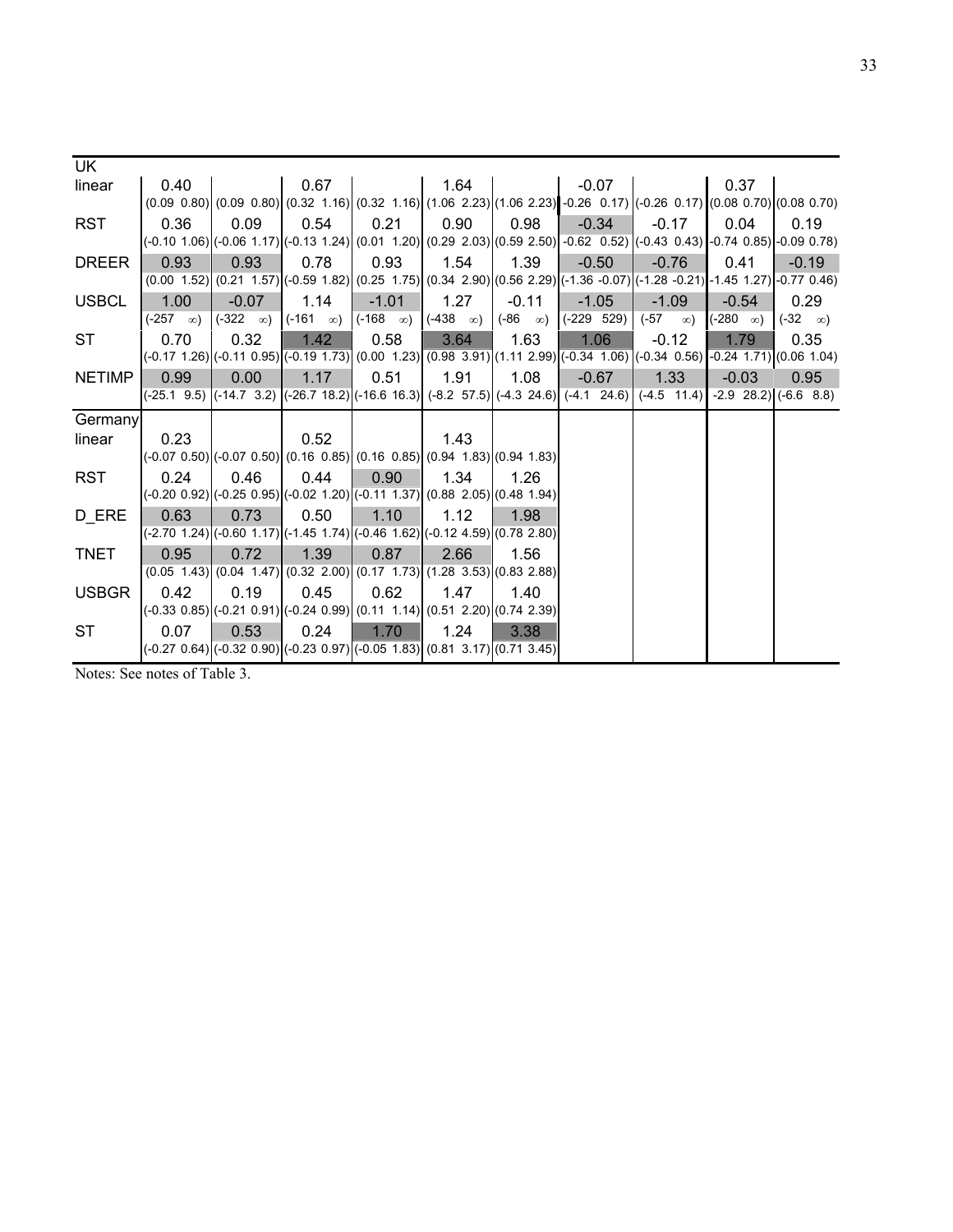| UK.           |                                                            |                                                                                                |                       |                       |                 |                      |                                                                                                                                                                       |                  |                 |                      |
|---------------|------------------------------------------------------------|------------------------------------------------------------------------------------------------|-----------------------|-----------------------|-----------------|----------------------|-----------------------------------------------------------------------------------------------------------------------------------------------------------------------|------------------|-----------------|----------------------|
| linear        | 0.40                                                       |                                                                                                | 0.67                  |                       | 1.64            |                      | $-0.07$                                                                                                                                                               |                  | 0.37            |                      |
|               |                                                            |                                                                                                |                       |                       |                 |                      | $(0.09 \ 0.80)$ $(0.09 \ 0.80)$ $(0.32 \ 1.16)$ $(0.32 \ 1.16)$ $(1.06 \ 2.23)$ $(1.06 \ 2.23)$ $-0.26 \ 0.17)$ $(-0.26 \ 0.17)$ $(0.08 \ 0.70)$ $(0.08 \ 0.70)$      |                  |                 |                      |
| <b>RST</b>    | 0.36                                                       | 0.09                                                                                           | 0.54                  | 0.21                  | 0.90            | 0.98                 | $-0.34$                                                                                                                                                               | $-0.17$          | 0.04            | 0.19                 |
|               |                                                            |                                                                                                |                       |                       |                 |                      | (-0.10 1.06) (-0.06 1.17) (-0.13 1.24)  (0.01 1.20)  (0.29 2.03) (0.59 2.50)  -0.62 0.52) (-0.43 0.43)  -0.74 0.85)  -0.09 0.78)                                      |                  |                 |                      |
| <b>DREER</b>  | 0.93                                                       | 0.93                                                                                           | 0.78                  | 0.93                  | 1.54            | 1.39                 | $-0.50$                                                                                                                                                               | $-0.76$          | 0.41            | $-0.19$              |
|               |                                                            |                                                                                                |                       |                       |                 |                      | $(0.00 \t1.52)$ $(0.21 \t1.57)$ $(0.59 \t1.82)$ $(0.25 \t1.75)$ $(0.34 \t2.90)$ $(0.56 \t2.29)$ $(-1.36 \t-0.07)$ $(-1.28 \t-0.21)$ $(-1.45 \t1.27)$ $(-0.77 \t0.46)$ |                  |                 |                      |
| <b>USBCL</b>  | 1.00                                                       | $-0.07$                                                                                        | 1.14                  | $-1.01$               | 1.27            | $-0.11$              | $-1.05$                                                                                                                                                               | $-1.09$          | $-0.54$         | 0.29                 |
|               | $(-257 \quad \infty)$                                      | $(-322 \infty)$                                                                                | $(-161 \quad \infty)$ | $(-168 \quad \infty)$ | $(-438 \infty)$ | $(-86 \quad \infty)$ | $(-229 529)$                                                                                                                                                          | (-57<br>$\infty$ | $(-280 \infty)$ | $(-32 \quad \infty)$ |
| ST            | 0.70                                                       | 0.32                                                                                           | 1.42                  | 0.58                  | 3.64            | 1.63                 | 1.06                                                                                                                                                                  | $-0.12$          | 1.79            | 0.35                 |
|               |                                                            |                                                                                                |                       |                       |                 |                      | $(-0.17, 1.26)$ $(-0.11, 0.95)$ $(-0.19, 1.73)$ $(0.00, 1.23)$ $(0.98, 3.91)$ $(1.11, 2.99)$ $(-0.34, 1.06)$ $(-0.34, 0.56)$ $-0.24, 1.71)$ $(0.06, 1.04)$            |                  |                 |                      |
| <b>NETIMP</b> | 0.99                                                       | 0.00                                                                                           | 1.17                  | 0.51                  | 1.91            | 1.08                 | $-0.67$                                                                                                                                                               | 1.33             | $-0.03$         | 0.95                 |
|               |                                                            |                                                                                                |                       |                       |                 |                      | $(-25.1 \t9.5)$ $(-14.7 \t3.2)$ $(-26.7 \t18.2)$ $(-16.6 \t16.3)$ $(-8.2 \t57.5)$ $(-4.3 \t24.6)$ $(-4.1 \t24.6)$ $(-4.5 \t11.4)$ $-2.9 \t28.2)$ $(-6.6 \t8.8)$       |                  |                 |                      |
| Germany       |                                                            |                                                                                                |                       |                       |                 |                      |                                                                                                                                                                       |                  |                 |                      |
| linear        | 0.23                                                       |                                                                                                | 0.52                  |                       | 1.43            |                      |                                                                                                                                                                       |                  |                 |                      |
|               |                                                            | $(-0.07, 0.50)$ $(-0.07, 0.50)$ $(0.16, 0.85)$ $(0.16, 0.85)$ $(0.94, 1.83)$ $(0.94, 1.83)$    |                       |                       |                 |                      |                                                                                                                                                                       |                  |                 |                      |
| <b>RST</b>    | 0.24                                                       | 0.46                                                                                           | 0.44                  | 0.90                  | 1.34            | 1.26                 |                                                                                                                                                                       |                  |                 |                      |
|               |                                                            | (-0.20 0.92) (-0.25 0.95) (-0.02 1.20) (-0.11 1.37) (0.88 2.05) (0.48 1.94)                    |                       |                       |                 |                      |                                                                                                                                                                       |                  |                 |                      |
| D ERE         | 0.63                                                       | 0.73                                                                                           | 0.50                  | 1.10                  | 1.12            | 1.98                 |                                                                                                                                                                       |                  |                 |                      |
|               |                                                            | $(-2.70, 1.24)$ $(-0.60, 1.17)$ $(-1.45, 1.74)$ $(-0.46, 1.62)$ $(-0.12, 4.59)$ $(0.78, 2.80)$ |                       |                       |                 |                      |                                                                                                                                                                       |                  |                 |                      |
| <b>TNET</b>   | 0.95                                                       | 0.72                                                                                           | 1.39                  | 0.87                  | 2.66            | 1.56                 |                                                                                                                                                                       |                  |                 |                      |
|               |                                                            | $(0.05 \t1.43) (0.04 \t1.47) (0.32 \t2.00) (0.17 \t1.73) (1.28 \t3.53) (0.83 \t2.88)$          |                       |                       |                 |                      |                                                                                                                                                                       |                  |                 |                      |
| <b>USBGR</b>  | 0.42                                                       | 0.19                                                                                           | 0.45                  | 0.62                  | 1.47            | 1.40                 |                                                                                                                                                                       |                  |                 |                      |
|               |                                                            | $(-0.33, 0.85)$ $(-0.21, 0.91)$ $(-0.24, 0.99)$ $(0.11, 1.14)$ $(0.51, 2.20)$ $(0.74, 2.39)$   |                       |                       |                 |                      |                                                                                                                                                                       |                  |                 |                      |
| <b>ST</b>     | 0.07                                                       | 0.53                                                                                           | 0.24                  | 1.70                  | 1.24            | 3.38                 |                                                                                                                                                                       |                  |                 |                      |
|               |                                                            | $(0.27, 0.64)$ $(0.32, 0.90)$ $(0.23, 0.97)$ $(0.05, 1.83)$ $(0.81, 3.17)$ $(0.71, 3.45)$      |                       |                       |                 |                      |                                                                                                                                                                       |                  |                 |                      |
|               | $N_{\text{atron}}$ $\Omega_{\text{on}}$ natas of Table $2$ |                                                                                                |                       |                       |                 |                      |                                                                                                                                                                       |                  |                 |                      |

Notes: See notes of Table 3.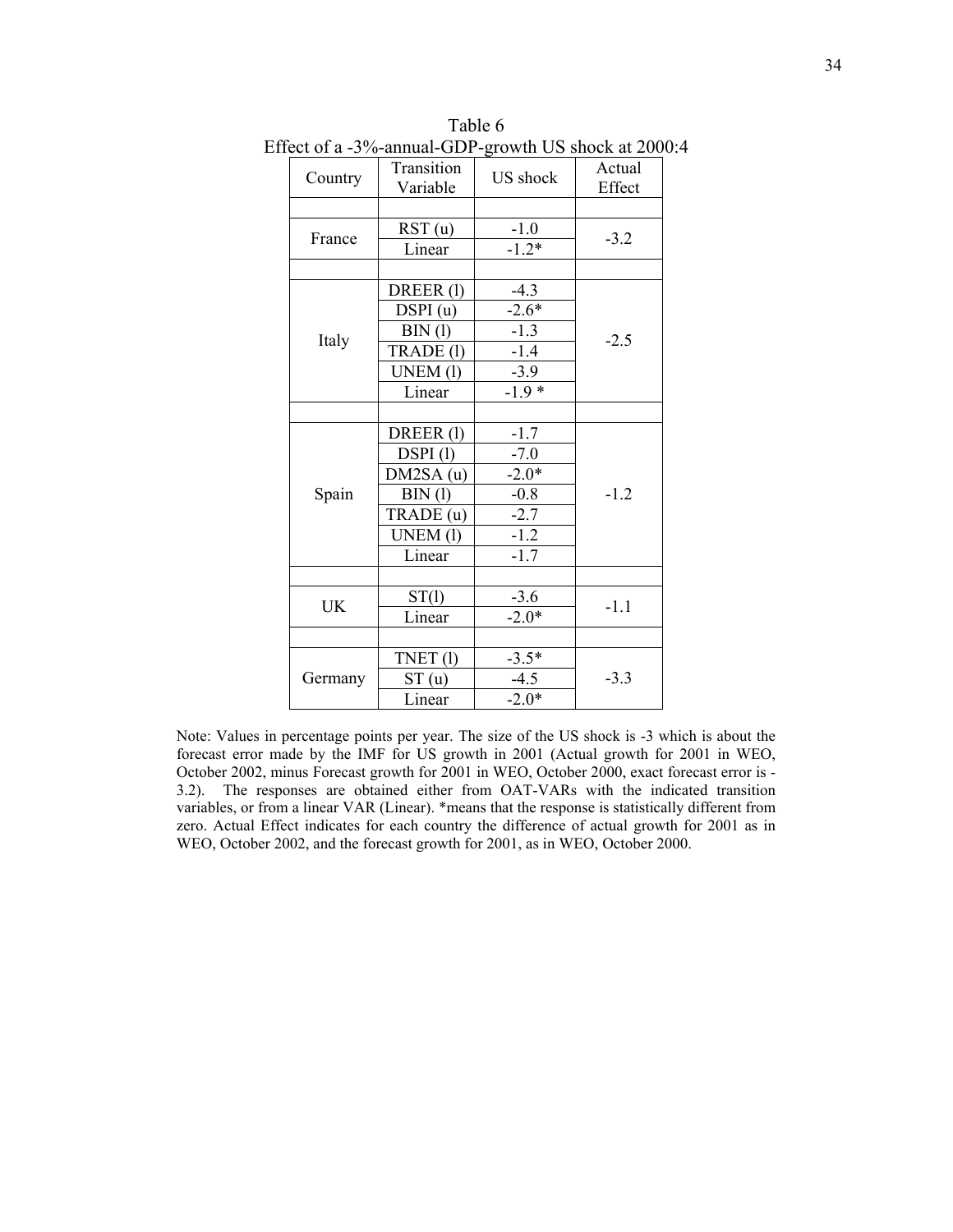|           |                               | $B$ on the $\sim$ on $\sim$ |                  |
|-----------|-------------------------------|-----------------------------|------------------|
| Country   | <b>Transition</b><br>Variable | US shock                    | Actual<br>Effect |
|           |                               |                             |                  |
|           | RST(u)                        | $-1.0$                      |                  |
| France    | Linear                        | $-1.2*$                     | $-3.2$           |
|           |                               |                             |                  |
|           | DREER(1)                      | $-4.3$                      |                  |
|           | DSPI(u)                       | $-2.6*$                     |                  |
|           | BIN (l)                       | $-1.3$                      |                  |
| Italy     | TRADE (1)                     | $-1.4$                      | $-2.5$           |
|           | UNEM (1)                      | $-3.9$                      |                  |
|           | Linear                        | $-1.9*$                     |                  |
|           |                               |                             |                  |
|           | DREER(l)                      | $-1.7$                      |                  |
|           | DSPI(l)                       | $-7.0$                      |                  |
|           | DM2SA (u)                     | $-2.0*$                     |                  |
| Spain     | BIN (l)                       | $-0.8$                      | $-1.2$           |
|           | TRADE (u)                     | $-2.7$                      |                  |
|           | UNEM (1)                      | $-1.2$                      |                  |
|           | Linear                        | $-1.7$                      |                  |
|           |                               |                             |                  |
| <b>UK</b> | ST(1)                         | $-3.6$                      | $-1.1$           |
|           | Linear                        | $-2.0*$                     |                  |
|           |                               |                             |                  |
|           | TNET(1)                       | $-3.5*$                     |                  |
| Germany   | ST(u)                         | $-4.5$                      | $-3.3$           |
|           | Linear                        | $-2.0*$                     |                  |

Table 6 Effect of a -3%-annual-GDP-growth US shock at 2000:4

Note: Values in percentage points per year. The size of the US shock is -3 which is about the forecast error made by the IMF for US growth in 2001 (Actual growth for 2001 in WEO, October 2002, minus Forecast growth for 2001 in WEO, October 2000, exact forecast error is - 3.2). The responses are obtained either from OAT-VARs with the indicated transition variables, or from a linear VAR (Linear). \*means that the response is statistically different from zero. Actual Effect indicates for each country the difference of actual growth for 2001 as in WEO, October 2002, and the forecast growth for 2001, as in WEO, October 2000.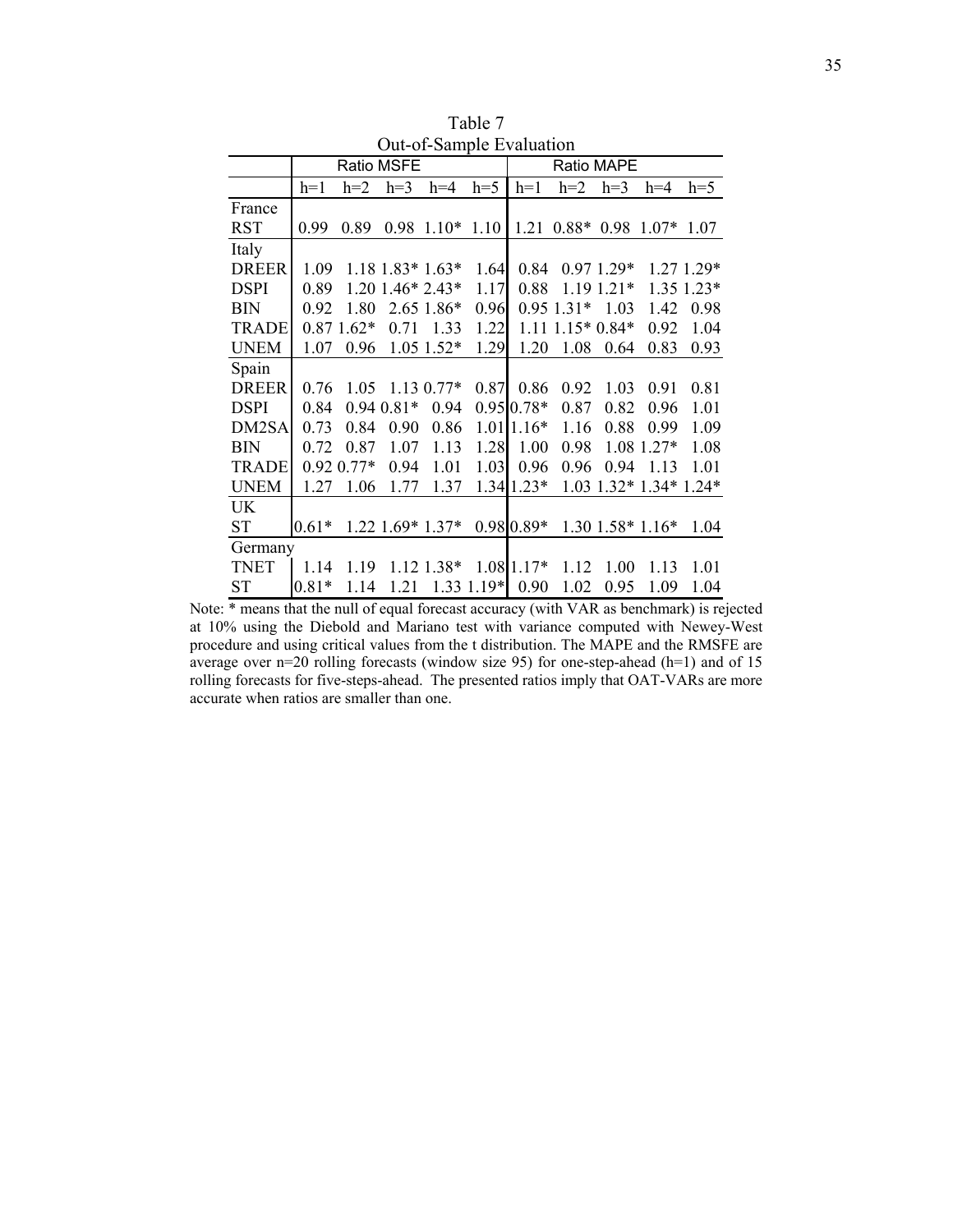|              |         |                |                |                        | Out-of-Sample Evaluation |                            |              |                |                        |             |
|--------------|---------|----------------|----------------|------------------------|--------------------------|----------------------------|--------------|----------------|------------------------|-------------|
|              |         |                | Ratio MSFE     |                        |                          |                            |              | Ratio MAPE     |                        |             |
|              | $h=1$   | $h=2$          | $h=3$          | $h=4$                  | $h=5$                    | $h=1$                      | $h=2$        | $h=3$          | $h=4$                  | $h=5$       |
| France       |         |                |                |                        |                          |                            |              |                |                        |             |
| <b>RST</b>   | 0.99    | 0.89           | 0.98           | $1.10*$                | 1.10                     | 1.21                       | $0.88*$      | 0.98           | $1.07*$                | 1.07        |
| Italy        |         |                |                |                        |                          |                            |              |                |                        |             |
| <b>DREER</b> | 1.09    |                |                | $1.18$ $1.83*$ $1.63*$ | 1.64                     | 0.84                       |              | $0.971.29*$    |                        | $1.271.29*$ |
| <b>DSPI</b>  | 0.89    |                |                | $1.20$ 1.46* 2.43*     | 1.17                     | 0.88                       |              | $1.19$ $1.21*$ |                        | 1.35 1.23*  |
| <b>BIN</b>   | 0.92    | 1.80           |                | 2.65 1.86*             | 0.96                     |                            | $0.95$ 1.31* | 1.03           | 1.42                   | 0.98        |
| <b>TRADE</b> |         | $0.871.62*$    | 0.71           | 1.33                   | 1.22                     | 1.11                       | $1.15*0.84*$ |                | 0.92                   | 1.04        |
| <b>UNEM</b>  | 1.07    | 0.96           |                | $1.05$ 1.52*           | 1.29                     | 1.20                       | 1.08         | 0.64           | 0.83                   | 0.93        |
| Spain        |         |                |                |                        |                          |                            |              |                |                        |             |
| <b>DREER</b> | 0.76    | 1.05           |                | $1.130.77*$            | 0.87                     | 0.86                       | 0.92         | 1.03           | 0.91                   | 0.81        |
| <b>DSPI</b>  | 0.84    |                | $0.94$ $0.81*$ | 0.94                   |                          | $0.95 \, 0.78$ *           | 0.87         | 0.82           | 0.96                   | 1.01        |
| DM2SA        | 0.73    | 0.84           | 0.90           | 0.86                   |                          | $1.01$   1.16 <sup>*</sup> | 1.16         | 0.88           | 0.99                   | 1.09        |
| <b>BIN</b>   | 0.72    | 0.87           | 1.07           | 1.13                   | 1.28                     | 1.00                       | 0.98         |                | 1.08 1.27*             | 1.08        |
| <b>TRADE</b> |         | $0.92$ $0.77*$ | 0.94           | 1.01                   | 1.03                     | 0.96                       | 0.96         | 0.94           | 1.13                   | 1.01        |
| <b>UNEM</b>  | 1.27    | 1.06           | 1.77           | 1.37                   |                          | $1.34$   1.23*             | 1.03         |                | $1.32*1.34*$           | $1.24*$     |
| <b>UK</b>    |         |                |                |                        |                          |                            |              |                |                        |             |
| <b>ST</b>    | $0.61*$ |                |                | 1.22 1.69* 1.37*       |                          | 0.98 0.89*                 |              |                | $1.30$ $1.58*$ $1.16*$ | 1.04        |
| Germany      |         |                |                |                        |                          |                            |              |                |                        |             |
| <b>TNET</b>  | 1.14    | 1.19           |                | 1.12 1.38*             |                          | $1.0811.17*$               | 1.12         | 1.00           | 1.13                   | 1.01        |
| <b>ST</b>    | $0.81*$ | 1.14           | 1.21           |                        | 1.33 1.19*               | 0.90                       | 1.02         | 0.95           | 1.09                   | 1.04        |

Table 7 Out-of-Sample Evaluation

Note: \* means that the null of equal forecast accuracy (with VAR as benchmark) is rejected at 10% using the Diebold and Mariano test with variance computed with Newey-West procedure and using critical values from the t distribution. The MAPE and the RMSFE are average over n=20 rolling forecasts (window size 95) for one-step-ahead (h=1) and of 15 rolling forecasts for five-steps-ahead. The presented ratios imply that OAT-VARs are more accurate when ratios are smaller than one.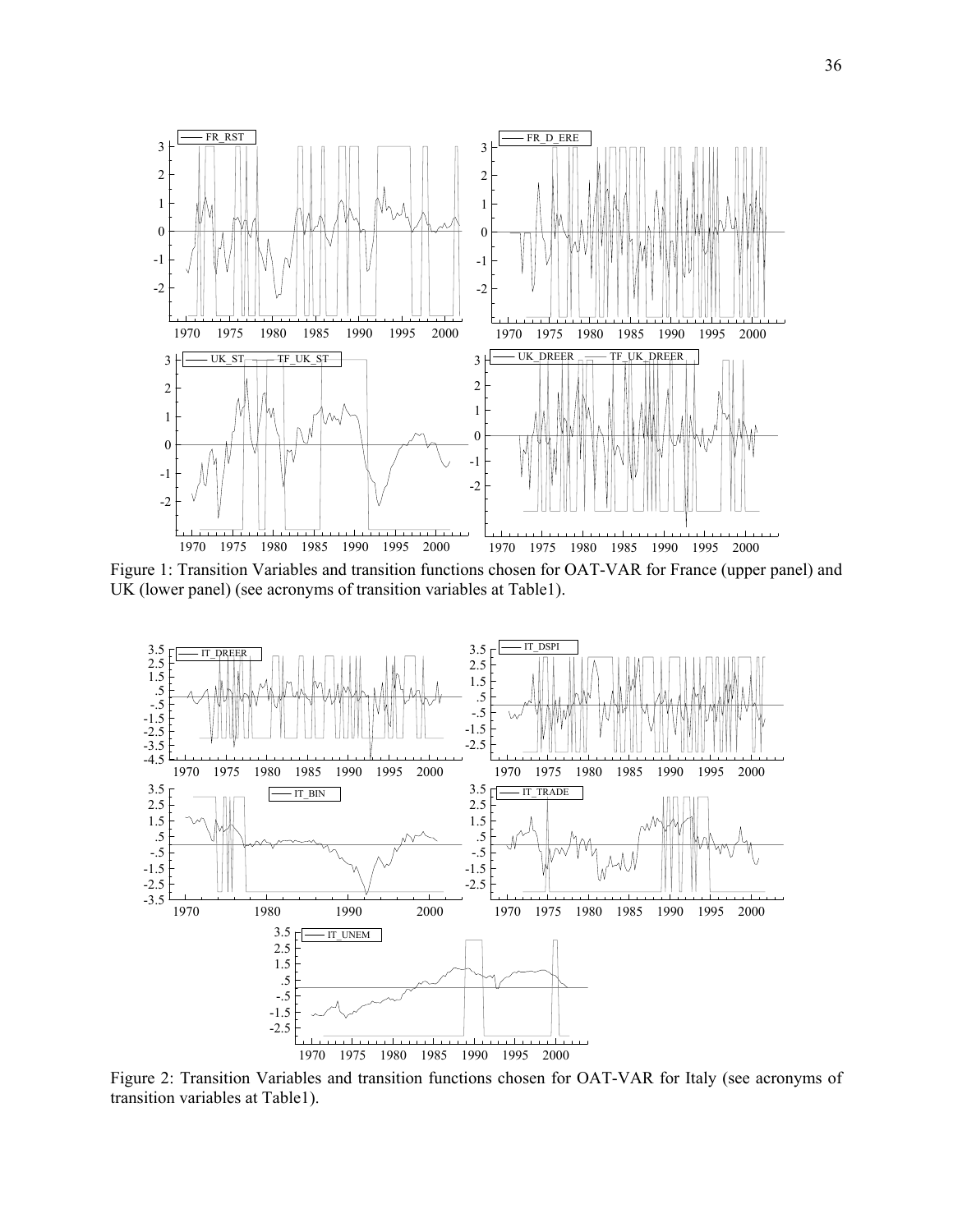

Figure 1: Transition Variables and transition functions chosen for OAT-VAR for France (upper panel) and UK (lower panel) (see acronyms of transition variables at Table1).



Figure 2: Transition Variables and transition functions chosen for OAT-VAR for Italy (see acronyms of transition variables at Table1).